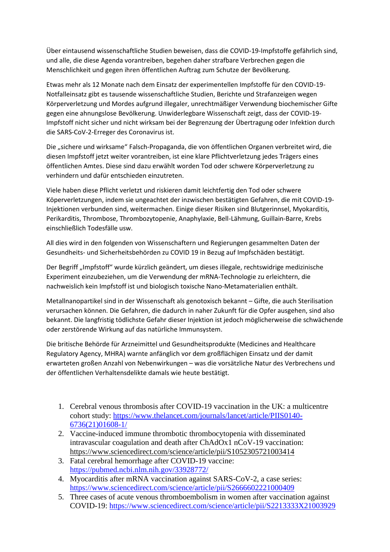Über eintausend wissenschaftliche Studien beweisen, dass die COVID-19-Impfstoffe gefährlich sind, und alle, die diese Agenda vorantreiben, begehen daher strafbare Verbrechen gegen die Menschlichkeit und gegen ihren öffentlichen Auftrag zum Schutze der Bevölkerung.

Etwas mehr als 12 Monate nach dem Einsatz der experimentellen Impfstoffe für den COVID-19- Notfalleinsatz gibt es tausende wissenschaftliche Studien, Berichte und Strafanzeigen wegen Körperverletzung und Mordes aufgrund illegaler, unrechtmäßiger Verwendung biochemischer Gifte gegen eine ahnungslose Bevölkerung. Unwiderlegbare Wissenschaft zeigt, dass der COVID-19- Impfstoff nicht sicher und nicht wirksam bei der Begrenzung der Übertragung oder Infektion durch die SARS-CoV-2-Erreger des Coronavirus ist.

Die "sichere und wirksame" Falsch-Propaganda, die von öffentlichen Organen verbreitet wird, die diesen Impfstoff jetzt weiter vorantreiben, ist eine klare Pflichtverletzung jedes Trägers eines öffentlichen Amtes. Diese sind dazu erwählt worden Tod oder schwere Körperverletzung zu verhindern und dafür entschieden einzutreten.

Viele haben diese Pflicht verletzt und riskieren damit leichtfertig den Tod oder schwere Köperverletzungen, indem sie ungeachtet der inzwischen bestätigten Gefahren, die mit COVID-19- Injektionen verbunden sind, weitermachen. Einige dieser Risiken sind Blutgerinnsel, Myokarditis, Perikarditis, Thrombose, Thrombozytopenie, Anaphylaxie, Bell-Lähmung, Guillain-Barre, Krebs einschließlich Todesfälle usw.

All dies wird in den folgenden von Wissenschaftern und Regierungen gesammelten Daten der Gesundheits- und Sicherheitsbehörden zu COVID 19 in Bezug auf Impfschäden bestätigt.

Der Begriff "Impfstoff" wurde kürzlich geändert, um dieses illegale, rechtswidrige medizinische Experiment einzubeziehen, um die Verwendung der mRNA-Technologie zu erleichtern, die nachweislich kein Impfstoff ist und biologisch toxische Nano-Metamaterialien enthält.

Metallnanopartikel sind in der Wissenschaft als genotoxisch bekannt – Gifte, die auch Sterilisation verursachen können. Die Gefahren, die dadurch in naher Zukunft für die Opfer ausgehen, sind also bekannt. Die langfristig tödlichste Gefahr dieser Injektion ist jedoch möglicherweise die schwächende oder zerstörende Wirkung auf das natürliche Immunsystem.

Die britische Behörde für Arzneimittel und Gesundheitsprodukte (Medicines and Healthcare Regulatory Agency, MHRA) warnte anfänglich vor dem großflächigen Einsatz und der damit erwarteten großen Anzahl von Nebenwirkungen – was die vorsätzliche Natur des Verbrechens und der öffentlichen Verhaltensdelikte damals wie heute bestätigt.

- 1. Cerebral venous thrombosis after COVID-19 vaccination in the UK: a multicentre cohort study: [https://www.thelancet.com/journals/lancet/article/PIIS0140-](https://www.thelancet.com/journals/lancet/article/PIIS0140-6736(21)01608-1/) [6736\(21\)01608-1/](https://www.thelancet.com/journals/lancet/article/PIIS0140-6736(21)01608-1/)
- 2. Vaccine-induced immune thrombotic thrombocytopenia with disseminated intravascular coagulation and death after ChAdOx1 nCoV-19 vaccination: https://www.sciencedirect.com/science/article/pii/S1052305721003414
- 3. Fatal cerebral hemorrhage after COVID-19 vaccine: <https://pubmed.ncbi.nlm.nih.gov/33928772/>
- 4. Myocarditis after mRNA vaccination against SARS-CoV-2, a case series: <https://www.sciencedirect.com/science/article/pii/S2666602221000409>
- 5. Three cases of acute venous thromboembolism in women after vaccination against COVID-19:<https://www.sciencedirect.com/science/article/pii/S2213333X21003929>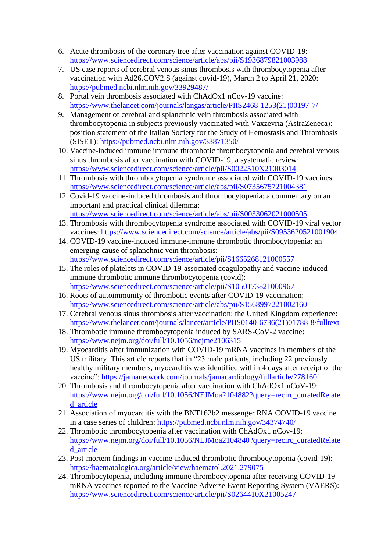- 6. Acute thrombosis of the coronary tree after vaccination against COVID-19: <https://www.sciencedirect.com/science/article/abs/pii/S1936879821003988>
- 7. US case reports of cerebral venous sinus thrombosis with thrombocytopenia after vaccination with Ad26.COV2.S (against covid-19), March 2 to April 21, 2020: <https://pubmed.ncbi.nlm.nih.gov/33929487/>
- 8. Portal vein thrombosis associated with ChAdOx1 nCov-19 vaccine: [https://www.thelancet.com/journals/langas/article/PIIS2468-1253\(21\)00197-7/](https://www.thelancet.com/journals/langas/article/PIIS2468-1253(21)00197-7/)
- 9. Management of cerebral and splanchnic vein thrombosis associated with thrombocytopenia in subjects previously vaccinated with Vaxzevria (AstraZeneca): position statement of the Italian Society for the Study of Hemostasis and Thrombosis (SISET):<https://pubmed.ncbi.nlm.nih.gov/33871350/>
- 10. Vaccine-induced immune immune thrombotic thrombocytopenia and cerebral venous sinus thrombosis after vaccination with COVID-19; a systematic review: <https://www.sciencedirect.com/science/article/pii/S0022510X21003014>
- 11. Thrombosis with thrombocytopenia syndrome associated with COVID-19 vaccines: <https://www.sciencedirect.com/science/article/abs/pii/S0735675721004381>
- 12. Covid-19 vaccine-induced thrombosis and thrombocytopenia: a commentary on an important and practical clinical dilemma: <https://www.sciencedirect.com/science/article/abs/pii/S0033062021000505>
- 13. Thrombosis with thrombocytopenia syndrome associated with COVID-19 viral vector vaccines:<https://www.sciencedirect.com/science/article/abs/pii/S0953620521001904>
- 14. COVID-19 vaccine-induced immune-immune thrombotic thrombocytopenia: an emerging cause of splanchnic vein thrombosis: <https://www.sciencedirect.com/science/article/pii/S1665268121000557>
- 15. The roles of platelets in COVID-19-associated coagulopathy and vaccine-induced immune thrombotic immune thrombocytopenia (covid): <https://www.sciencedirect.com/science/article/pii/S1050173821000967>
- 16. Roots of autoimmunity of thrombotic events after COVID-19 vaccination: <https://www.sciencedirect.com/science/article/abs/pii/S1568997221002160>
- 17. Cerebral venous sinus thrombosis after vaccination: the United Kingdom experience: [https://www.thelancet.com/journals/lancet/article/PIIS0140-6736\(21\)01788-8/fulltext](https://www.thelancet.com/journals/lancet/article/PIIS0140-6736(21)01788-8/fulltext)
- 18. Thrombotic immune thrombocytopenia induced by SARS-CoV-2 vaccine: <https://www.nejm.org/doi/full/10.1056/nejme2106315>
- 19. Myocarditis after immunization with COVID-19 mRNA vaccines in members of the US military. This article reports that in "23 male patients, including 22 previously healthy military members, myocarditis was identified within 4 days after receipt of the vaccine":<https://jamanetwork.com/journals/jamacardiology/fullarticle/2781601>
- 20. Thrombosis and thrombocytopenia after vaccination with ChAdOx1 nCoV-19: [https://www.nejm.org/doi/full/10.1056/NEJMoa2104882?query=recirc\\_curatedRelate](https://www.nejm.org/doi/full/10.1056/NEJMoa2104882?query=recirc_curatedRelated_article) [d\\_article](https://www.nejm.org/doi/full/10.1056/NEJMoa2104882?query=recirc_curatedRelated_article)
- 21. Association of myocarditis with the BNT162b2 messenger RNA COVID-19 vaccine in a case series of children:<https://pubmed.ncbi.nlm.nih.gov/34374740/>
- 22. Thrombotic thrombocytopenia after vaccination with ChAdOx1 nCov-19: [https://www.nejm.org/doi/full/10.1056/NEJMoa2104840?query=recirc\\_curatedRelate](https://www.nejm.org/doi/full/10.1056/NEJMoa2104840?query=recirc_curatedRelated_article) [d\\_article](https://www.nejm.org/doi/full/10.1056/NEJMoa2104840?query=recirc_curatedRelated_article)
- 23. Post-mortem findings in vaccine-induced thrombotic thrombocytopenia (covid-19): <https://haematologica.org/article/view/haematol.2021.279075>
- 24. Thrombocytopenia, including immune thrombocytopenia after receiving COVID-19 mRNA vaccines reported to the Vaccine Adverse Event Reporting System (VAERS): <https://www.sciencedirect.com/science/article/pii/S0264410X21005247>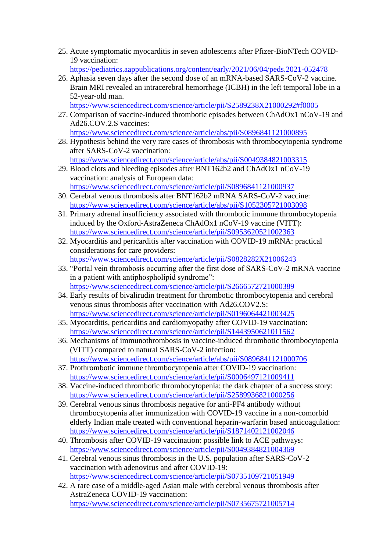25. Acute symptomatic myocarditis in seven adolescents after Pfizer-BioNTech COVID-19 vaccination:

```
https://pediatrics.aappublications.org/content/early/2021/06/04/peds.2021-052478
```
26. Aphasia seven days after the second dose of an mRNA-based SARS-CoV-2 vaccine. Brain MRI revealed an intracerebral hemorrhage (ICBH) in the left temporal lobe in a 52-year-old man.

<https://www.sciencedirect.com/science/article/pii/S2589238X21000292#f0005>

- 27. Comparison of vaccine-induced thrombotic episodes between ChAdOx1 nCoV-19 and Ad26.COV.2.S vaccines: <https://www.sciencedirect.com/science/article/abs/pii/S0896841121000895>
- 28. Hypothesis behind the very rare cases of thrombosis with thrombocytopenia syndrome after SARS-CoV-2 vaccination: <https://www.sciencedirect.com/science/article/abs/pii/S0049384821003315>
- 29. Blood clots and bleeding episodes after BNT162b2 and ChAdOx1 nCoV-19 vaccination: analysis of European data: <https://www.sciencedirect.com/science/article/pii/S0896841121000937>
- 30. Cerebral venous thrombosis after BNT162b2 mRNA SARS-CoV-2 vaccine: <https://www.sciencedirect.com/science/article/abs/pii/S1052305721003098>
- 31. Primary adrenal insufficiency associated with thrombotic immune thrombocytopenia induced by the Oxford-AstraZeneca ChAdOx1 nCoV-19 vaccine (VITT): <https://www.sciencedirect.com/science/article/pii/S0953620521002363>
- 32. Myocarditis and pericarditis after vaccination with COVID-19 mRNA: practical considerations for care providers:

<https://www.sciencedirect.com/science/article/pii/S0828282X21006243>

- 33. "Portal vein thrombosis occurring after the first dose of SARS-CoV-2 mRNA vaccine in a patient with antiphospholipid syndrome": <https://www.sciencedirect.com/science/article/pii/S2666572721000389>
- 34. Early results of bivalirudin treatment for thrombotic thrombocytopenia and cerebral venous sinus thrombosis after vaccination with Ad26.COV2.S: <https://www.sciencedirect.com/science/article/pii/S0196064421003425>
- 35. Myocarditis, pericarditis and cardiomyopathy after COVID-19 vaccination: <https://www.sciencedirect.com/science/article/pii/S1443950621011562>
- 36. Mechanisms of immunothrombosis in vaccine-induced thrombotic thrombocytopenia (VITT) compared to natural SARS-CoV-2 infection: <https://www.sciencedirect.com/science/article/abs/pii/S0896841121000706>
- 37. Prothrombotic immune thrombocytopenia after COVID-19 vaccination: <https://www.sciencedirect.com/science/article/pii/S0006497121009411>
- 38. Vaccine-induced thrombotic thrombocytopenia: the dark chapter of a success story: <https://www.sciencedirect.com/science/article/pii/S2589936821000256>
- 39. Cerebral venous sinus thrombosis negative for anti-PF4 antibody without thrombocytopenia after immunization with COVID-19 vaccine in a non-comorbid elderly Indian male treated with conventional heparin-warfarin based anticoagulation: <https://www.sciencedirect.com/science/article/pii/S1871402121002046>
- 40. Thrombosis after COVID-19 vaccination: possible link to ACE pathways: <https://www.sciencedirect.com/science/article/pii/S0049384821004369>
- 41. Cerebral venous sinus thrombosis in the U.S. population after SARS-CoV-2 vaccination with adenovirus and after COVID-19: <https://www.sciencedirect.com/science/article/pii/S0735109721051949>
- 42. A rare case of a middle-aged Asian male with cerebral venous thrombosis after AstraZeneca COVID-19 vaccination: <https://www.sciencedirect.com/science/article/pii/S0735675721005714>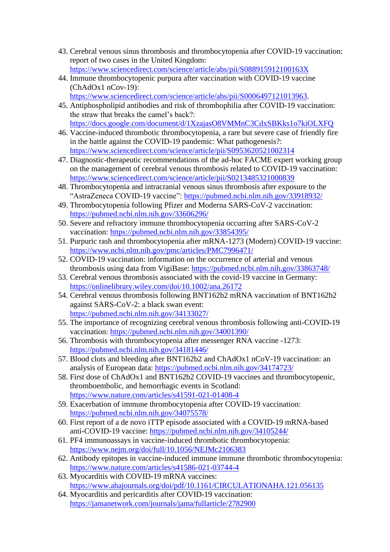- 43. Cerebral venous sinus thrombosis and thrombocytopenia after COVID-19 vaccination: report of two cases in the United Kingdom: <https://www.sciencedirect.com/science/article/abs/pii/S088915912100163X>
- 44. Immune thrombocytopenic purpura after vaccination with COVID-19 vaccine (ChAdOx1 nCov-19):
	- [https://www.sciencedirect.com/science/article/abs/pii/S0006497121013963.](https://www.sciencedirect.com/science/article/abs/pii/S0006497121013963)
- 45. Antiphospholipid antibodies and risk of thrombophilia after COVID-19 vaccination: the straw that breaks the camel's back?: <https://docs.google.com/document/d/1XzajasO8VMMnC3CdxSBKks1o7kiOLXFQ>
- 46. Vaccine-induced thrombotic thrombocytopenia, a rare but severe case of friendly fire in the battle against the COVID-19 pandemic: What pathogenesis?: <https://www.sciencedirect.com/science/article/pii/S0953620521002314>
- 47. Diagnostic-therapeutic recommendations of the ad-hoc FACME expert working group on the management of cerebral venous thrombosis related to COVID-19 vaccination: <https://www.sciencedirect.com/science/article/pii/S0213485321000839>
- 48. Thrombocytopenia and intracranial venous sinus thrombosis after exposure to the "AstraZeneca COVID-19 vaccine":<https://pubmed.ncbi.nlm.nih.gov/33918932/>
- 49. Thrombocytopenia following Pfizer and Moderna SARS-CoV-2 vaccination: <https://pubmed.ncbi.nlm.nih.gov/33606296/>
- 50. Severe and refractory immune thrombocytopenia occurring after SARS-CoV-2 vaccination:<https://pubmed.ncbi.nlm.nih.gov/33854395/>
- 51. Purpuric rash and thrombocytopenia after mRNA-1273 (Modern) COVID-19 vaccine: <https://www.ncbi.nlm.nih.gov/pmc/articles/PMC7996471/>
- 52. COVID-19 vaccination: information on the occurrence of arterial and venous thrombosis using data from VigiBase:<https://pubmed.ncbi.nlm.nih.gov/33863748/>
- 53. Cerebral venous thrombosis associated with the covid-19 vaccine in Germany: <https://onlinelibrary.wiley.com/doi/10.1002/ana.26172>
- 54. Cerebral venous thrombosis following BNT162b2 mRNA vaccination of BNT162b2 against SARS-CoV-2: a black swan event: <https://pubmed.ncbi.nlm.nih.gov/34133027/>
- 55. The importance of recognizing cerebral venous thrombosis following anti-COVID-19 vaccination:<https://pubmed.ncbi.nlm.nih.gov/34001390/>
- 56. Thrombosis with thrombocytopenia after messenger RNA vaccine -1273: <https://pubmed.ncbi.nlm.nih.gov/34181446/>
- 57. Blood clots and bleeding after BNT162b2 and ChAdOx1 nCoV-19 vaccination: an analysis of European data:<https://pubmed.ncbi.nlm.nih.gov/34174723/>
- 58. First dose of ChAdOx1 and BNT162b2 COVID-19 vaccines and thrombocytopenic, thromboembolic, and hemorrhagic events in Scotland: <https://www.nature.com/articles/s41591-021-01408-4>
- 59. Exacerbation of immune thrombocytopenia after COVID-19 vaccination: <https://pubmed.ncbi.nlm.nih.gov/34075578/>
- 60. First report of a de novo iTTP episode associated with a COVID-19 mRNA-based anti-COVID-19 vaccine:<https://pubmed.ncbi.nlm.nih.gov/34105244/>
- 61. PF4 immunoassays in vaccine-induced thrombotic thrombocytopenia: <https://www.nejm.org/doi/full/10.1056/NEJMc2106383>
- 62. Antibody epitopes in vaccine-induced immune immune thrombotic thrombocytopenia: <https://www.nature.com/articles/s41586-021-03744-4>
- 63. Myocarditis with COVID-19 mRNA vaccines: <https://www.ahajournals.org/doi/pdf/10.1161/CIRCULATIONAHA.121.056135>
- 64. Myocarditis and pericarditis after COVID-19 vaccination: <https://jamanetwork.com/journals/jama/fullarticle/2782900>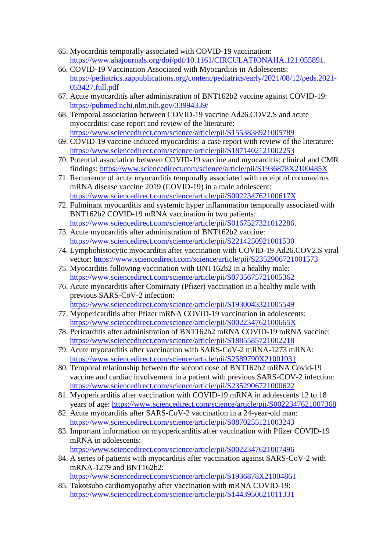- 65. Myocarditis temporally associated with COVID-19 vaccination: [https://www.ahajournals.org/doi/pdf/10.1161/CIRCULATIONAHA.121.055891.](https://www.ahajournals.org/doi/pdf/10.1161/CIRCULATIONAHA.121.055891)
- 66. COVID-19 Vaccination Associated with Myocarditis in Adolescents: [https://pediatrics.aappublications.org/content/pediatrics/early/2021/08/12/peds.2021-](https://pediatrics.aappublications.org/content/pediatrics/early/2021/08/12/peds.2021-053427.full.pdf) [053427.full.pdf](https://pediatrics.aappublications.org/content/pediatrics/early/2021/08/12/peds.2021-053427.full.pdf)
- 67. Acute myocarditis after administration of BNT162b2 vaccine against COVID-19: <https://pubmed.ncbi.nlm.nih.gov/33994339/>
- 68. Temporal association between COVID-19 vaccine Ad26.COV2.S and acute myocarditis: case report and review of the literature: <https://www.sciencedirect.com/science/article/pii/S1553838921005789>
- 69. COVID-19 vaccine-induced myocarditis: a case report with review of the literature: <https://www.sciencedirect.com/science/article/pii/S1871402121002253>
- 70. Potential association between COVID-19 vaccine and myocarditis: clinical and CMR findings:<https://www.sciencedirect.com/science/article/pii/S1936878X2100485X>
- 71. Recurrence of acute myocarditis temporally associated with receipt of coronavirus mRNA disease vaccine 2019 (COVID-19) in a male adolescent: <https://www.sciencedirect.com/science/article/pii/S002234762100617X>
- 72. Fulminant myocarditis and systemic hyper inflammation temporally associated with BNT162b2 COVID-19 mRNA vaccination in two patients: [https://www.sciencedirect.com/science/article/pii/S0167527321012286.](https://www.sciencedirect.com/science/article/pii/S0167527321012286)
- 73. Acute myocarditis after administration of BNT162b2 vaccine: <https://www.sciencedirect.com/science/article/pii/S2214250921001530>
- 74. Lymphohistocytic myocarditis after vaccination with COVID-19 Ad26.COV2.S viral vector:<https://www.sciencedirect.com/science/article/pii/S2352906721001573>
- 75. Myocarditis following vaccination with BNT162b2 in a healthy male: <https://www.sciencedirect.com/science/article/pii/S0735675721005362>
- 76. Acute myocarditis after Comirnaty (Pfizer) vaccination in a healthy male with previous SARS-CoV-2 infection: <https://www.sciencedirect.com/science/article/pii/S1930043321005549>
- 77. Myopericarditis after Pfizer mRNA COVID-19 vaccination in adolescents: <https://www.sciencedirect.com/science/article/pii/S002234762100665X>
- 78. Pericarditis after administration of BNT162b2 mRNA COVID-19 mRNA vaccine: <https://www.sciencedirect.com/science/article/pii/S1885585721002218>
- 79. Acute myocarditis after vaccination with SARS-CoV-2 mRNA-1273 mRNA: <https://www.sciencedirect.com/science/article/pii/S2589790X21001931>
- 80. Temporal relationship between the second dose of BNT162b2 mRNA Covid-19 vaccine and cardiac involvement in a patient with previous SARS-COV-2 infection: <https://www.sciencedirect.com/science/article/pii/S2352906721000622>
- 81. Myopericarditis after vaccination with COVID-19 mRNA in adolescents 12 to 18 years of age:<https://www.sciencedirect.com/science/article/pii/S0022347621007368>
- 82. Acute myocarditis after SARS-CoV-2 vaccination in a 24-year-old man: <https://www.sciencedirect.com/science/article/pii/S0870255121003243>
- 83. Important information on myopericarditis after vaccination with Pfizer COVID-19 mRNA in adolescents:
	- <https://www.sciencedirect.com/science/article/pii/S0022347621007496>
- 84. A series of patients with myocarditis after vaccination against SARS-CoV-2 with mRNA-1279 and BNT162b2: <https://www.sciencedirect.com/science/article/pii/S1936878X21004861>
- 85. Takotsubo cardiomyopathy after vaccination with mRNA COVID-19: <https://www.sciencedirect.com/science/article/pii/S1443950621011331>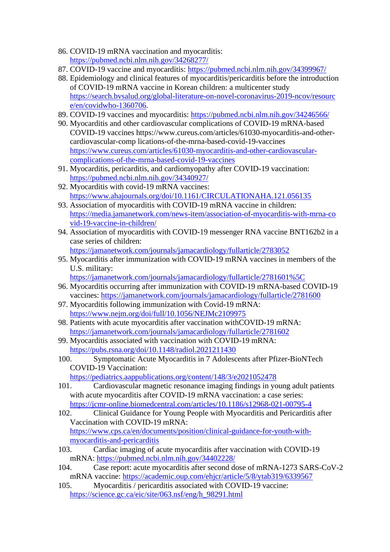- 86. COVID-19 mRNA vaccination and myocarditis: <https://pubmed.ncbi.nlm.nih.gov/34268277/>
- 87. COVID-19 vaccine and myocarditis:<https://pubmed.ncbi.nlm.nih.gov/34399967/>
- 88. Epidemiology and clinical features of myocarditis/pericarditis before the introduction of COVID-19 mRNA vaccine in Korean children: a multicenter study [https://search.bvsalud.org/global-literature-on-novel-coronavirus-2019-ncov/resourc](https://search.bvsalud.org/global-literature-on-novel-coronavirus-2019-ncov/resourc%20e/en/covidwho-1360706)  [e/en/covidwho-1360706.](https://search.bvsalud.org/global-literature-on-novel-coronavirus-2019-ncov/resourc%20e/en/covidwho-1360706)
- 89. COVID-19 vaccines and myocarditis:<https://pubmed.ncbi.nlm.nih.gov/34246566/>
- 90. Myocarditis and other cardiovascular complications of COVID-19 mRNA-based COVID-19 vaccines https://www.cureus.com/articles/61030-myocarditis-and-othercardiovascular-comp lications-of-the-mrna-based-covid-19-vaccines [https://www.cureus.com/articles/61030-myocarditis-and-other-cardiovascular](https://www.cureus.com/articles/61030-myocarditis-and-other-cardiovascular-complications-of-the-mrna-based-covid-19-vaccines)[complications-of-the-mrna-based-covid-19-vaccines](https://www.cureus.com/articles/61030-myocarditis-and-other-cardiovascular-complications-of-the-mrna-based-covid-19-vaccines)
- 91. Myocarditis, pericarditis, and cardiomyopathy after COVID-19 vaccination: <https://pubmed.ncbi.nlm.nih.gov/34340927/>
- 92. Myocarditis with covid-19 mRNA vaccines: <https://www.ahajournals.org/doi/10.1161/CIRCULATIONAHA.121.056135>
- 93. Association of myocarditis with COVID-19 mRNA vaccine in children: [https://media.jamanetwork.com/news-item/association-of-myocarditis-with-mrna-co](https://media.jamanetwork.com/news-item/association-of-myocarditis-with-mrna-co%20vid-19-vaccine-in-children/)  [vid-19-vaccine-in-children/](https://media.jamanetwork.com/news-item/association-of-myocarditis-with-mrna-co%20vid-19-vaccine-in-children/)
- 94. Association of myocarditis with COVID-19 messenger RNA vaccine BNT162b2 in a case series of children:

<https://jamanetwork.com/journals/jamacardiology/fullarticle/2783052>

95. Myocarditis after immunization with COVID-19 mRNA vaccines in members of the U.S. military:

<https://jamanetwork.com/journals/jamacardiology/fullarticle/2781601%5C>

- 96. Myocarditis occurring after immunization with COVID-19 mRNA-based COVID-19 vaccines:<https://jamanetwork.com/journals/jamacardiology/fullarticle/2781600>
- 97. Myocarditis following immunization with Covid-19 mRNA: <https://www.nejm.org/doi/full/10.1056/NEJMc2109975>
- 98. Patients with acute myocarditis after vaccination withCOVID-19 mRNA: <https://jamanetwork.com/journals/jamacardiology/fullarticle/2781602>
- 99. Myocarditis associated with vaccination with COVID-19 mRNA: <https://pubs.rsna.org/doi/10.1148/radiol.2021211430>
- 100. Symptomatic Acute Myocarditis in 7 Adolescents after Pfizer-BioNTech COVID-19 Vaccination:

<https://pediatrics.aappublications.org/content/148/3/e2021052478>

- 101. Cardiovascular magnetic resonance imaging findings in young adult patients with acute myocarditis after COVID-19 mRNA vaccination: a case series: <https://jcmr-online.biomedcentral.com/articles/10.1186/s12968-021-00795-4>
- 102. Clinical Guidance for Young People with Myocarditis and Pericarditis after Vaccination with COVID-19 mRNA: [https://www.cps.ca/en/documents/position/clinical-guidance-for-youth-with](https://www.cps.ca/en/documents/position/clinical-guidance-for-youth-with-myocarditis-and-pericarditis)[myocarditis-and-pericarditis](https://www.cps.ca/en/documents/position/clinical-guidance-for-youth-with-myocarditis-and-pericarditis)
- 103. Cardiac imaging of acute myocarditis after vaccination with COVID-19 mRNA:<https://pubmed.ncbi.nlm.nih.gov/34402228/>
- 104. Case report: acute myocarditis after second dose of mRNA-1273 SARS-CoV-2 mRNA vaccine:<https://academic.oup.com/ehjcr/article/5/8/ytab319/6339567>
- 105. Myocarditis / pericarditis associated with COVID-19 vaccine: [https://science.gc.ca/eic/site/063.nsf/eng/h\\_98291.html](https://science.gc.ca/eic/site/063.nsf/eng/h_98291.html)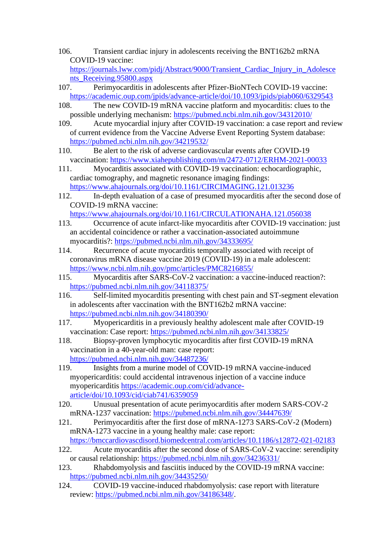106. Transient cardiac injury in adolescents receiving the BNT162b2 mRNA COVID-19 vaccine:

[https://journals.lww.com/pidj/Abstract/9000/Transient\\_Cardiac\\_Injury\\_in\\_Adolesce](https://journals.lww.com/pidj/Abstract/9000/Transient_Cardiac_Injury_in_Adolesce%20nts_Receiving.95800.aspx)  [nts\\_Receiving.95800.aspx](https://journals.lww.com/pidj/Abstract/9000/Transient_Cardiac_Injury_in_Adolesce%20nts_Receiving.95800.aspx)

- 107. Perimyocarditis in adolescents after Pfizer-BioNTech COVID-19 vaccine: <https://academic.oup.com/jpids/advance-article/doi/10.1093/jpids/piab060/6329543>
- 108. The new COVID-19 mRNA vaccine platform and myocarditis: clues to the possible underlying mechanism:<https://pubmed.ncbi.nlm.nih.gov/34312010/>
- 109. Acute myocardial injury after COVID-19 vaccination: a case report and review of current evidence from the Vaccine Adverse Event Reporting System database: <https://pubmed.ncbi.nlm.nih.gov/34219532/>
- 110. Be alert to the risk of adverse cardiovascular events after COVID-19 vaccination:<https://www.xiahepublishing.com/m/2472-0712/ERHM-2021-00033>
- 111. Myocarditis associated with COVID-19 vaccination: echocardiographic, cardiac tomography, and magnetic resonance imaging findings: <https://www.ahajournals.org/doi/10.1161/CIRCIMAGING.121.013236>
- 112. In-depth evaluation of a case of presumed myocarditis after the second dose of COVID-19 mRNA vaccine:

<https://www.ahajournals.org/doi/10.1161/CIRCULATIONAHA.121.056038>

- 113. Occurrence of acute infarct-like myocarditis after COVID-19 vaccination: just an accidental coincidence or rather a vaccination-associated autoimmune myocarditis?:<https://pubmed.ncbi.nlm.nih.gov/34333695/>
- 114. Recurrence of acute myocarditis temporally associated with receipt of coronavirus mRNA disease vaccine 2019 (COVID-19) in a male adolescent: <https://www.ncbi.nlm.nih.gov/pmc/articles/PMC8216855/>
- 115. Myocarditis after SARS-CoV-2 vaccination: a vaccine-induced reaction?: <https://pubmed.ncbi.nlm.nih.gov/34118375/>
- 116. Self-limited myocarditis presenting with chest pain and ST-segment elevation in adolescents after vaccination with the BNT162b2 mRNA vaccine: <https://pubmed.ncbi.nlm.nih.gov/34180390/>
- 117. Myopericarditis in a previously healthy adolescent male after COVID-19 vaccination: Case report:<https://pubmed.ncbi.nlm.nih.gov/34133825/>
- 118. Biopsy-proven lymphocytic myocarditis after first COVID-19 mRNA vaccination in a 40-year-old man: case report: <https://pubmed.ncbi.nlm.nih.gov/34487236/>
- 119. Insights from a murine model of COVID-19 mRNA vaccine-induced myopericarditis: could accidental intravenous injection of a vaccine induce myopericarditis [https://academic.oup.com/cid/advance](https://academic.oup.com/cid/advance-article/doi/10.1093/cid/ciab741/6359059)[article/doi/10.1093/cid/ciab741/6359059](https://academic.oup.com/cid/advance-article/doi/10.1093/cid/ciab741/6359059)
- 120. Unusual presentation of acute perimyocarditis after modern SARS-COV-2 mRNA-1237 vaccination:<https://pubmed.ncbi.nlm.nih.gov/34447639/>
- 121. Perimyocarditis after the first dose of mRNA-1273 SARS-CoV-2 (Modern) mRNA-1273 vaccine in a young healthy male: case report: <https://bmccardiovascdisord.biomedcentral.com/articles/10.1186/s12872-021-02183>
- 122. Acute myocarditis after the second dose of SARS-CoV-2 vaccine: serendipity or causal relationship:<https://pubmed.ncbi.nlm.nih.gov/34236331/>
- 123. Rhabdomyolysis and fasciitis induced by the COVID-19 mRNA vaccine: <https://pubmed.ncbi.nlm.nih.gov/34435250/>
- 124. COVID-19 vaccine-induced rhabdomyolysis: case report with literature review: [https://pubmed.ncbi.nlm.nih.gov/34186348/.](https://pubmed.ncbi.nlm.nih.gov/34186348/)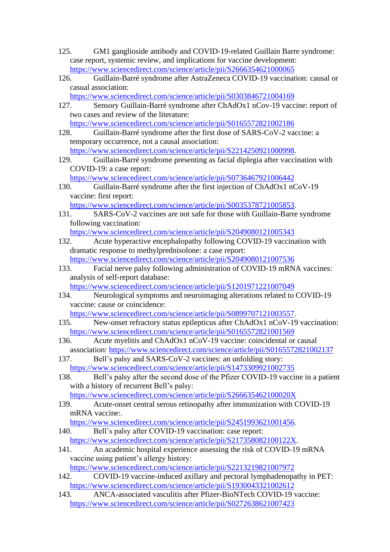- 125. GM1 ganglioside antibody and COVID-19-related Guillain Barre syndrome: case report, systemic review, and implications for vaccine development: <https://www.sciencedirect.com/science/article/pii/S2666354621000065>
- 126. Guillain-Barré syndrome after AstraZeneca COVID-19 vaccination: causal or casual association:

<https://www.sciencedirect.com/science/article/pii/S0303846721004169>

- 127. Sensory Guillain-Barré syndrome after ChAdOx1 nCov-19 vaccine: report of two cases and review of the literature: <https://www.sciencedirect.com/science/article/pii/S0165572821002186>
- 128. Guillain-Barré syndrome after the first dose of SARS-CoV-2 vaccine: a temporary occurrence, not a causal association: [https://www.sciencedirect.com/science/article/pii/S2214250921000998.](https://www.sciencedirect.com/science/article/pii/S2214250921000998)
- 129. Guillain-Barré syndrome presenting as facial diplegia after vaccination with COVID-19: a case report:

<https://www.sciencedirect.com/science/article/pii/S0736467921006442>

130. Guillain-Barré syndrome after the first injection of ChAdOx1 nCoV-19 vaccine: first report:

[https://www.sciencedirect.com/science/article/pii/S0035378721005853.](https://www.sciencedirect.com/science/article/pii/S0035378721005853)

131. SARS-CoV-2 vaccines are not safe for those with Guillain-Barre syndrome following vaccination:

<https://www.sciencedirect.com/science/article/pii/S2049080121005343>

- 132. Acute hyperactive encephalopathy following COVID-19 vaccination with dramatic response to methylprednisolone: a case report: <https://www.sciencedirect.com/science/article/pii/S2049080121007536>
- 133. Facial nerve palsy following administration of COVID-19 mRNA vaccines: analysis of self-report database:

<https://www.sciencedirect.com/science/article/pii/S1201971221007049>

134. Neurological symptoms and neuroimaging alterations related to COVID-19 vaccine: cause or coincidence:

[https://www.sciencedirect.com/science/article/pii/S0899707121003557.](https://www.sciencedirect.com/science/article/pii/S0899707121003557)

- 135. New-onset refractory status epilepticus after ChAdOx1 nCoV-19 vaccination: <https://www.sciencedirect.com/science/article/pii/S0165572821001569>
- 136. Acute myelitis and ChAdOx1 nCoV-19 vaccine: coincidental or causal association:<https://www.sciencedirect.com/science/article/pii/S0165572821002137>
- 137. Bell's palsy and SARS-CoV-2 vaccines: an unfolding story: <https://www.sciencedirect.com/science/article/pii/S1473309921002735>
- 138. Bell's palsy after the second dose of the Pfizer COVID-19 vaccine in a patient with a history of recurrent Bell's palsy:

<https://www.sciencedirect.com/science/article/pii/S266635462100020X>

139. Acute-onset central serous retinopathy after immunization with COVID-19 mRNA vaccine:.

[https://www.sciencedirect.com/science/article/pii/S2451993621001456.](https://www.sciencedirect.com/science/article/pii/S2451993621001456)

- 140. Bell's palsy after COVID-19 vaccination: case report: [https://www.sciencedirect.com/science/article/pii/S217358082100122X.](https://www.sciencedirect.com/science/article/pii/S217358082100122X)
- 141. An academic hospital experience assessing the risk of COVID-19 mRNA vaccine using patient's allergy history: <https://www.sciencedirect.com/science/article/pii/S2213219821007972>
- 142. COVID-19 vaccine-induced axillary and pectoral lymphadenopathy in PET: <https://www.sciencedirect.com/science/article/pii/S1930043321002612>
- 143. ANCA-associated vasculitis after Pfizer-BioNTech COVID-19 vaccine: <https://www.sciencedirect.com/science/article/pii/S0272638621007423>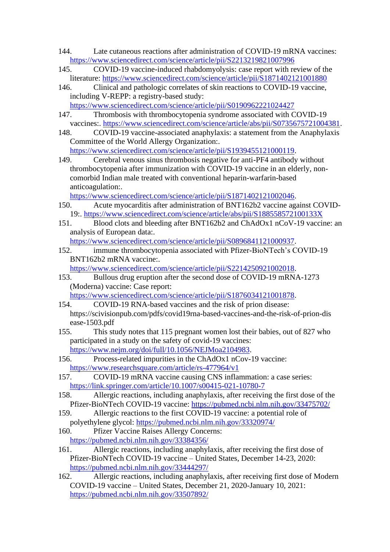- 144. Late cutaneous reactions after administration of COVID-19 mRNA vaccines: <https://www.sciencedirect.com/science/article/pii/S2213219821007996>
- 145. COVID-19 vaccine-induced rhabdomyolysis: case report with review of the literature:<https://www.sciencedirect.com/science/article/pii/S1871402121001880>
- 146. Clinical and pathologic correlates of skin reactions to COVID-19 vaccine, including V-REPP: a registry-based study:
	- <https://www.sciencedirect.com/science/article/pii/S0190962221024427>
- 147. Thrombosis with thrombocytopenia syndrome associated with COVID-19 vaccines:. [https://www.sciencedirect.com/science/article/abs/pii/S0735675721004381.](https://www.sciencedirect.com/science/article/abs/pii/S0735675721004381)
- 148. COVID-19 vaccine-associated anaphylaxis: a statement from the Anaphylaxis Committee of the World Allergy Organization:. [https://www.sciencedirect.com/science/article/pii/S1939455121000119.](https://www.sciencedirect.com/science/article/pii/S1939455121000119)
- 149. Cerebral venous sinus thrombosis negative for anti-PF4 antibody without thrombocytopenia after immunization with COVID-19 vaccine in an elderly, noncomorbid Indian male treated with conventional heparin-warfarin-based anticoagulation:.

[https://www.sciencedirect.com/science/article/pii/S1871402121002046.](https://www.sciencedirect.com/science/article/pii/S1871402121002046)

- 150. Acute myocarditis after administration of BNT162b2 vaccine against COVID-19:.<https://www.sciencedirect.com/science/article/abs/pii/S188558572100133X>
- 151. Blood clots and bleeding after BNT162b2 and ChAdOx1 nCoV-19 vaccine: an analysis of European data:.

[https://www.sciencedirect.com/science/article/pii/S0896841121000937.](https://www.sciencedirect.com/science/article/pii/S0896841121000937)

152. immune thrombocytopenia associated with Pfizer-BioNTech's COVID-19 BNT162b2 mRNA vaccine:.

[https://www.sciencedirect.com/science/article/pii/S2214250921002018.](https://www.sciencedirect.com/science/article/pii/S2214250921002018)

153. Bullous drug eruption after the second dose of COVID-19 mRNA-1273 (Moderna) vaccine: Case report:

[https://www.sciencedirect.com/science/article/pii/S1876034121001878.](https://www.sciencedirect.com/science/article/pii/S1876034121001878)

- 154. COVID-19 RNA-based vaccines and the risk of prion disease: https://scivisionpub.com/pdfs/covid19rna-based-vaccines-and-the-risk-of-prion-dis ease-1503.pdf
- 155. This study notes that 115 pregnant women lost their babies, out of 827 who participated in a study on the safety of covid-19 vaccines: [https://www.nejm.org/doi/full/10.1056/NEJMoa2104983.](https://www.nejm.org/doi/full/10.1056/NEJMoa2104983)
- 156. Process-related impurities in the ChAdOx1 nCov-19 vaccine: <https://www.researchsquare.com/article/rs-477964/v1>
- 157. COVID-19 mRNA vaccine causing CNS inflammation: a case series: <https://link.springer.com/article/10.1007/s00415-021-10780-7>
- 158. Allergic reactions, including anaphylaxis, after receiving the first dose of the Pfizer-BioNTech COVID-19 vaccine:<https://pubmed.ncbi.nlm.nih.gov/33475702/>
- 159. Allergic reactions to the first COVID-19 vaccine: a potential role of polyethylene glycol:<https://pubmed.ncbi.nlm.nih.gov/33320974/>
- 160. Pfizer Vaccine Raises Allergy Concerns: <https://pubmed.ncbi.nlm.nih.gov/33384356/>
- 161. Allergic reactions, including anaphylaxis, after receiving the first dose of Pfizer-BioNTech COVID-19 vaccine – United States, December 14-23, 2020: <https://pubmed.ncbi.nlm.nih.gov/33444297/>
- 162. Allergic reactions, including anaphylaxis, after receiving first dose of Modern COVID-19 vaccine – United States, December 21, 2020-January 10, 2021: <https://pubmed.ncbi.nlm.nih.gov/33507892/>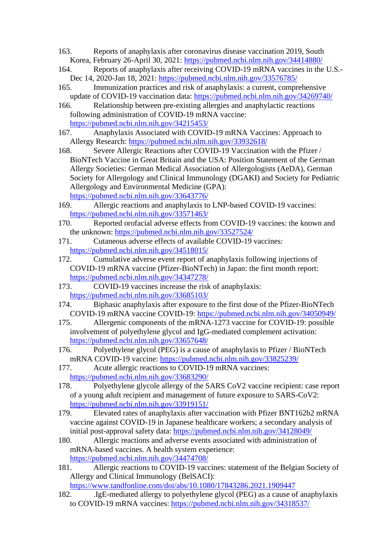- 163. Reports of anaphylaxis after coronavirus disease vaccination 2019, South Korea, February 26-April 30, 2021:<https://pubmed.ncbi.nlm.nih.gov/34414880/>
- 164. Reports of anaphylaxis after receiving COVID-19 mRNA vaccines in the U.S.- Dec 14, 2020-Jan 18, 2021:<https://pubmed.ncbi.nlm.nih.gov/33576785/>
- 165. Immunization practices and risk of anaphylaxis: a current, comprehensive update of COVID-19 vaccination data:<https://pubmed.ncbi.nlm.nih.gov/34269740/>
- 166. Relationship between pre-existing allergies and anaphylactic reactions following administration of COVID-19 mRNA vaccine: <https://pubmed.ncbi.nlm.nih.gov/34215453/>
- 167. Anaphylaxis Associated with COVID-19 mRNA Vaccines: Approach to Allergy Research:<https://pubmed.ncbi.nlm.nih.gov/33932618/>

168. Severe Allergic Reactions after COVID-19 Vaccination with the Pfizer / BioNTech Vaccine in Great Britain and the USA: Position Statement of the German Allergy Societies: German Medical Association of Allergologists (AeDA), German Society for Allergology and Clinical Immunology (DGAKI) and Society for Pediatric Allergology and Environmental Medicine (GPA): <https://pubmed.ncbi.nlm.nih.gov/33643776/>

- 169. Allergic reactions and anaphylaxis to LNP-based COVID-19 vaccines: <https://pubmed.ncbi.nlm.nih.gov/33571463/>
- 170. Reported orofacial adverse effects from COVID-19 vaccines: the known and the unknown:<https://pubmed.ncbi.nlm.nih.gov/33527524/>
- 171. Cutaneous adverse effects of available COVID-19 vaccines: <https://pubmed.ncbi.nlm.nih.gov/34518015/>
- 172. Cumulative adverse event report of anaphylaxis following injections of COVID-19 mRNA vaccine (Pfizer-BioNTech) in Japan: the first month report: <https://pubmed.ncbi.nlm.nih.gov/34347278/>
- 173. COVID-19 vaccines increase the risk of anaphylaxis: <https://pubmed.ncbi.nlm.nih.gov/33685103/>
- 174. Biphasic anaphylaxis after exposure to the first dose of the Pfizer-BioNTech COVID-19 mRNA vaccine COVID-19:<https://pubmed.ncbi.nlm.nih.gov/34050949/>
- 175. Allergenic components of the mRNA-1273 vaccine for COVID-19: possible involvement of polyethylene glycol and IgG-mediated complement activation: <https://pubmed.ncbi.nlm.nih.gov/33657648/>
- 176. Polyethylene glycol (PEG) is a cause of anaphylaxis to Pfizer / BioNTech mRNA COVID-19 vaccine:<https://pubmed.ncbi.nlm.nih.gov/33825239/>
- 177. Acute allergic reactions to COVID-19 mRNA vaccines: <https://pubmed.ncbi.nlm.nih.gov/33683290/>
- 178. Polyethylene glycole allergy of the SARS CoV2 vaccine recipient: case report of a young adult recipient and management of future exposure to SARS-CoV2: <https://pubmed.ncbi.nlm.nih.gov/33919151/>
- 179. Elevated rates of anaphylaxis after vaccination with Pfizer BNT162b2 mRNA vaccine against COVID-19 in Japanese healthcare workers; a secondary analysis of initial post-approval safety data:<https://pubmed.ncbi.nlm.nih.gov/34128049/>
- 180. Allergic reactions and adverse events associated with administration of mRNA-based vaccines. A health system experience: <https://pubmed.ncbi.nlm.nih.gov/34474708/>
- 181. Allergic reactions to COVID-19 vaccines: statement of the Belgian Society of Allergy and Clinical Immunology (BelSACI): <https://www.tandfonline.com/doi/abs/10.1080/17843286.2021.1909447>
- 182. .IgE-mediated allergy to polyethylene glycol (PEG) as a cause of anaphylaxis to COVID-19 mRNA vaccines:<https://pubmed.ncbi.nlm.nih.gov/34318537/>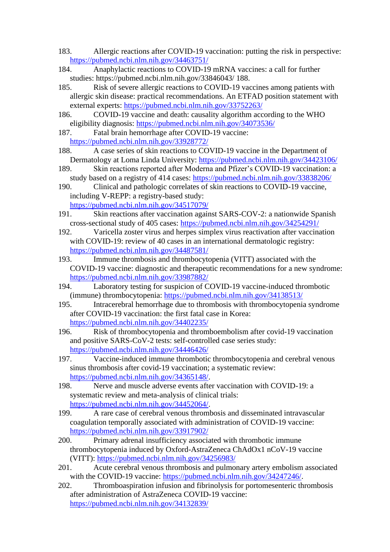- 183. Allergic reactions after COVID-19 vaccination: putting the risk in perspective: <https://pubmed.ncbi.nlm.nih.gov/34463751/>
- 184. Anaphylactic reactions to COVID-19 mRNA vaccines: a call for further studies: https://pubmed.ncbi.nlm.nih.gov/33846043/ 188.
- 185. Risk of severe allergic reactions to COVID-19 vaccines among patients with allergic skin disease: practical recommendations. An ETFAD position statement with external experts:<https://pubmed.ncbi.nlm.nih.gov/33752263/>
- 186. COVID-19 vaccine and death: causality algorithm according to the WHO eligibility diagnosis:<https://pubmed.ncbi.nlm.nih.gov/34073536/>
- 187. Fatal brain hemorrhage after COVID-19 vaccine: <https://pubmed.ncbi.nlm.nih.gov/33928772/>
- 188. A case series of skin reactions to COVID-19 vaccine in the Department of Dermatology at Loma Linda University:<https://pubmed.ncbi.nlm.nih.gov/34423106/>
- 189. Skin reactions reported after Moderna and Pfizer's COVID-19 vaccination: a study based on a registry of 414 cases:<https://pubmed.ncbi.nlm.nih.gov/33838206/>
- 190. Clinical and pathologic correlates of skin reactions to COVID-19 vaccine, including V-REPP: a registry-based study:
	- <https://pubmed.ncbi.nlm.nih.gov/34517079/>
- 191. Skin reactions after vaccination against SARS-COV-2: a nationwide Spanish cross-sectional study of 405 cases:<https://pubmed.ncbi.nlm.nih.gov/34254291/>
- 192. Varicella zoster virus and herpes simplex virus reactivation after vaccination with COVID-19: review of 40 cases in an international dermatologic registry: <https://pubmed.ncbi.nlm.nih.gov/34487581/>
- 193. Immune thrombosis and thrombocytopenia (VITT) associated with the COVID-19 vaccine: diagnostic and therapeutic recommendations for a new syndrome: <https://pubmed.ncbi.nlm.nih.gov/33987882/>
- 194. Laboratory testing for suspicion of COVID-19 vaccine-induced thrombotic (immune) thrombocytopenia:<https://pubmed.ncbi.nlm.nih.gov/34138513/>
- 195. Intracerebral hemorrhage due to thrombosis with thrombocytopenia syndrome after COVID-19 vaccination: the first fatal case in Korea: <https://pubmed.ncbi.nlm.nih.gov/34402235/>
- 196. Risk of thrombocytopenia and thromboembolism after covid-19 vaccination and positive SARS-CoV-2 tests: self-controlled case series study: <https://pubmed.ncbi.nlm.nih.gov/34446426/>
- 197. Vaccine-induced immune thrombotic thrombocytopenia and cerebral venous sinus thrombosis after covid-19 vaccination; a systematic review: [https://pubmed.ncbi.nlm.nih.gov/34365148/.](https://pubmed.ncbi.nlm.nih.gov/34365148/)
- 198. Nerve and muscle adverse events after vaccination with COVID-19: a systematic review and meta-analysis of clinical trials: [https://pubmed.ncbi.nlm.nih.gov/34452064/.](https://pubmed.ncbi.nlm.nih.gov/34452064/)
- 199. A rare case of cerebral venous thrombosis and disseminated intravascular coagulation temporally associated with administration of COVID-19 vaccine: <https://pubmed.ncbi.nlm.nih.gov/33917902/>
- 200. Primary adrenal insufficiency associated with thrombotic immune thrombocytopenia induced by Oxford-AstraZeneca ChAdOx1 nCoV-19 vaccine (VITT):<https://pubmed.ncbi.nlm.nih.gov/34256983/>
- 201. Acute cerebral venous thrombosis and pulmonary artery embolism associated with the COVID-19 vaccine: [https://pubmed.ncbi.nlm.nih.gov/34247246/.](https://pubmed.ncbi.nlm.nih.gov/34247246/)
- 202. Thromboaspiration infusion and fibrinolysis for portomesenteric thrombosis after administration of AstraZeneca COVID-19 vaccine: <https://pubmed.ncbi.nlm.nih.gov/34132839/>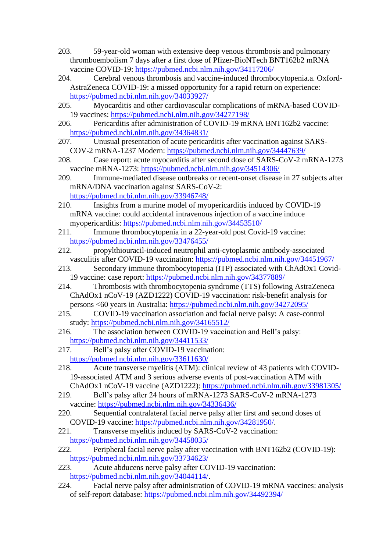- 203. 59-year-old woman with extensive deep venous thrombosis and pulmonary thromboembolism 7 days after a first dose of Pfizer-BioNTech BNT162b2 mRNA vaccine COVID-19:<https://pubmed.ncbi.nlm.nih.gov/34117206/>
- 204. Cerebral venous thrombosis and vaccine-induced thrombocytopenia.a. Oxford-AstraZeneca COVID-19: a missed opportunity for a rapid return on experience: <https://pubmed.ncbi.nlm.nih.gov/34033927/>
- 205. Myocarditis and other cardiovascular complications of mRNA-based COVID-19 vaccines:<https://pubmed.ncbi.nlm.nih.gov/34277198/>
- 206. Pericarditis after administration of COVID-19 mRNA BNT162b2 vaccine: <https://pubmed.ncbi.nlm.nih.gov/34364831/>
- 207. Unusual presentation of acute pericarditis after vaccination against SARS-COV-2 mRNA-1237 Modern:<https://pubmed.ncbi.nlm.nih.gov/34447639/>
- 208. Case report: acute myocarditis after second dose of SARS-CoV-2 mRNA-1273 vaccine mRNA-1273:<https://pubmed.ncbi.nlm.nih.gov/34514306/>
- 209. Immune-mediated disease outbreaks or recent-onset disease in 27 subjects after mRNA/DNA vaccination against SARS-CoV-2: <https://pubmed.ncbi.nlm.nih.gov/33946748/>
- 210. Insights from a murine model of myopericarditis induced by COVID-19 mRNA vaccine: could accidental intravenous injection of a vaccine induce myopericarditis:<https://pubmed.ncbi.nlm.nih.gov/34453510/>
- 211. Immune thrombocytopenia in a 22-year-old post Covid-19 vaccine: <https://pubmed.ncbi.nlm.nih.gov/33476455/>
- 212. propylthiouracil-induced neutrophil anti-cytoplasmic antibody-associated vasculitis after COVID-19 vaccination:<https://pubmed.ncbi.nlm.nih.gov/34451967/>
- 213. Secondary immune thrombocytopenia (ITP) associated with ChAdOx1 Covid-19 vaccine: case report:<https://pubmed.ncbi.nlm.nih.gov/34377889/>
- 214. Thrombosis with thrombocytopenia syndrome (TTS) following AstraZeneca ChAdOx1 nCoV-19 (AZD1222) COVID-19 vaccination: risk-benefit analysis for persons <60 years in Australia:<https://pubmed.ncbi.nlm.nih.gov/34272095/>
- 215. COVID-19 vaccination association and facial nerve palsy: A case-control study:<https://pubmed.ncbi.nlm.nih.gov/34165512/>
- 216. The association between COVID-19 vaccination and Bell's palsy: <https://pubmed.ncbi.nlm.nih.gov/34411533/>
- 217. Bell's palsy after COVID-19 vaccination: <https://pubmed.ncbi.nlm.nih.gov/33611630/>
- 218. Acute transverse myelitis (ATM): clinical review of 43 patients with COVID-19-associated ATM and 3 serious adverse events of post-vaccination ATM with ChAdOx1 nCoV-19 vaccine (AZD1222):<https://pubmed.ncbi.nlm.nih.gov/33981305/>
- 219. Bell's palsy after 24 hours of mRNA-1273 SARS-CoV-2 mRNA-1273 vaccine:<https://pubmed.ncbi.nlm.nih.gov/34336436/>
- 220. Sequential contralateral facial nerve palsy after first and second doses of COVID-19 vaccine: [https://pubmed.ncbi.nlm.nih.gov/34281950/.](https://pubmed.ncbi.nlm.nih.gov/34281950/)
- 221. Transverse myelitis induced by SARS-CoV-2 vaccination: <https://pubmed.ncbi.nlm.nih.gov/34458035/>
- 222. Peripheral facial nerve palsy after vaccination with BNT162b2 (COVID-19): <https://pubmed.ncbi.nlm.nih.gov/33734623/>
- 223. Acute abducens nerve palsy after COVID-19 vaccination: [https://pubmed.ncbi.nlm.nih.gov/34044114/.](https://pubmed.ncbi.nlm.nih.gov/34044114/)
- 224. Facial nerve palsy after administration of COVID-19 mRNA vaccines: analysis of self-report database:<https://pubmed.ncbi.nlm.nih.gov/34492394/>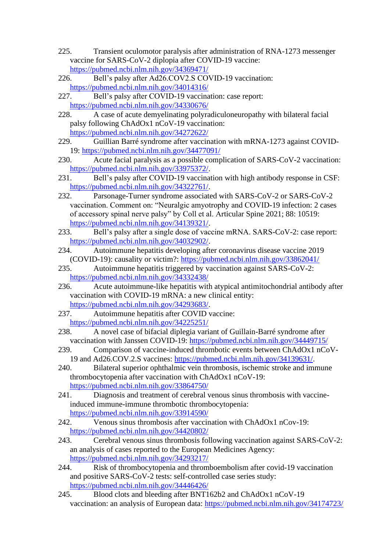- 225. Transient oculomotor paralysis after administration of RNA-1273 messenger vaccine for SARS-CoV-2 diplopia after COVID-19 vaccine: <https://pubmed.ncbi.nlm.nih.gov/34369471/>
- 226. Bell's palsy after Ad26.COV2.S COVID-19 vaccination: <https://pubmed.ncbi.nlm.nih.gov/34014316/>
- 227. Bell's palsy after COVID-19 vaccination: case report: <https://pubmed.ncbi.nlm.nih.gov/34330676/>
- 228. A case of acute demyelinating polyradiculoneuropathy with bilateral facial palsy following ChAdOx1 nCoV-19 vaccination: <https://pubmed.ncbi.nlm.nih.gov/34272622/>
- 229. Guillian Barré syndrome after vaccination with mRNA-1273 against COVID-19:<https://pubmed.ncbi.nlm.nih.gov/34477091/>
- 230. Acute facial paralysis as a possible complication of SARS-CoV-2 vaccination: [https://pubmed.ncbi.nlm.nih.gov/33975372/.](https://pubmed.ncbi.nlm.nih.gov/33975372/)
- 231. Bell's palsy after COVID-19 vaccination with high antibody response in CSF: [https://pubmed.ncbi.nlm.nih.gov/34322761/.](https://pubmed.ncbi.nlm.nih.gov/34322761/)
- 232. Parsonage-Turner syndrome associated with SARS-CoV-2 or SARS-CoV-2 vaccination. Comment on: "Neuralgic amyotrophy and COVID-19 infection: 2 cases of accessory spinal nerve palsy" by Coll et al. Articular Spine 2021; 88: 10519: [https://pubmed.ncbi.nlm.nih.gov/34139321/.](https://pubmed.ncbi.nlm.nih.gov/34139321/)
- 233. Bell's palsy after a single dose of vaccine mRNA. SARS-CoV-2: case report: [https://pubmed.ncbi.nlm.nih.gov/34032902/.](https://pubmed.ncbi.nlm.nih.gov/34032902/)
- 234. Autoimmune hepatitis developing after coronavirus disease vaccine 2019 (COVID-19): causality or victim?:<https://pubmed.ncbi.nlm.nih.gov/33862041/>
- 235. Autoimmune hepatitis triggered by vaccination against SARS-CoV-2: <https://pubmed.ncbi.nlm.nih.gov/34332438/>
- 236. Acute autoimmune-like hepatitis with atypical antimitochondrial antibody after vaccination with COVID-19 mRNA: a new clinical entity: [https://pubmed.ncbi.nlm.nih.gov/34293683/.](https://pubmed.ncbi.nlm.nih.gov/34293683/)
- 237. Autoimmune hepatitis after COVID vaccine: <https://pubmed.ncbi.nlm.nih.gov/34225251/>
- 238. A novel case of bifacial diplegia variant of Guillain-Barré syndrome after vaccination with Janssen COVID-19:<https://pubmed.ncbi.nlm.nih.gov/34449715/>
- 239. Comparison of vaccine-induced thrombotic events between ChAdOx1 nCoV-19 and Ad26.COV.2.S vaccines: [https://pubmed.ncbi.nlm.nih.gov/34139631/.](https://pubmed.ncbi.nlm.nih.gov/34139631/)
- 240. Bilateral superior ophthalmic vein thrombosis, ischemic stroke and immune thrombocytopenia after vaccination with ChAdOx1 nCoV-19: <https://pubmed.ncbi.nlm.nih.gov/33864750/>
- 241. Diagnosis and treatment of cerebral venous sinus thrombosis with vaccineinduced immune-immune thrombotic thrombocytopenia: <https://pubmed.ncbi.nlm.nih.gov/33914590/>
- 242. Venous sinus thrombosis after vaccination with ChAdOx1 nCov-19: <https://pubmed.ncbi.nlm.nih.gov/34420802/>
- 243. Cerebral venous sinus thrombosis following vaccination against SARS-CoV-2: an analysis of cases reported to the European Medicines Agency: <https://pubmed.ncbi.nlm.nih.gov/34293217/>
- 244. Risk of thrombocytopenia and thromboembolism after covid-19 vaccination and positive SARS-CoV-2 tests: self-controlled case series study: <https://pubmed.ncbi.nlm.nih.gov/34446426/>
- 245. Blood clots and bleeding after BNT162b2 and ChAdOx1 nCoV-19 vaccination: an analysis of European data:<https://pubmed.ncbi.nlm.nih.gov/34174723/>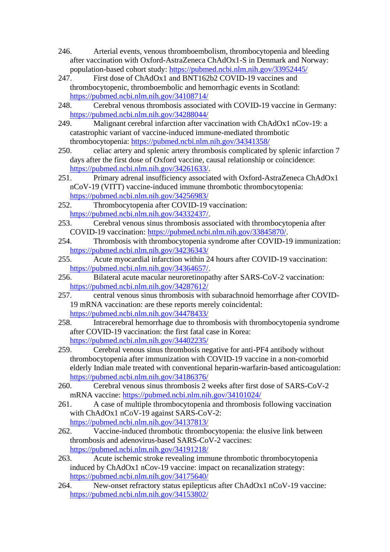- 246. Arterial events, venous thromboembolism, thrombocytopenia and bleeding after vaccination with Oxford-AstraZeneca ChAdOx1-S in Denmark and Norway: population-based cohort study:<https://pubmed.ncbi.nlm.nih.gov/33952445/>
- 247. First dose of ChAdOx1 and BNT162b2 COVID-19 vaccines and thrombocytopenic, thromboembolic and hemorrhagic events in Scotland: <https://pubmed.ncbi.nlm.nih.gov/34108714/>
- 248. Cerebral venous thrombosis associated with COVID-19 vaccine in Germany: <https://pubmed.ncbi.nlm.nih.gov/34288044/>
- 249. Malignant cerebral infarction after vaccination with ChAdOx1 nCov-19: a catastrophic variant of vaccine-induced immune-mediated thrombotic thrombocytopenia:<https://pubmed.ncbi.nlm.nih.gov/34341358/>
- 250. celiac artery and splenic artery thrombosis complicated by splenic infarction 7 days after the first dose of Oxford vaccine, causal relationship or coincidence: [https://pubmed.ncbi.nlm.nih.gov/34261633/.](https://pubmed.ncbi.nlm.nih.gov/34261633/)
- 251. Primary adrenal insufficiency associated with Oxford-AstraZeneca ChAdOx1 nCoV-19 (VITT) vaccine-induced immune thrombotic thrombocytopenia: <https://pubmed.ncbi.nlm.nih.gov/34256983/>
- 252. Thrombocytopenia after COVID-19 vaccination: [https://pubmed.ncbi.nlm.nih.gov/34332437/.](https://pubmed.ncbi.nlm.nih.gov/34332437/)
- 253. Cerebral venous sinus thrombosis associated with thrombocytopenia after COVID-19 vaccination: [https://pubmed.ncbi.nlm.nih.gov/33845870/.](https://pubmed.ncbi.nlm.nih.gov/33845870/)
- 254. Thrombosis with thrombocytopenia syndrome after COVID-19 immunization: <https://pubmed.ncbi.nlm.nih.gov/34236343/>
- 255. Acute myocardial infarction within 24 hours after COVID-19 vaccination: [https://pubmed.ncbi.nlm.nih.gov/34364657/.](https://pubmed.ncbi.nlm.nih.gov/34364657/)
- 256. Bilateral acute macular neuroretinopathy after SARS-CoV-2 vaccination: <https://pubmed.ncbi.nlm.nih.gov/34287612/>
- 257. central venous sinus thrombosis with subarachnoid hemorrhage after COVID-19 mRNA vaccination: are these reports merely coincidental: <https://pubmed.ncbi.nlm.nih.gov/34478433/>
- 258. Intracerebral hemorrhage due to thrombosis with thrombocytopenia syndrome after COVID-19 vaccination: the first fatal case in Korea: <https://pubmed.ncbi.nlm.nih.gov/34402235/>
- 259. Cerebral venous sinus thrombosis negative for anti-PF4 antibody without thrombocytopenia after immunization with COVID-19 vaccine in a non-comorbid elderly Indian male treated with conventional heparin-warfarin-based anticoagulation: <https://pubmed.ncbi.nlm.nih.gov/34186376/>
- 260. Cerebral venous sinus thrombosis 2 weeks after first dose of SARS-CoV-2 mRNA vaccine:<https://pubmed.ncbi.nlm.nih.gov/34101024/>
- 261. A case of multiple thrombocytopenia and thrombosis following vaccination with ChAdOx1 nCoV-19 against SARS-CoV-2: <https://pubmed.ncbi.nlm.nih.gov/34137813/>
- 262. Vaccine-induced thrombotic thrombocytopenia: the elusive link between thrombosis and adenovirus-based SARS-CoV-2 vaccines: <https://pubmed.ncbi.nlm.nih.gov/34191218/>
- 263. Acute ischemic stroke revealing immune thrombotic thrombocytopenia induced by ChAdOx1 nCov-19 vaccine: impact on recanalization strategy: <https://pubmed.ncbi.nlm.nih.gov/34175640/>
- 264. New-onset refractory status epilepticus after ChAdOx1 nCoV-19 vaccine: <https://pubmed.ncbi.nlm.nih.gov/34153802/>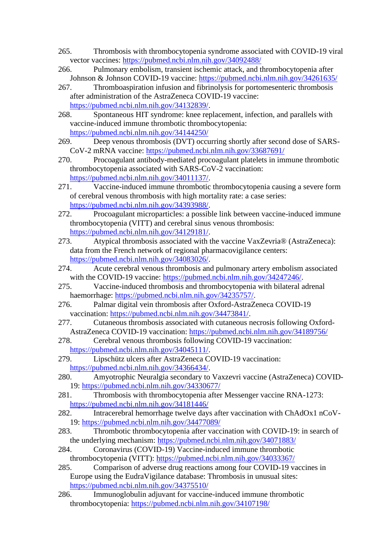- 265. Thrombosis with thrombocytopenia syndrome associated with COVID-19 viral vector vaccines:<https://pubmed.ncbi.nlm.nih.gov/34092488/>
- 266. Pulmonary embolism, transient ischemic attack, and thrombocytopenia after Johnson & Johnson COVID-19 vaccine:<https://pubmed.ncbi.nlm.nih.gov/34261635/>
- 267. Thromboaspiration infusion and fibrinolysis for portomesenteric thrombosis after administration of the AstraZeneca COVID-19 vaccine: [https://pubmed.ncbi.nlm.nih.gov/34132839/.](https://pubmed.ncbi.nlm.nih.gov/34132839/)
- 268. Spontaneous HIT syndrome: knee replacement, infection, and parallels with vaccine-induced immune thrombotic thrombocytopenia: <https://pubmed.ncbi.nlm.nih.gov/34144250/>
- 269. Deep venous thrombosis (DVT) occurring shortly after second dose of SARS-CoV-2 mRNA vaccine:<https://pubmed.ncbi.nlm.nih.gov/33687691/>
- 270. Procoagulant antibody-mediated procoagulant platelets in immune thrombotic thrombocytopenia associated with SARS-CoV-2 vaccination: [https://pubmed.ncbi.nlm.nih.gov/34011137/.](https://pubmed.ncbi.nlm.nih.gov/34011137/)
- 271. Vaccine-induced immune thrombotic thrombocytopenia causing a severe form of cerebral venous thrombosis with high mortality rate: a case series: [https://pubmed.ncbi.nlm.nih.gov/34393988/.](https://pubmed.ncbi.nlm.nih.gov/34393988/)
- 272. Procoagulant microparticles: a possible link between vaccine-induced immune thrombocytopenia (VITT) and cerebral sinus venous thrombosis: [https://pubmed.ncbi.nlm.nih.gov/34129181/.](https://pubmed.ncbi.nlm.nih.gov/34129181/)
- 273. Atypical thrombosis associated with the vaccine VaxZevria® (AstraZeneca): data from the French network of regional pharmacovigilance centers: [https://pubmed.ncbi.nlm.nih.gov/34083026/.](https://pubmed.ncbi.nlm.nih.gov/34083026/)
- 274. Acute cerebral venous thrombosis and pulmonary artery embolism associated with the COVID-19 vaccine: [https://pubmed.ncbi.nlm.nih.gov/34247246/.](https://pubmed.ncbi.nlm.nih.gov/34247246/)
- 275. Vaccine-induced thrombosis and thrombocytopenia with bilateral adrenal haemorrhage: [https://pubmed.ncbi.nlm.nih.gov/34235757/.](https://pubmed.ncbi.nlm.nih.gov/34235757/)
- 276. Palmar digital vein thrombosis after Oxford-AstraZeneca COVID-19 vaccination: [https://pubmed.ncbi.nlm.nih.gov/34473841/.](https://pubmed.ncbi.nlm.nih.gov/34473841/)
- 277. Cutaneous thrombosis associated with cutaneous necrosis following Oxford-AstraZeneca COVID-19 vaccination:<https://pubmed.ncbi.nlm.nih.gov/34189756/>
- 278. Cerebral venous thrombosis following COVID-19 vaccination: [https://pubmed.ncbi.nlm.nih.gov/34045111/.](https://pubmed.ncbi.nlm.nih.gov/34045111/)
- 279. Lipschütz ulcers after AstraZeneca COVID-19 vaccination: [https://pubmed.ncbi.nlm.nih.gov/34366434/.](https://pubmed.ncbi.nlm.nih.gov/34366434/)
- 280. Amyotrophic Neuralgia secondary to Vaxzevri vaccine (AstraZeneca) COVID-19:<https://pubmed.ncbi.nlm.nih.gov/34330677/>
- 281. Thrombosis with thrombocytopenia after Messenger vaccine RNA-1273: <https://pubmed.ncbi.nlm.nih.gov/34181446/>
- 282. Intracerebral hemorrhage twelve days after vaccination with ChAdOx1 nCoV-19:<https://pubmed.ncbi.nlm.nih.gov/34477089/>
- 283. Thrombotic thrombocytopenia after vaccination with COVID-19: in search of the underlying mechanism:<https://pubmed.ncbi.nlm.nih.gov/34071883/>
- 284. Coronavirus (COVID-19) Vaccine-induced immune thrombotic thrombocytopenia (VITT):<https://pubmed.ncbi.nlm.nih.gov/34033367/>
- 285. Comparison of adverse drug reactions among four COVID-19 vaccines in Europe using the EudraVigilance database: Thrombosis in unusual sites: <https://pubmed.ncbi.nlm.nih.gov/34375510/>
- 286. Immunoglobulin adjuvant for vaccine-induced immune thrombotic thrombocytopenia:<https://pubmed.ncbi.nlm.nih.gov/34107198/>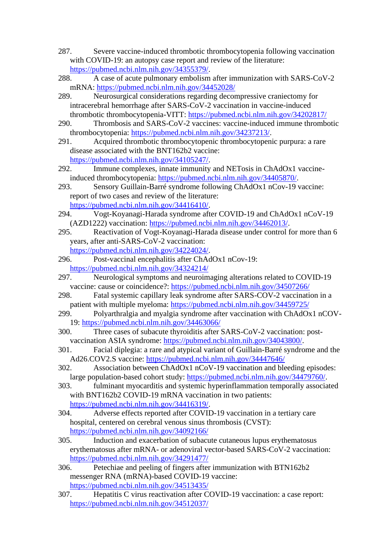- 287. Severe vaccine-induced thrombotic thrombocytopenia following vaccination with COVID-19: an autopsy case report and review of the literature: [https://pubmed.ncbi.nlm.nih.gov/34355379/.](https://pubmed.ncbi.nlm.nih.gov/34355379/)
- 288. A case of acute pulmonary embolism after immunization with SARS-CoV-2 mRNA:<https://pubmed.ncbi.nlm.nih.gov/34452028/>
- 289. Neurosurgical considerations regarding decompressive craniectomy for intracerebral hemorrhage after SARS-CoV-2 vaccination in vaccine-induced thrombotic thrombocytopenia-VITT:<https://pubmed.ncbi.nlm.nih.gov/34202817/>
- 290. Thrombosis and SARS-CoV-2 vaccines: vaccine-induced immune thrombotic thrombocytopenia: [https://pubmed.ncbi.nlm.nih.gov/34237213/.](https://pubmed.ncbi.nlm.nih.gov/34237213/)
- 291. Acquired thrombotic thrombocytopenic thrombocytopenic purpura: a rare disease associated with the BNT162b2 vaccine: [https://pubmed.ncbi.nlm.nih.gov/34105247/.](https://pubmed.ncbi.nlm.nih.gov/34105247/)
- 292. Immune complexes, innate immunity and NETosis in ChAdOx1 vaccineinduced thrombocytopenia: [https://pubmed.ncbi.nlm.nih.gov/34405870/.](https://pubmed.ncbi.nlm.nih.gov/34405870/)
- 293. Sensory Guillain-Barré syndrome following ChAdOx1 nCov-19 vaccine: report of two cases and review of the literature: [https://pubmed.ncbi.nlm.nih.gov/34416410/.](https://pubmed.ncbi.nlm.nih.gov/34416410/)
- 294. Vogt-Koyanagi-Harada syndrome after COVID-19 and ChAdOx1 nCoV-19 (AZD1222) vaccination: [https://pubmed.ncbi.nlm.nih.gov/34462013/.](https://pubmed.ncbi.nlm.nih.gov/34462013/)
- 295. Reactivation of Vogt-Koyanagi-Harada disease under control for more than 6 years, after anti-SARS-CoV-2 vaccination: [https://pubmed.ncbi.nlm.nih.gov/34224024/.](https://pubmed.ncbi.nlm.nih.gov/34224024/)
- 296. Post-vaccinal encephalitis after ChAdOx1 nCov-19: <https://pubmed.ncbi.nlm.nih.gov/34324214/>
- 297. Neurological symptoms and neuroimaging alterations related to COVID-19 vaccine: cause or coincidence?:<https://pubmed.ncbi.nlm.nih.gov/34507266/>
- 298. Fatal systemic capillary leak syndrome after SARS-COV-2 vaccination in a patient with multiple myeloma:<https://pubmed.ncbi.nlm.nih.gov/34459725/>
- 299. Polyarthralgia and myalgia syndrome after vaccination with ChAdOx1 nCOV-19:<https://pubmed.ncbi.nlm.nih.gov/34463066/>
- 300. Three cases of subacute thyroiditis after SARS-CoV-2 vaccination: postvaccination ASIA syndrome: [https://pubmed.ncbi.nlm.nih.gov/34043800/.](https://pubmed.ncbi.nlm.nih.gov/34043800/)
- 301. Facial diplegia: a rare and atypical variant of Guillain-Barré syndrome and the Ad26.COV2.S vaccine:<https://pubmed.ncbi.nlm.nih.gov/34447646/>
- 302. Association between ChAdOx1 nCoV-19 vaccination and bleeding episodes: large population-based cohort study: [https://pubmed.ncbi.nlm.nih.gov/34479760/.](https://pubmed.ncbi.nlm.nih.gov/34479760/)
- 303. fulminant myocarditis and systemic hyperinflammation temporally associated with BNT162b2 COVID-19 mRNA vaccination in two patients: [https://pubmed.ncbi.nlm.nih.gov/34416319/.](https://pubmed.ncbi.nlm.nih.gov/34416319/)
- 304. Adverse effects reported after COVID-19 vaccination in a tertiary care hospital, centered on cerebral venous sinus thrombosis (CVST): <https://pubmed.ncbi.nlm.nih.gov/34092166/>
- 305. Induction and exacerbation of subacute cutaneous lupus erythematosus erythematosus after mRNA- or adenoviral vector-based SARS-CoV-2 vaccination: <https://pubmed.ncbi.nlm.nih.gov/34291477/>
- 306. Petechiae and peeling of fingers after immunization with BTN162b2 messenger RNA (mRNA)-based COVID-19 vaccine: <https://pubmed.ncbi.nlm.nih.gov/34513435/>
- 307. Hepatitis C virus reactivation after COVID-19 vaccination: a case report: <https://pubmed.ncbi.nlm.nih.gov/34512037/>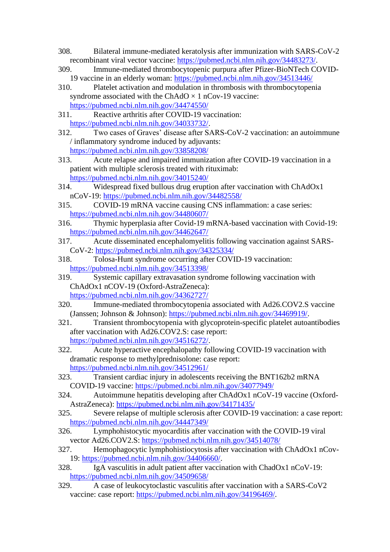- 308. Bilateral immune-mediated keratolysis after immunization with SARS-CoV-2 recombinant viral vector vaccine: [https://pubmed.ncbi.nlm.nih.gov/34483273/.](https://pubmed.ncbi.nlm.nih.gov/34483273/)
- 309. Immune-mediated thrombocytopenic purpura after Pfizer-BioNTech COVID-19 vaccine in an elderly woman:<https://pubmed.ncbi.nlm.nih.gov/34513446/>
- 310. Platelet activation and modulation in thrombosis with thrombocytopenia syndrome associated with the ChAdO  $\times$  1 nCov-19 vaccine: <https://pubmed.ncbi.nlm.nih.gov/34474550/>
- 311. Reactive arthritis after COVID-19 vaccination: [https://pubmed.ncbi.nlm.nih.gov/34033732/.](https://pubmed.ncbi.nlm.nih.gov/34033732/)
- 312. Two cases of Graves' disease after SARS-CoV-2 vaccination: an autoimmune / inflammatory syndrome induced by adjuvants: <https://pubmed.ncbi.nlm.nih.gov/33858208/>
- 313. Acute relapse and impaired immunization after COVID-19 vaccination in a patient with multiple sclerosis treated with rituximab: <https://pubmed.ncbi.nlm.nih.gov/34015240/>
- 314. Widespread fixed bullous drug eruption after vaccination with ChAdOx1 nCoV-19:<https://pubmed.ncbi.nlm.nih.gov/34482558/>
- 315. COVID-19 mRNA vaccine causing CNS inflammation: a case series: <https://pubmed.ncbi.nlm.nih.gov/34480607/>
- 316. Thymic hyperplasia after Covid-19 mRNA-based vaccination with Covid-19: <https://pubmed.ncbi.nlm.nih.gov/34462647/>
- 317. Acute disseminated encephalomyelitis following vaccination against SARS-CoV-2:<https://pubmed.ncbi.nlm.nih.gov/34325334/>
- 318. Tolosa-Hunt syndrome occurring after COVID-19 vaccination: <https://pubmed.ncbi.nlm.nih.gov/34513398/>
- 319. Systemic capillary extravasation syndrome following vaccination with ChAdOx1 nCOV-19 (Oxford-AstraZeneca): <https://pubmed.ncbi.nlm.nih.gov/34362727/>
- 320. Immune-mediated thrombocytopenia associated with Ad26.COV2.S vaccine (Janssen; Johnson & Johnson): [https://pubmed.ncbi.nlm.nih.gov/34469919/.](https://pubmed.ncbi.nlm.nih.gov/34469919/)
- 321. Transient thrombocytopenia with glycoprotein-specific platelet autoantibodies after vaccination with Ad26.COV2.S: case report: [https://pubmed.ncbi.nlm.nih.gov/34516272/.](https://pubmed.ncbi.nlm.nih.gov/34516272/)
- 322. Acute hyperactive encephalopathy following COVID-19 vaccination with dramatic response to methylprednisolone: case report: <https://pubmed.ncbi.nlm.nih.gov/34512961/>
- 323. Transient cardiac injury in adolescents receiving the BNT162b2 mRNA COVID-19 vaccine:<https://pubmed.ncbi.nlm.nih.gov/34077949/>
- 324. Autoimmune hepatitis developing after ChAdOx1 nCoV-19 vaccine (Oxford-AstraZeneca):<https://pubmed.ncbi.nlm.nih.gov/34171435/>
- 325. Severe relapse of multiple sclerosis after COVID-19 vaccination: a case report: <https://pubmed.ncbi.nlm.nih.gov/34447349/>
- 326. Lymphohistocytic myocarditis after vaccination with the COVID-19 viral vector Ad26.COV2.S:<https://pubmed.ncbi.nlm.nih.gov/34514078/>
- 327. Hemophagocytic lymphohistiocytosis after vaccination with ChAdOx1 nCov-19: [https://pubmed.ncbi.nlm.nih.gov/34406660/.](https://pubmed.ncbi.nlm.nih.gov/34406660/)
- 328. IgA vasculitis in adult patient after vaccination with ChadOx1 nCoV-19: <https://pubmed.ncbi.nlm.nih.gov/34509658/>
- 329. A case of leukocytoclastic vasculitis after vaccination with a SARS-CoV2 vaccine: case report: [https://pubmed.ncbi.nlm.nih.gov/34196469/.](https://pubmed.ncbi.nlm.nih.gov/34196469/)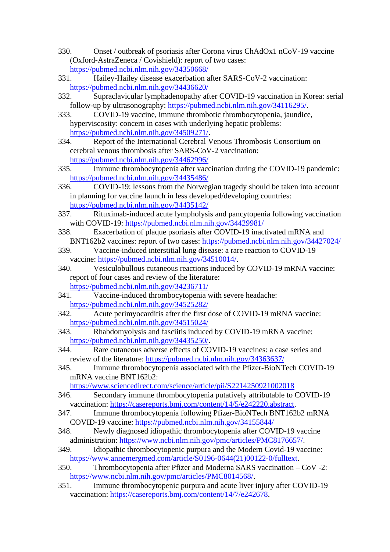- 330. Onset / outbreak of psoriasis after Corona virus ChAdOx1 nCoV-19 vaccine (Oxford-AstraZeneca / Covishield): report of two cases: <https://pubmed.ncbi.nlm.nih.gov/34350668/>
- 331. Hailey-Hailey disease exacerbation after SARS-CoV-2 vaccination: <https://pubmed.ncbi.nlm.nih.gov/34436620/>
- 332. Supraclavicular lymphadenopathy after COVID-19 vaccination in Korea: serial follow-up by ultrasonography: [https://pubmed.ncbi.nlm.nih.gov/34116295/.](https://pubmed.ncbi.nlm.nih.gov/34116295/)
- 333. COVID-19 vaccine, immune thrombotic thrombocytopenia, jaundice, hyperviscosity: concern in cases with underlying hepatic problems: [https://pubmed.ncbi.nlm.nih.gov/34509271/.](https://pubmed.ncbi.nlm.nih.gov/34509271/)
- 334. Report of the International Cerebral Venous Thrombosis Consortium on cerebral venous thrombosis after SARS-CoV-2 vaccination: <https://pubmed.ncbi.nlm.nih.gov/34462996/>
- 335. Immune thrombocytopenia after vaccination during the COVID-19 pandemic: <https://pubmed.ncbi.nlm.nih.gov/34435486/>
- 336. COVID-19: lessons from the Norwegian tragedy should be taken into account in planning for vaccine launch in less developed/developing countries: <https://pubmed.ncbi.nlm.nih.gov/34435142/>
- 337. Rituximab-induced acute lympholysis and pancytopenia following vaccination with COVID-19:<https://pubmed.ncbi.nlm.nih.gov/34429981/>
- 338. Exacerbation of plaque psoriasis after COVID-19 inactivated mRNA and BNT162b2 vaccines: report of two cases:<https://pubmed.ncbi.nlm.nih.gov/34427024/>
- 339. Vaccine-induced interstitial lung disease: a rare reaction to COVID-19 vaccine: [https://pubmed.ncbi.nlm.nih.gov/34510014/.](https://pubmed.ncbi.nlm.nih.gov/34510014/)
- 340. Vesiculobullous cutaneous reactions induced by COVID-19 mRNA vaccine: report of four cases and review of the literature: <https://pubmed.ncbi.nlm.nih.gov/34236711/>
- 341. Vaccine-induced thrombocytopenia with severe headache: <https://pubmed.ncbi.nlm.nih.gov/34525282/>
- 342. Acute perimyocarditis after the first dose of COVID-19 mRNA vaccine: <https://pubmed.ncbi.nlm.nih.gov/34515024/>
- 343. Rhabdomyolysis and fasciitis induced by COVID-19 mRNA vaccine: [https://pubmed.ncbi.nlm.nih.gov/34435250/.](https://pubmed.ncbi.nlm.nih.gov/34435250/)
- 344. Rare cutaneous adverse effects of COVID-19 vaccines: a case series and review of the literature:<https://pubmed.ncbi.nlm.nih.gov/34363637/>
- 345. Immune thrombocytopenia associated with the Pfizer-BioNTech COVID-19 mRNA vaccine BNT162b2:

<https://www.sciencedirect.com/science/article/pii/S2214250921002018>

- 346. Secondary immune thrombocytopenia putatively attributable to COVID-19 vaccination: [https://casereports.bmj.com/content/14/5/e242220.abstract.](https://casereports.bmj.com/content/14/5/e242220.abstract)
- 347. Immune thrombocytopenia following Pfizer-BioNTech BNT162b2 mRNA COVID-19 vaccine:<https://pubmed.ncbi.nlm.nih.gov/34155844/>
- 348. Newly diagnosed idiopathic thrombocytopenia after COVID-19 vaccine administration: [https://www.ncbi.nlm.nih.gov/pmc/articles/PMC8176657/.](https://www.ncbi.nlm.nih.gov/pmc/articles/PMC8176657/)
- 349. Idiopathic thrombocytopenic purpura and the Modern Covid-19 vaccine: [https://www.annemergmed.com/article/S0196-0644\(21\)00122-0/fulltext.](https://www.annemergmed.com/article/S0196-0644(21)00122-0/fulltext)
- 350. Thrombocytopenia after Pfizer and Moderna SARS vaccination CoV -2: [https://www.ncbi.nlm.nih.gov/pmc/articles/PMC8014568/.](https://www.ncbi.nlm.nih.gov/pmc/articles/PMC8014568/)
- 351. Immune thrombocytopenic purpura and acute liver injury after COVID-19 vaccination: [https://casereports.bmj.com/content/14/7/e242678.](https://casereports.bmj.com/content/14/7/e242678)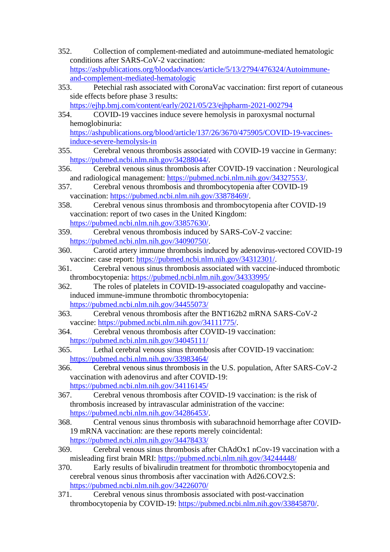- 352. Collection of complement-mediated and autoimmune-mediated hematologic conditions after SARS-CoV-2 vaccination: [https://ashpublications.org/bloodadvances/article/5/13/2794/476324/Autoimmune](https://ashpublications.org/bloodadvances/article/5/13/2794/476324/Autoimmune-and-complement-mediated-hematologic)[and-complement-mediated-hematologic](https://ashpublications.org/bloodadvances/article/5/13/2794/476324/Autoimmune-and-complement-mediated-hematologic)
- 353. Petechial rash associated with CoronaVac vaccination: first report of cutaneous side effects before phase 3 results:

<https://ejhp.bmj.com/content/early/2021/05/23/ejhpharm-2021-002794>

354. COVID-19 vaccines induce severe hemolysis in paroxysmal nocturnal hemoglobinuria:

[https://ashpublications.org/blood/article/137/26/3670/475905/COVID-19-vaccines](https://ashpublications.org/blood/article/137/26/3670/475905/COVID-19-vaccines-induce-severe-hemolysis-in)[induce-severe-hemolysis-in](https://ashpublications.org/blood/article/137/26/3670/475905/COVID-19-vaccines-induce-severe-hemolysis-in)

- 355. Cerebral venous thrombosis associated with COVID-19 vaccine in Germany: [https://pubmed.ncbi.nlm.nih.gov/34288044/.](https://pubmed.ncbi.nlm.nih.gov/34288044/)
- 356. Cerebral venous sinus thrombosis after COVID-19 vaccination : Neurological and radiological management: [https://pubmed.ncbi.nlm.nih.gov/34327553/.](https://pubmed.ncbi.nlm.nih.gov/34327553/)
- 357. Cerebral venous thrombosis and thrombocytopenia after COVID-19 vaccination: [https://pubmed.ncbi.nlm.nih.gov/33878469/.](https://pubmed.ncbi.nlm.nih.gov/33878469/)
- 358. Cerebral venous sinus thrombosis and thrombocytopenia after COVID-19 vaccination: report of two cases in the United Kingdom: [https://pubmed.ncbi.nlm.nih.gov/33857630/.](https://pubmed.ncbi.nlm.nih.gov/33857630/)
- 359. Cerebral venous thrombosis induced by SARS-CoV-2 vaccine: [https://pubmed.ncbi.nlm.nih.gov/34090750/.](https://pubmed.ncbi.nlm.nih.gov/34090750/)
- 360. Carotid artery immune thrombosis induced by adenovirus-vectored COVID-19 vaccine: case report: [https://pubmed.ncbi.nlm.nih.gov/34312301/.](https://pubmed.ncbi.nlm.nih.gov/34312301/)
- 361. Cerebral venous sinus thrombosis associated with vaccine-induced thrombotic thrombocytopenia:<https://pubmed.ncbi.nlm.nih.gov/34333995/>
- 362. The roles of platelets in COVID-19-associated coagulopathy and vaccineinduced immune-immune thrombotic thrombocytopenia: <https://pubmed.ncbi.nlm.nih.gov/34455073/>
- 363. Cerebral venous thrombosis after the BNT162b2 mRNA SARS-CoV-2 vaccine: [https://pubmed.ncbi.nlm.nih.gov/34111775/.](https://pubmed.ncbi.nlm.nih.gov/34111775/)
- 364. Cerebral venous thrombosis after COVID-19 vaccination: <https://pubmed.ncbi.nlm.nih.gov/34045111/>
- 365. Lethal cerebral venous sinus thrombosis after COVID-19 vaccination: <https://pubmed.ncbi.nlm.nih.gov/33983464/>
- 366. Cerebral venous sinus thrombosis in the U.S. population, After SARS-CoV-2 vaccination with adenovirus and after COVID-19: <https://pubmed.ncbi.nlm.nih.gov/34116145/>
- 367. Cerebral venous thrombosis after COVID-19 vaccination: is the risk of thrombosis increased by intravascular administration of the vaccine: [https://pubmed.ncbi.nlm.nih.gov/34286453/.](https://pubmed.ncbi.nlm.nih.gov/34286453/)
- 368. Central venous sinus thrombosis with subarachnoid hemorrhage after COVID-19 mRNA vaccination: are these reports merely coincidental: <https://pubmed.ncbi.nlm.nih.gov/34478433/>
- 369. Cerebral venous sinus thrombosis after ChAdOx1 nCov-19 vaccination with a misleading first brain MRI:<https://pubmed.ncbi.nlm.nih.gov/34244448/>
- 370. Early results of bivalirudin treatment for thrombotic thrombocytopenia and cerebral venous sinus thrombosis after vaccination with Ad26.COV2.S: <https://pubmed.ncbi.nlm.nih.gov/34226070/>
- 371. Cerebral venous sinus thrombosis associated with post-vaccination thrombocytopenia by COVID-19: [https://pubmed.ncbi.nlm.nih.gov/33845870/.](https://pubmed.ncbi.nlm.nih.gov/33845870/)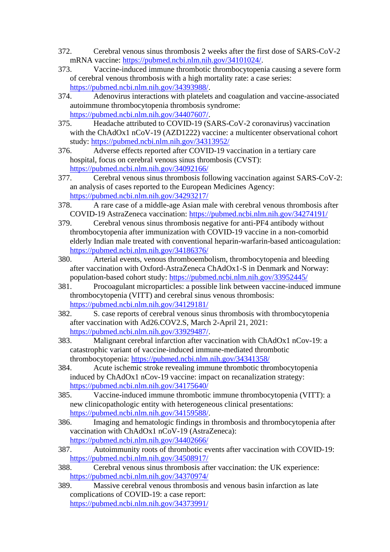- 372. Cerebral venous sinus thrombosis 2 weeks after the first dose of SARS-CoV-2 mRNA vaccine: [https://pubmed.ncbi.nlm.nih.gov/34101024/.](https://pubmed.ncbi.nlm.nih.gov/34101024/)
- 373. Vaccine-induced immune thrombotic thrombocytopenia causing a severe form of cerebral venous thrombosis with a high mortality rate: a case series: [https://pubmed.ncbi.nlm.nih.gov/34393988/.](https://pubmed.ncbi.nlm.nih.gov/34393988/)
- 374. Adenovirus interactions with platelets and coagulation and vaccine-associated autoimmune thrombocytopenia thrombosis syndrome: [https://pubmed.ncbi.nlm.nih.gov/34407607/.](https://pubmed.ncbi.nlm.nih.gov/34407607/)
- 375. Headache attributed to COVID-19 (SARS-CoV-2 coronavirus) vaccination with the ChAdOx1 nCoV-19 (AZD1222) vaccine: a multicenter observational cohort study:<https://pubmed.ncbi.nlm.nih.gov/34313952/>

376. Adverse effects reported after COVID-19 vaccination in a tertiary care hospital, focus on cerebral venous sinus thrombosis (CVST): <https://pubmed.ncbi.nlm.nih.gov/34092166/>

377. Cerebral venous sinus thrombosis following vaccination against SARS-CoV-2: an analysis of cases reported to the European Medicines Agency: <https://pubmed.ncbi.nlm.nih.gov/34293217/>

- 378. A rare case of a middle-age Asian male with cerebral venous thrombosis after COVID-19 AstraZeneca vaccination:<https://pubmed.ncbi.nlm.nih.gov/34274191/>
- 379. Cerebral venous sinus thrombosis negative for anti-PF4 antibody without thrombocytopenia after immunization with COVID-19 vaccine in a non-comorbid elderly Indian male treated with conventional heparin-warfarin-based anticoagulation: <https://pubmed.ncbi.nlm.nih.gov/34186376/>
- 380. Arterial events, venous thromboembolism, thrombocytopenia and bleeding after vaccination with Oxford-AstraZeneca ChAdOx1-S in Denmark and Norway: population-based cohort study:<https://pubmed.ncbi.nlm.nih.gov/33952445/>
- 381. Procoagulant microparticles: a possible link between vaccine-induced immune thrombocytopenia (VITT) and cerebral sinus venous thrombosis: <https://pubmed.ncbi.nlm.nih.gov/34129181/>
- 382. S. case reports of cerebral venous sinus thrombosis with thrombocytopenia after vaccination with Ad26.COV2.S, March 2-April 21, 2021: [https://pubmed.ncbi.nlm.nih.gov/33929487/.](https://pubmed.ncbi.nlm.nih.gov/33929487/)
- 383. Malignant cerebral infarction after vaccination with ChAdOx1 nCov-19: a catastrophic variant of vaccine-induced immune-mediated thrombotic thrombocytopenia:<https://pubmed.ncbi.nlm.nih.gov/34341358/>
- 384. Acute ischemic stroke revealing immune thrombotic thrombocytopenia induced by ChAdOx1 nCov-19 vaccine: impact on recanalization strategy: <https://pubmed.ncbi.nlm.nih.gov/34175640/>
- 385. Vaccine-induced immune thrombotic immune thrombocytopenia (VITT): a new clinicopathologic entity with heterogeneous clinical presentations: [https://pubmed.ncbi.nlm.nih.gov/34159588/.](https://pubmed.ncbi.nlm.nih.gov/34159588/)
- 386. Imaging and hematologic findings in thrombosis and thrombocytopenia after vaccination with ChAdOx1 nCoV-19 (AstraZeneca): <https://pubmed.ncbi.nlm.nih.gov/34402666/>
- 387. Autoimmunity roots of thrombotic events after vaccination with COVID-19: <https://pubmed.ncbi.nlm.nih.gov/34508917/>
- 388. Cerebral venous sinus thrombosis after vaccination: the UK experience: <https://pubmed.ncbi.nlm.nih.gov/34370974/>
- 389. Massive cerebral venous thrombosis and venous basin infarction as late complications of COVID-19: a case report: <https://pubmed.ncbi.nlm.nih.gov/34373991/>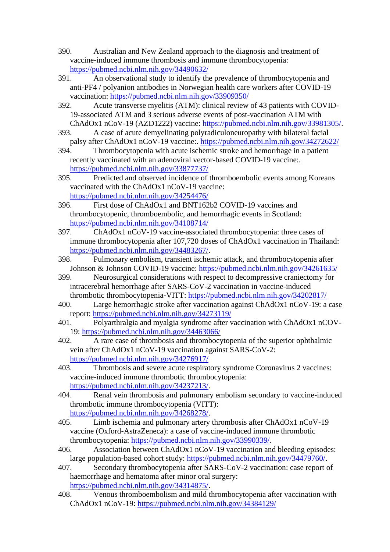- 390. Australian and New Zealand approach to the diagnosis and treatment of vaccine-induced immune thrombosis and immune thrombocytopenia: <https://pubmed.ncbi.nlm.nih.gov/34490632/>
- 391. An observational study to identify the prevalence of thrombocytopenia and anti-PF4 / polyanion antibodies in Norwegian health care workers after COVID-19 vaccination:<https://pubmed.ncbi.nlm.nih.gov/33909350/>
- 392. Acute transverse myelitis (ATM): clinical review of 43 patients with COVID-19-associated ATM and 3 serious adverse events of post-vaccination ATM with ChAdOx1 nCoV-19 (AZD1222) vaccine: [https://pubmed.ncbi.nlm.nih.gov/33981305/.](https://pubmed.ncbi.nlm.nih.gov/33981305/)
- 393. A case of acute demyelinating polyradiculoneuropathy with bilateral facial palsy after ChAdOx1 nCoV-19 vaccine:.<https://pubmed.ncbi.nlm.nih.gov/34272622/>
- 394. Thrombocytopenia with acute ischemic stroke and hemorrhage in a patient recently vaccinated with an adenoviral vector-based COVID-19 vaccine:. <https://pubmed.ncbi.nlm.nih.gov/33877737/>
- 395. Predicted and observed incidence of thromboembolic events among Koreans vaccinated with the ChAdOx1 nCoV-19 vaccine: <https://pubmed.ncbi.nlm.nih.gov/34254476/>
- 396. First dose of ChAdOx1 and BNT162b2 COVID-19 vaccines and thrombocytopenic, thromboembolic, and hemorrhagic events in Scotland: <https://pubmed.ncbi.nlm.nih.gov/34108714/>
- 397. ChAdOx1 nCoV-19 vaccine-associated thrombocytopenia: three cases of immune thrombocytopenia after 107,720 doses of ChAdOx1 vaccination in Thailand: [https://pubmed.ncbi.nlm.nih.gov/34483267/.](https://pubmed.ncbi.nlm.nih.gov/34483267/)
- 398. Pulmonary embolism, transient ischemic attack, and thrombocytopenia after Johnson & Johnson COVID-19 vaccine:<https://pubmed.ncbi.nlm.nih.gov/34261635/>
- 399. Neurosurgical considerations with respect to decompressive craniectomy for intracerebral hemorrhage after SARS-CoV-2 vaccination in vaccine-induced thrombotic thrombocytopenia-VITT:<https://pubmed.ncbi.nlm.nih.gov/34202817/>
- 400. Large hemorrhagic stroke after vaccination against ChAdOx1 nCoV-19: a case report:<https://pubmed.ncbi.nlm.nih.gov/34273119/>
- 401. Polyarthralgia and myalgia syndrome after vaccination with ChAdOx1 nCOV-19:<https://pubmed.ncbi.nlm.nih.gov/34463066/>
- 402. A rare case of thrombosis and thrombocytopenia of the superior ophthalmic vein after ChAdOx1 nCoV-19 vaccination against SARS-CoV-2: <https://pubmed.ncbi.nlm.nih.gov/34276917/>
- 403. Thrombosis and severe acute respiratory syndrome Coronavirus 2 vaccines: vaccine-induced immune thrombotic thrombocytopenia: [https://pubmed.ncbi.nlm.nih.gov/34237213/.](https://pubmed.ncbi.nlm.nih.gov/34237213/)
- 404. Renal vein thrombosis and pulmonary embolism secondary to vaccine-induced thrombotic immune thrombocytopenia (VITT): [https://pubmed.ncbi.nlm.nih.gov/34268278/.](https://pubmed.ncbi.nlm.nih.gov/34268278/)
- 405. Limb ischemia and pulmonary artery thrombosis after ChAdOx1 nCoV-19 vaccine (Oxford-AstraZeneca): a case of vaccine-induced immune thrombotic thrombocytopenia: [https://pubmed.ncbi.nlm.nih.gov/33990339/.](https://pubmed.ncbi.nlm.nih.gov/33990339/)
- 406. Association between ChAdOx1 nCoV-19 vaccination and bleeding episodes: large population-based cohort study: [https://pubmed.ncbi.nlm.nih.gov/34479760/.](https://pubmed.ncbi.nlm.nih.gov/34479760/)
- 407. Secondary thrombocytopenia after SARS-CoV-2 vaccination: case report of haemorrhage and hematoma after minor oral surgery: [https://pubmed.ncbi.nlm.nih.gov/34314875/.](https://pubmed.ncbi.nlm.nih.gov/34314875/)
- 408. Venous thromboembolism and mild thrombocytopenia after vaccination with ChAdOx1 nCoV-19:<https://pubmed.ncbi.nlm.nih.gov/34384129/>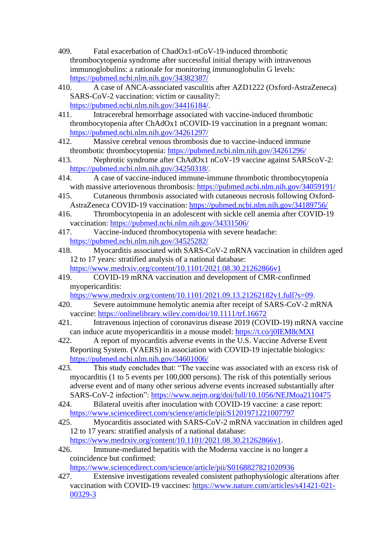- 409. Fatal exacerbation of ChadOx1-nCoV-19-induced thrombotic thrombocytopenia syndrome after successful initial therapy with intravenous immunoglobulins: a rationale for monitoring immunoglobulin G levels: <https://pubmed.ncbi.nlm.nih.gov/34382387/>
- 410. A case of ANCA-associated vasculitis after AZD1222 (Oxford-AstraZeneca) SARS-CoV-2 vaccination: victim or causality?: [https://pubmed.ncbi.nlm.nih.gov/34416184/.](https://pubmed.ncbi.nlm.nih.gov/34416184/)
- 411. Intracerebral hemorrhage associated with vaccine-induced thrombotic thrombocytopenia after ChAdOx1 nCOVID-19 vaccination in a pregnant woman: <https://pubmed.ncbi.nlm.nih.gov/34261297/>
- 412. Massive cerebral venous thrombosis due to vaccine-induced immune thrombotic thrombocytopenia:<https://pubmed.ncbi.nlm.nih.gov/34261296/>
- 413. Nephrotic syndrome after ChAdOx1 nCoV-19 vaccine against SARScoV-2: [https://pubmed.ncbi.nlm.nih.gov/34250318/.](https://pubmed.ncbi.nlm.nih.gov/34250318/)
- 414. A case of vaccine-induced immune-immune thrombotic thrombocytopenia with massive arteriovenous thrombosis:<https://pubmed.ncbi.nlm.nih.gov/34059191/>
- 415. Cutaneous thrombosis associated with cutaneous necrosis following Oxford-AstraZeneca COVID-19 vaccination:<https://pubmed.ncbi.nlm.nih.gov/34189756/>
- 416. Thrombocytopenia in an adolescent with sickle cell anemia after COVID-19 vaccination:<https://pubmed.ncbi.nlm.nih.gov/34331506/>
- 417. Vaccine-induced thrombocytopenia with severe headache: <https://pubmed.ncbi.nlm.nih.gov/34525282/>
- 418. Myocarditis associated with SARS-CoV-2 mRNA vaccination in children aged 12 to 17 years: stratified analysis of a national database: <https://www.medrxiv.org/content/10.1101/2021.08.30.21262866v1>
- 419. COVID-19 mRNA vaccination and development of CMR-confirmed myopericarditis:

[https://www.medrxiv.org/content/10.1101/2021.09.13.21262182v1.full?s=09.](https://www.medrxiv.org/content/10.1101/2021.09.13.21262182v1.full?s=09)

- 420. Severe autoimmune hemolytic anemia after receipt of SARS-CoV-2 mRNA vaccine:<https://onlinelibrary.wiley.com/doi/10.1111/trf.16672>
- 421. Intravenous injection of coronavirus disease 2019 (COVID-19) mRNA vaccine can induce acute myopericarditis in a mouse model:<https://t.co/j0IEM8cMXI>
- 422. A report of myocarditis adverse events in the U.S. Vaccine Adverse Event Reporting System. (VAERS) in association with COVID-19 injectable biologics: <https://pubmed.ncbi.nlm.nih.gov/34601006/>
- 423. This study concludes that: "The vaccine was associated with an excess risk of myocarditis (1 to 5 events per 100,000 persons). The risk of this potentially serious adverse event and of many other serious adverse events increased substantially after SARS-CoV-2 infection":<https://www.nejm.org/doi/full/10.1056/NEJMoa2110475>
- 424. Bilateral uveitis after inoculation with COVID-19 vaccine: a case report: <https://www.sciencedirect.com/science/article/pii/S1201971221007797>
- 425. Myocarditis associated with SARS-CoV-2 mRNA vaccination in children aged 12 to 17 years: stratified analysis of a national database: [https://www.medrxiv.org/content/10.1101/2021.08.30.21262866v1.](https://www.medrxiv.org/content/10.1101/2021.08.30.21262866v1)
- 426. Immune-mediated hepatitis with the Moderna vaccine is no longer a coincidence but confirmed:

<https://www.sciencedirect.com/science/article/pii/S0168827821020936>

427. Extensive investigations revealed consistent pathophysiologic alterations after vaccination with COVID-19 vaccines: [https://www.nature.com/articles/s41421-021-](https://www.nature.com/articles/s41421-021-00329-3) [00329-3](https://www.nature.com/articles/s41421-021-00329-3)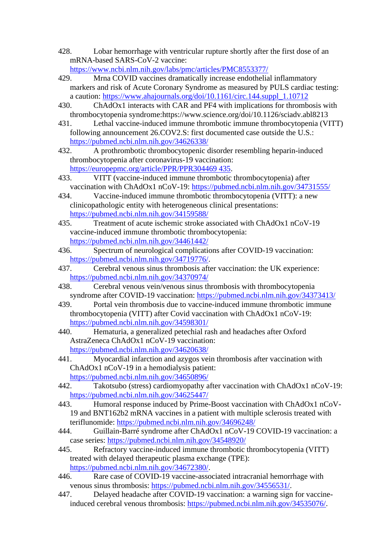428. Lobar hemorrhage with ventricular rupture shortly after the first dose of an mRNA-based SARS-CoV-2 vaccine:

<https://www.ncbi.nlm.nih.gov/labs/pmc/articles/PMC8553377/>

- 429. Mrna COVID vaccines dramatically increase endothelial inflammatory markers and risk of Acute Coronary Syndrome as measured by PULS cardiac testing: a caution: [https://www.ahajournals.org/doi/10.1161/circ.144.suppl\\_1.10712](https://www.ahajournals.org/doi/10.1161/circ.144.suppl_1.10712)
- 430. ChAdOx1 interacts with CAR and PF4 with implications for thrombosis with thrombocytopenia syndrome:https://www.science.org/doi/10.1126/sciadv.abl8213
- 431. Lethal vaccine-induced immune thrombotic immune thrombocytopenia (VITT) following announcement 26.COV2.S: first documented case outside the U.S.: <https://pubmed.ncbi.nlm.nih.gov/34626338/>
- 432. A prothrombotic thrombocytopenic disorder resembling heparin-induced thrombocytopenia after coronavirus-19 vaccination: [https://europepmc.org/article/PPR/PPR304469 435.](https://europepmc.org/article/PPR/PPR304469%20435)
- 433. VITT (vaccine-induced immune thrombotic thrombocytopenia) after vaccination with ChAdOx1 nCoV-19:<https://pubmed.ncbi.nlm.nih.gov/34731555/>
- 434. Vaccine-induced immune thrombotic thrombocytopenia (VITT): a new clinicopathologic entity with heterogeneous clinical presentations: <https://pubmed.ncbi.nlm.nih.gov/34159588/>
- 435. Treatment of acute ischemic stroke associated with ChAdOx1 nCoV-19 vaccine-induced immune thrombotic thrombocytopenia: <https://pubmed.ncbi.nlm.nih.gov/34461442/>
- 436. Spectrum of neurological complications after COVID-19 vaccination: [https://pubmed.ncbi.nlm.nih.gov/34719776/.](https://pubmed.ncbi.nlm.nih.gov/34719776/)
- 437. Cerebral venous sinus thrombosis after vaccination: the UK experience: <https://pubmed.ncbi.nlm.nih.gov/34370974/>
- 438. Cerebral venous vein/venous sinus thrombosis with thrombocytopenia syndrome after COVID-19 vaccination:<https://pubmed.ncbi.nlm.nih.gov/34373413/>
- 439. Portal vein thrombosis due to vaccine-induced immune thrombotic immune thrombocytopenia (VITT) after Covid vaccination with ChAdOx1 nCoV-19: <https://pubmed.ncbi.nlm.nih.gov/34598301/>
- 440. Hematuria, a generalized petechial rash and headaches after Oxford AstraZeneca ChAdOx1 nCoV-19 vaccination: <https://pubmed.ncbi.nlm.nih.gov/34620638/>
- 441. Myocardial infarction and azygos vein thrombosis after vaccination with ChAdOx1 nCoV-19 in a hemodialysis patient: <https://pubmed.ncbi.nlm.nih.gov/34650896/>
- 442. Takotsubo (stress) cardiomyopathy after vaccination with ChAdOx1 nCoV-19: <https://pubmed.ncbi.nlm.nih.gov/34625447/>
- 443. Humoral response induced by Prime-Boost vaccination with ChAdOx1 nCoV-19 and BNT162b2 mRNA vaccines in a patient with multiple sclerosis treated with teriflunomide:<https://pubmed.ncbi.nlm.nih.gov/34696248/>
- 444. Guillain-Barré syndrome after ChAdOx1 nCoV-19 COVID-19 vaccination: a case series:<https://pubmed.ncbi.nlm.nih.gov/34548920/>
- 445. Refractory vaccine-induced immune thrombotic thrombocytopenia (VITT) treated with delayed therapeutic plasma exchange (TPE): [https://pubmed.ncbi.nlm.nih.gov/34672380/.](https://pubmed.ncbi.nlm.nih.gov/34672380/)
- 446. Rare case of COVID-19 vaccine-associated intracranial hemorrhage with venous sinus thrombosis: [https://pubmed.ncbi.nlm.nih.gov/34556531/.](https://pubmed.ncbi.nlm.nih.gov/34556531/)
- 447. Delayed headache after COVID-19 vaccination: a warning sign for vaccineinduced cerebral venous thrombosis: [https://pubmed.ncbi.nlm.nih.gov/34535076/.](https://pubmed.ncbi.nlm.nih.gov/34535076/)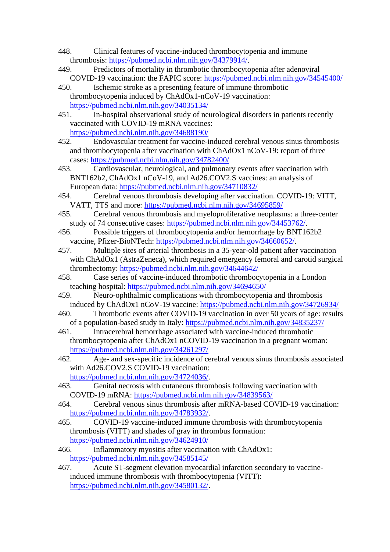- 448. Clinical features of vaccine-induced thrombocytopenia and immune thrombosis: [https://pubmed.ncbi.nlm.nih.gov/34379914/.](https://pubmed.ncbi.nlm.nih.gov/34379914/)
- 449. Predictors of mortality in thrombotic thrombocytopenia after adenoviral COVID-19 vaccination: the FAPIC score:<https://pubmed.ncbi.nlm.nih.gov/34545400/>
- 450. Ischemic stroke as a presenting feature of immune thrombotic thrombocytopenia induced by ChAdOx1-nCoV-19 vaccination: <https://pubmed.ncbi.nlm.nih.gov/34035134/>
- 451. In-hospital observational study of neurological disorders in patients recently vaccinated with COVID-19 mRNA vaccines: <https://pubmed.ncbi.nlm.nih.gov/34688190/>
- 452. Endovascular treatment for vaccine-induced cerebral venous sinus thrombosis and thrombocytopenia after vaccination with ChAdOx1 nCoV-19: report of three cases:<https://pubmed.ncbi.nlm.nih.gov/34782400/>
- 453. Cardiovascular, neurological, and pulmonary events after vaccination with BNT162b2, ChAdOx1 nCoV-19, and Ad26.COV2.S vaccines: an analysis of European data:<https://pubmed.ncbi.nlm.nih.gov/34710832/>
- 454. Cerebral venous thrombosis developing after vaccination. COVID-19: VITT, VATT, TTS and more:<https://pubmed.ncbi.nlm.nih.gov/34695859/>
- 455. Cerebral venous thrombosis and myeloproliferative neoplasms: a three-center study of 74 consecutive cases: [https://pubmed.ncbi.nlm.nih.gov/34453762/.](https://pubmed.ncbi.nlm.nih.gov/34453762/)
- 456. Possible triggers of thrombocytopenia and/or hemorrhage by BNT162b2 vaccine, Pfizer-BioNTech: [https://pubmed.ncbi.nlm.nih.gov/34660652/.](https://pubmed.ncbi.nlm.nih.gov/34660652/)
- 457. Multiple sites of arterial thrombosis in a 35-year-old patient after vaccination with ChAdOx1 (AstraZeneca), which required emergency femoral and carotid surgical thrombectomy:<https://pubmed.ncbi.nlm.nih.gov/34644642/>
- 458. Case series of vaccine-induced thrombotic thrombocytopenia in a London teaching hospital:<https://pubmed.ncbi.nlm.nih.gov/34694650/>
- 459. Neuro-ophthalmic complications with thrombocytopenia and thrombosis induced by ChAdOx1 nCoV-19 vaccine:<https://pubmed.ncbi.nlm.nih.gov/34726934/>
- 460. Thrombotic events after COVID-19 vaccination in over 50 years of age: results of a population-based study in Italy:<https://pubmed.ncbi.nlm.nih.gov/34835237/>
- 461. Intracerebral hemorrhage associated with vaccine-induced thrombotic thrombocytopenia after ChAdOx1 nCOVID-19 vaccination in a pregnant woman: <https://pubmed.ncbi.nlm.nih.gov/34261297/>
- 462. Age- and sex-specific incidence of cerebral venous sinus thrombosis associated with Ad26.COV2.S COVID-19 vaccination: [https://pubmed.ncbi.nlm.nih.gov/34724036/.](https://pubmed.ncbi.nlm.nih.gov/34724036/)
- 463. Genital necrosis with cutaneous thrombosis following vaccination with
- COVID-19 mRNA:<https://pubmed.ncbi.nlm.nih.gov/34839563/>
- 464. Cerebral venous sinus thrombosis after mRNA-based COVID-19 vaccination: [https://pubmed.ncbi.nlm.nih.gov/34783932/.](https://pubmed.ncbi.nlm.nih.gov/34783932/)
- 465. COVID-19 vaccine-induced immune thrombosis with thrombocytopenia thrombosis (VITT) and shades of gray in thrombus formation: <https://pubmed.ncbi.nlm.nih.gov/34624910/>
- 466. Inflammatory myositis after vaccination with ChAdOx1: <https://pubmed.ncbi.nlm.nih.gov/34585145/>
- 467. Acute ST-segment elevation myocardial infarction secondary to vaccineinduced immune thrombosis with thrombocytopenia (VITT): [https://pubmed.ncbi.nlm.nih.gov/34580132/.](https://pubmed.ncbi.nlm.nih.gov/34580132/)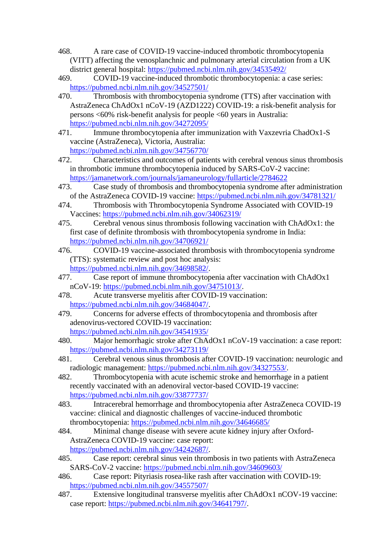- 468. A rare case of COVID-19 vaccine-induced thrombotic thrombocytopenia (VITT) affecting the venosplanchnic and pulmonary arterial circulation from a UK district general hospital:<https://pubmed.ncbi.nlm.nih.gov/34535492/>
- 469. COVID-19 vaccine-induced thrombotic thrombocytopenia: a case series: <https://pubmed.ncbi.nlm.nih.gov/34527501/>
- 470. Thrombosis with thrombocytopenia syndrome (TTS) after vaccination with AstraZeneca ChAdOx1 nCoV-19 (AZD1222) COVID-19: a risk-benefit analysis for persons <60% risk-benefit analysis for people <60 years in Australia: <https://pubmed.ncbi.nlm.nih.gov/34272095/>
- 471. Immune thrombocytopenia after immunization with Vaxzevria ChadOx1-S vaccine (AstraZeneca), Victoria, Australia: <https://pubmed.ncbi.nlm.nih.gov/34756770/>
- 472. Characteristics and outcomes of patients with cerebral venous sinus thrombosis in thrombotic immune thrombocytopenia induced by SARS-CoV-2 vaccine: <https://jamanetwork.com/journals/jamaneurology/fullarticle/2784622>
- 473. Case study of thrombosis and thrombocytopenia syndrome after administration of the AstraZeneca COVID-19 vaccine:<https://pubmed.ncbi.nlm.nih.gov/34781321/>
- 474. Thrombosis with Thrombocytopenia Syndrome Associated with COVID-19 Vaccines:<https://pubmed.ncbi.nlm.nih.gov/34062319/>
- 475. Cerebral venous sinus thrombosis following vaccination with ChAdOx1: the first case of definite thrombosis with thrombocytopenia syndrome in India: <https://pubmed.ncbi.nlm.nih.gov/34706921/>
- 476. COVID-19 vaccine-associated thrombosis with thrombocytopenia syndrome (TTS): systematic review and post hoc analysis: [https://pubmed.ncbi.nlm.nih.gov/34698582/.](https://pubmed.ncbi.nlm.nih.gov/34698582/)
- 477. Case report of immune thrombocytopenia after vaccination with ChAdOx1 nCoV-19: [https://pubmed.ncbi.nlm.nih.gov/34751013/.](https://pubmed.ncbi.nlm.nih.gov/34751013/)
- 478. Acute transverse myelitis after COVID-19 vaccination: [https://pubmed.ncbi.nlm.nih.gov/34684047/.](https://pubmed.ncbi.nlm.nih.gov/34684047/)
- 479. Concerns for adverse effects of thrombocytopenia and thrombosis after adenovirus-vectored COVID-19 vaccination: <https://pubmed.ncbi.nlm.nih.gov/34541935/>
- 480. Major hemorrhagic stroke after ChAdOx1 nCoV-19 vaccination: a case report: <https://pubmed.ncbi.nlm.nih.gov/34273119/>
- 481. Cerebral venous sinus thrombosis after COVID-19 vaccination: neurologic and radiologic management: [https://pubmed.ncbi.nlm.nih.gov/34327553/.](https://pubmed.ncbi.nlm.nih.gov/34327553/)
- 482. Thrombocytopenia with acute ischemic stroke and hemorrhage in a patient recently vaccinated with an adenoviral vector-based COVID-19 vaccine: <https://pubmed.ncbi.nlm.nih.gov/33877737/>
- 483. Intracerebral hemorrhage and thrombocytopenia after AstraZeneca COVID-19 vaccine: clinical and diagnostic challenges of vaccine-induced thrombotic thrombocytopenia:<https://pubmed.ncbi.nlm.nih.gov/34646685/>
- 484. Minimal change disease with severe acute kidney injury after Oxford-AstraZeneca COVID-19 vaccine: case report: [https://pubmed.ncbi.nlm.nih.gov/34242687/.](https://pubmed.ncbi.nlm.nih.gov/34242687/)
- 485. Case report: cerebral sinus vein thrombosis in two patients with AstraZeneca SARS-CoV-2 vaccine:<https://pubmed.ncbi.nlm.nih.gov/34609603/>
- 486. Case report: Pityriasis rosea-like rash after vaccination with COVID-19: <https://pubmed.ncbi.nlm.nih.gov/34557507/>
- 487. Extensive longitudinal transverse myelitis after ChAdOx1 nCOV-19 vaccine: case report: [https://pubmed.ncbi.nlm.nih.gov/34641797/.](https://pubmed.ncbi.nlm.nih.gov/34641797/)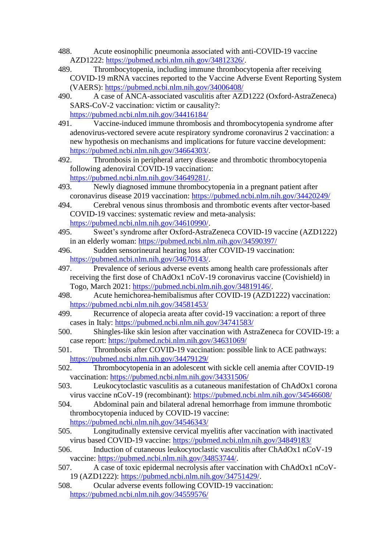- 488. Acute eosinophilic pneumonia associated with anti-COVID-19 vaccine AZD1222: [https://pubmed.ncbi.nlm.nih.gov/34812326/.](https://pubmed.ncbi.nlm.nih.gov/34812326/)
- 489. Thrombocytopenia, including immune thrombocytopenia after receiving COVID-19 mRNA vaccines reported to the Vaccine Adverse Event Reporting System (VAERS):<https://pubmed.ncbi.nlm.nih.gov/34006408/>
- 490. A case of ANCA-associated vasculitis after AZD1222 (Oxford-AstraZeneca) SARS-CoV-2 vaccination: victim or causality?: <https://pubmed.ncbi.nlm.nih.gov/34416184/>
- 491. Vaccine-induced immune thrombosis and thrombocytopenia syndrome after adenovirus-vectored severe acute respiratory syndrome coronavirus 2 vaccination: a new hypothesis on mechanisms and implications for future vaccine development: [https://pubmed.ncbi.nlm.nih.gov/34664303/.](https://pubmed.ncbi.nlm.nih.gov/34664303/)
- 492. Thrombosis in peripheral artery disease and thrombotic thrombocytopenia following adenoviral COVID-19 vaccination: [https://pubmed.ncbi.nlm.nih.gov/34649281/.](https://pubmed.ncbi.nlm.nih.gov/34649281/)
- 493. Newly diagnosed immune thrombocytopenia in a pregnant patient after coronavirus disease 2019 vaccination:<https://pubmed.ncbi.nlm.nih.gov/34420249/>
- 494. Cerebral venous sinus thrombosis and thrombotic events after vector-based COVID-19 vaccines: systematic review and meta-analysis: [https://pubmed.ncbi.nlm.nih.gov/34610990/.](https://pubmed.ncbi.nlm.nih.gov/34610990/)
- 495. Sweet's syndrome after Oxford-AstraZeneca COVID-19 vaccine (AZD1222) in an elderly woman:<https://pubmed.ncbi.nlm.nih.gov/34590397/>
- 496. Sudden sensorineural hearing loss after COVID-19 vaccination: [https://pubmed.ncbi.nlm.nih.gov/34670143/.](https://pubmed.ncbi.nlm.nih.gov/34670143/)
- 497. Prevalence of serious adverse events among health care professionals after receiving the first dose of ChAdOx1 nCoV-19 coronavirus vaccine (Covishield) in Togo, March 2021: [https://pubmed.ncbi.nlm.nih.gov/34819146/.](https://pubmed.ncbi.nlm.nih.gov/34819146/)
- 498. Acute hemichorea-hemibalismus after COVID-19 (AZD1222) vaccination: <https://pubmed.ncbi.nlm.nih.gov/34581453/>
- 499. Recurrence of alopecia areata after covid-19 vaccination: a report of three cases in Italy:<https://pubmed.ncbi.nlm.nih.gov/34741583/>
- 500. Shingles-like skin lesion after vaccination with AstraZeneca for COVID-19: a case report:<https://pubmed.ncbi.nlm.nih.gov/34631069/>
- 501. Thrombosis after COVID-19 vaccination: possible link to ACE pathways: <https://pubmed.ncbi.nlm.nih.gov/34479129/>
- 502. Thrombocytopenia in an adolescent with sickle cell anemia after COVID-19 vaccination:<https://pubmed.ncbi.nlm.nih.gov/34331506/>
- 503. Leukocytoclastic vasculitis as a cutaneous manifestation of ChAdOx1 corona virus vaccine nCoV-19 (recombinant):<https://pubmed.ncbi.nlm.nih.gov/34546608/>
- 504. Abdominal pain and bilateral adrenal hemorrhage from immune thrombotic thrombocytopenia induced by COVID-19 vaccine: <https://pubmed.ncbi.nlm.nih.gov/34546343/>
- 505. Longitudinally extensive cervical myelitis after vaccination with inactivated
- virus based COVID-19 vaccine:<https://pubmed.ncbi.nlm.nih.gov/34849183/>
- 506. Induction of cutaneous leukocytoclastic vasculitis after ChAdOx1 nCoV-19 vaccine: [https://pubmed.ncbi.nlm.nih.gov/34853744/.](https://pubmed.ncbi.nlm.nih.gov/34853744/)
- 507. A case of toxic epidermal necrolysis after vaccination with ChAdOx1 nCoV-19 (AZD1222): [https://pubmed.ncbi.nlm.nih.gov/34751429/.](https://pubmed.ncbi.nlm.nih.gov/34751429/)
- 508. Ocular adverse events following COVID-19 vaccination: <https://pubmed.ncbi.nlm.nih.gov/34559576/>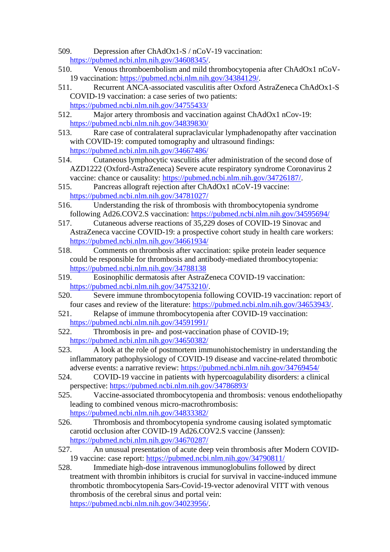- 509. Depression after ChAdOx1-S / nCoV-19 vaccination: [https://pubmed.ncbi.nlm.nih.gov/34608345/.](https://pubmed.ncbi.nlm.nih.gov/34608345/)
- 510. Venous thromboembolism and mild thrombocytopenia after ChAdOx1 nCoV-19 vaccination: [https://pubmed.ncbi.nlm.nih.gov/34384129/.](https://pubmed.ncbi.nlm.nih.gov/34384129/)
- 511. Recurrent ANCA-associated vasculitis after Oxford AstraZeneca ChAdOx1-S COVID-19 vaccination: a case series of two patients: <https://pubmed.ncbi.nlm.nih.gov/34755433/>
- 512. Major artery thrombosis and vaccination against ChAdOx1 nCov-19: <https://pubmed.ncbi.nlm.nih.gov/34839830/>
- 513. Rare case of contralateral supraclavicular lymphadenopathy after vaccination with COVID-19: computed tomography and ultrasound findings: <https://pubmed.ncbi.nlm.nih.gov/34667486/>
- 514. Cutaneous lymphocytic vasculitis after administration of the second dose of AZD1222 (Oxford-AstraZeneca) Severe acute respiratory syndrome Coronavirus 2 vaccine: chance or causality: [https://pubmed.ncbi.nlm.nih.gov/34726187/.](https://pubmed.ncbi.nlm.nih.gov/34726187/)
- 515. Pancreas allograft rejection after ChAdOx1 nCoV-19 vaccine: <https://pubmed.ncbi.nlm.nih.gov/34781027/>
- 516. Understanding the risk of thrombosis with thrombocytopenia syndrome following Ad26.COV2.S vaccination:<https://pubmed.ncbi.nlm.nih.gov/34595694/>
- 517. Cutaneous adverse reactions of 35,229 doses of COVID-19 Sinovac and AstraZeneca vaccine COVID-19: a prospective cohort study in health care workers: <https://pubmed.ncbi.nlm.nih.gov/34661934/>
- 518. Comments on thrombosis after vaccination: spike protein leader sequence could be responsible for thrombosis and antibody-mediated thrombocytopenia: <https://pubmed.ncbi.nlm.nih.gov/34788138>
- 519. Eosinophilic dermatosis after AstraZeneca COVID-19 vaccination: [https://pubmed.ncbi.nlm.nih.gov/34753210/.](https://pubmed.ncbi.nlm.nih.gov/34753210/)
- 520. Severe immune thrombocytopenia following COVID-19 vaccination: report of four cases and review of the literature: [https://pubmed.ncbi.nlm.nih.gov/34653943/.](https://pubmed.ncbi.nlm.nih.gov/34653943/)
- 521. Relapse of immune thrombocytopenia after COVID-19 vaccination: <https://pubmed.ncbi.nlm.nih.gov/34591991/>
- 522. Thrombosis in pre- and post-vaccination phase of COVID-19; <https://pubmed.ncbi.nlm.nih.gov/34650382/>
- 523. A look at the role of postmortem immunohistochemistry in understanding the inflammatory pathophysiology of COVID-19 disease and vaccine-related thrombotic adverse events: a narrative review:<https://pubmed.ncbi.nlm.nih.gov/34769454/>
- 524. COVID-19 vaccine in patients with hypercoagulability disorders: a clinical perspective:<https://pubmed.ncbi.nlm.nih.gov/34786893/>
- 525. Vaccine-associated thrombocytopenia and thrombosis: venous endotheliopathy leading to combined venous micro-macrothrombosis: <https://pubmed.ncbi.nlm.nih.gov/34833382/>
- 526. Thrombosis and thrombocytopenia syndrome causing isolated symptomatic carotid occlusion after COVID-19 Ad26.COV2.S vaccine (Janssen): <https://pubmed.ncbi.nlm.nih.gov/34670287/>
- 527. An unusual presentation of acute deep vein thrombosis after Modern COVID-19 vaccine: case report:<https://pubmed.ncbi.nlm.nih.gov/34790811/>
- 528. Immediate high-dose intravenous immunoglobulins followed by direct treatment with thrombin inhibitors is crucial for survival in vaccine-induced immune thrombotic thrombocytopenia Sars-Covid-19-vector adenoviral VITT with venous thrombosis of the cerebral sinus and portal vein: [https://pubmed.ncbi.nlm.nih.gov/34023956/.](https://pubmed.ncbi.nlm.nih.gov/34023956/)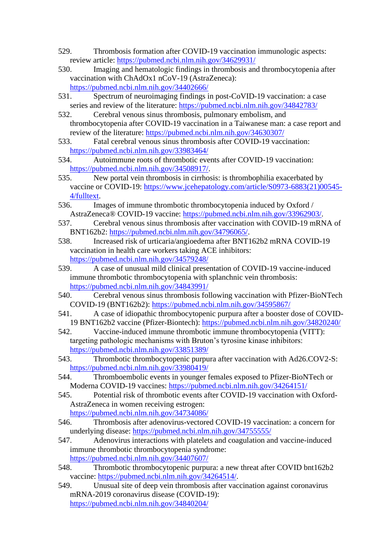- 529. Thrombosis formation after COVID-19 vaccination immunologic aspects: review article:<https://pubmed.ncbi.nlm.nih.gov/34629931/>
- 530. Imaging and hematologic findings in thrombosis and thrombocytopenia after vaccination with ChAdOx1 nCoV-19 (AstraZeneca): <https://pubmed.ncbi.nlm.nih.gov/34402666/>
- 531. Spectrum of neuroimaging findings in post-CoVID-19 vaccination: a case series and review of the literature:<https://pubmed.ncbi.nlm.nih.gov/34842783/>
- 532. Cerebral venous sinus thrombosis, pulmonary embolism, and thrombocytopenia after COVID-19 vaccination in a Taiwanese man: a case report and review of the literature:<https://pubmed.ncbi.nlm.nih.gov/34630307/>
- 533. Fatal cerebral venous sinus thrombosis after COVID-19 vaccination: <https://pubmed.ncbi.nlm.nih.gov/33983464/>
- 534. Autoimmune roots of thrombotic events after COVID-19 vaccination: [https://pubmed.ncbi.nlm.nih.gov/34508917/.](https://pubmed.ncbi.nlm.nih.gov/34508917/)
- 535. New portal vein thrombosis in cirrhosis: is thrombophilia exacerbated by vaccine or COVID-19: [https://www.jcehepatology.com/article/S0973-6883\(21\)00545-](https://www.jcehepatology.com/article/S0973-6883(21)00545-4/fulltext) [4/fulltext.](https://www.jcehepatology.com/article/S0973-6883(21)00545-4/fulltext)
- 536. Images of immune thrombotic thrombocytopenia induced by Oxford / AstraZeneca® COVID-19 vaccine: [https://pubmed.ncbi.nlm.nih.gov/33962903/.](https://pubmed.ncbi.nlm.nih.gov/33962903/)
- 537. Cerebral venous sinus thrombosis after vaccination with COVID-19 mRNA of BNT162b2: [https://pubmed.ncbi.nlm.nih.gov/34796065/.](https://pubmed.ncbi.nlm.nih.gov/34796065/)
- 538. Increased risk of urticaria/angioedema after BNT162b2 mRNA COVID-19 vaccination in health care workers taking ACE inhibitors: <https://pubmed.ncbi.nlm.nih.gov/34579248/>
- 539. A case of unusual mild clinical presentation of COVID-19 vaccine-induced immune thrombotic thrombocytopenia with splanchnic vein thrombosis: <https://pubmed.ncbi.nlm.nih.gov/34843991/>
- 540. Cerebral venous sinus thrombosis following vaccination with Pfizer-BioNTech COVID-19 (BNT162b2):<https://pubmed.ncbi.nlm.nih.gov/34595867/>
- 541. A case of idiopathic thrombocytopenic purpura after a booster dose of COVID-19 BNT162b2 vaccine (Pfizer-Biontech):<https://pubmed.ncbi.nlm.nih.gov/34820240/>
- 542. Vaccine-induced immune thrombotic immune thrombocytopenia (VITT): targeting pathologic mechanisms with Bruton's tyrosine kinase inhibitors: <https://pubmed.ncbi.nlm.nih.gov/33851389/>
- 543. Thrombotic thrombocytopenic purpura after vaccination with Ad26.COV2-S: <https://pubmed.ncbi.nlm.nih.gov/33980419/>
- 544. Thromboembolic events in younger females exposed to Pfizer-BioNTech or Moderna COVID-19 vaccines:<https://pubmed.ncbi.nlm.nih.gov/34264151/>
- 545. Potential risk of thrombotic events after COVID-19 vaccination with Oxford-AstraZeneca in women receiving estrogen: <https://pubmed.ncbi.nlm.nih.gov/34734086/>
- 546. Thrombosis after adenovirus-vectored COVID-19 vaccination: a concern for underlying disease:<https://pubmed.ncbi.nlm.nih.gov/34755555/>
- 547. Adenovirus interactions with platelets and coagulation and vaccine-induced immune thrombotic thrombocytopenia syndrome: <https://pubmed.ncbi.nlm.nih.gov/34407607/>
- 548. Thrombotic thrombocytopenic purpura: a new threat after COVID bnt162b2 vaccine: [https://pubmed.ncbi.nlm.nih.gov/34264514/.](https://pubmed.ncbi.nlm.nih.gov/34264514/)
- 549. Unusual site of deep vein thrombosis after vaccination against coronavirus mRNA-2019 coronavirus disease (COVID-19): <https://pubmed.ncbi.nlm.nih.gov/34840204/>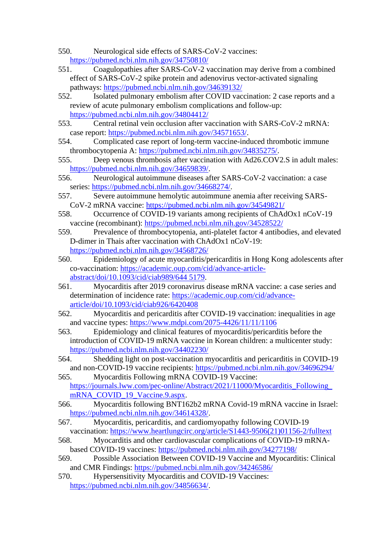- 550. Neurological side effects of SARS-CoV-2 vaccines: <https://pubmed.ncbi.nlm.nih.gov/34750810/>
- 551. Coagulopathies after SARS-CoV-2 vaccination may derive from a combined effect of SARS-CoV-2 spike protein and adenovirus vector-activated signaling pathways:<https://pubmed.ncbi.nlm.nih.gov/34639132/>
- 552. Isolated pulmonary embolism after COVID vaccination: 2 case reports and a review of acute pulmonary embolism complications and follow-up: <https://pubmed.ncbi.nlm.nih.gov/34804412/>
- 553. Central retinal vein occlusion after vaccination with SARS-CoV-2 mRNA: case report: [https://pubmed.ncbi.nlm.nih.gov/34571653/.](https://pubmed.ncbi.nlm.nih.gov/34571653/)
- 554. Complicated case report of long-term vaccine-induced thrombotic immune thrombocytopenia A: [https://pubmed.ncbi.nlm.nih.gov/34835275/.](https://pubmed.ncbi.nlm.nih.gov/34835275/)
- 555. Deep venous thrombosis after vaccination with Ad26.COV2.S in adult males: [https://pubmed.ncbi.nlm.nih.gov/34659839/.](https://pubmed.ncbi.nlm.nih.gov/34659839/)
- 556. Neurological autoimmune diseases after SARS-CoV-2 vaccination: a case series: [https://pubmed.ncbi.nlm.nih.gov/34668274/.](https://pubmed.ncbi.nlm.nih.gov/34668274/)
- 557. Severe autoimmune hemolytic autoimmune anemia after receiving SARS-CoV-2 mRNA vaccine:<https://pubmed.ncbi.nlm.nih.gov/34549821/>
- 558. Occurrence of COVID-19 variants among recipients of ChAdOx1 nCoV-19 vaccine (recombinant):<https://pubmed.ncbi.nlm.nih.gov/34528522/>
- 559. Prevalence of thrombocytopenia, anti-platelet factor 4 antibodies, and elevated D-dimer in Thais after vaccination with ChAdOx1 nCoV-19: <https://pubmed.ncbi.nlm.nih.gov/34568726/>
- 560. Epidemiology of acute myocarditis/pericarditis in Hong Kong adolescents after co-vaccination: [https://academic.oup.com/cid/advance-article](https://academic.oup.com/cid/advance-article-abstract/doi/10.1093/cid/ciab989/644%205179)[abstract/doi/10.1093/cid/ciab989/644 5179.](https://academic.oup.com/cid/advance-article-abstract/doi/10.1093/cid/ciab989/644%205179)
- 561. Myocarditis after 2019 coronavirus disease mRNA vaccine: a case series and determination of incidence rate: [https://academic.oup.com/cid/advance](https://academic.oup.com/cid/advance-article/doi/10.1093/cid/ciab926/6420408)[article/doi/10.1093/cid/ciab926/6420408](https://academic.oup.com/cid/advance-article/doi/10.1093/cid/ciab926/6420408)
- 562. Myocarditis and pericarditis after COVID-19 vaccination: inequalities in age and vaccine types:<https://www.mdpi.com/2075-4426/11/11/1106>
- 563. Epidemiology and clinical features of myocarditis/pericarditis before the introduction of COVID-19 mRNA vaccine in Korean children: a multicenter study: <https://pubmed.ncbi.nlm.nih.gov/34402230/>
- 564. Shedding light on post-vaccination myocarditis and pericarditis in COVID-19 and non-COVID-19 vaccine recipients:<https://pubmed.ncbi.nlm.nih.gov/34696294/>
- 565. Myocarditis Following mRNA COVID-19 Vaccine: https://journals.lww.com/pec-online/Abstract/2021/11000/Myocarditis\_Following [mRNA\\_COVID\\_19\\_Vaccine.9.aspx.](https://journals.lww.com/pec-online/Abstract/2021/11000/Myocarditis_Following_%20mRNA_COVID_19_Vaccine.9.aspx)
- 566. Myocarditis following BNT162b2 mRNA Covid-19 mRNA vaccine in Israel: [https://pubmed.ncbi.nlm.nih.gov/34614328/.](https://pubmed.ncbi.nlm.nih.gov/34614328/)
- 567. Myocarditis, pericarditis, and cardiomyopathy following COVID-19 vaccination: [https://www.heartlungcirc.org/article/S1443-9506\(21\)01156-2/fulltext](https://www.heartlungcirc.org/article/S1443-9506(21)01156-2/fulltext)
- 568. Myocarditis and other cardiovascular complications of COVID-19 mRNAbased COVID-19 vaccines:<https://pubmed.ncbi.nlm.nih.gov/34277198/>
- 569. Possible Association Between COVID-19 Vaccine and Myocarditis: Clinical and CMR Findings:<https://pubmed.ncbi.nlm.nih.gov/34246586/>
- 570. Hypersensitivity Myocarditis and COVID-19 Vaccines: [https://pubmed.ncbi.nlm.nih.gov/34856634/.](https://pubmed.ncbi.nlm.nih.gov/34856634/)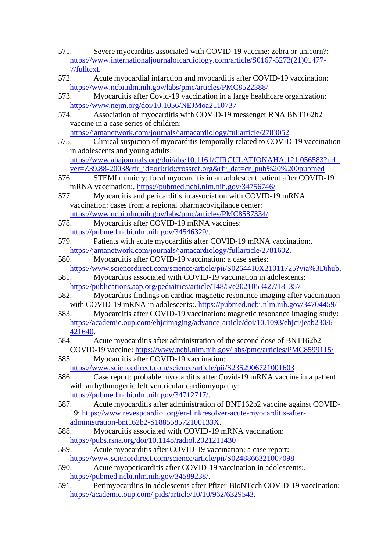- 571. Severe myocarditis associated with COVID-19 vaccine: zebra or unicorn?: [https://www.internationaljournalofcardiology.com/article/S0167-5273\(21\)01477-](https://www.internationaljournalofcardiology.com/article/S0167-5273(21)01477-7/fulltext) [7/fulltext.](https://www.internationaljournalofcardiology.com/article/S0167-5273(21)01477-7/fulltext)
- 572. Acute myocardial infarction and myocarditis after COVID-19 vaccination: <https://www.ncbi.nlm.nih.gov/labs/pmc/articles/PMC8522388/>
- 573. Myocarditis after Covid-19 vaccination in a large healthcare organization: <https://www.nejm.org/doi/10.1056/NEJMoa2110737>
- 574. Association of myocarditis with COVID-19 messenger RNA BNT162b2 vaccine in a case series of children: <https://jamanetwork.com/journals/jamacardiology/fullarticle/2783052>
- 575. Clinical suspicion of myocarditis temporally related to COVID-19 vaccination in adolescents and young adults: [https://www.ahajournals.org/doi/abs/10.1161/CIRCULATIONAHA.121.056583?url\\_](https://www.ahajournals.org/doi/abs/10.1161/CIRCULATIONAHA.121.056583?url_ver=Z39.88-2003&rfr_id=ori:rid:crossref.org&rfr_dat=cr_pub%20%200pubmed) [ver=Z39.88-2003&rfr\\_id=ori:rid:crossref.org&rfr\\_dat=cr\\_pub%20%200pubmed](https://www.ahajournals.org/doi/abs/10.1161/CIRCULATIONAHA.121.056583?url_ver=Z39.88-2003&rfr_id=ori:rid:crossref.org&rfr_dat=cr_pub%20%200pubmed)
- 576. STEMI mimicry: focal myocarditis in an adolescent patient after COVID-19 mRNA vaccination:.<https://pubmed.ncbi.nlm.nih.gov/34756746/>
- 577. Myocarditis and pericarditis in association with COVID-19 mRNA vaccination: cases from a regional pharmacovigilance center: <https://www.ncbi.nlm.nih.gov/labs/pmc/articles/PMC8587334/>
- 578. Myocarditis after COVID-19 mRNA vaccines: [https://pubmed.ncbi.nlm.nih.gov/34546329/.](https://pubmed.ncbi.nlm.nih.gov/34546329/)
- 579. Patients with acute myocarditis after COVID-19 mRNA vaccination:. [https://jamanetwork.com/journals/jamacardiology/fullarticle/2781602.](https://jamanetwork.com/journals/jamacardiology/fullarticle/2781602)
- 580. Myocarditis after COVID-19 vaccination: a case series: [https://www.sciencedirect.com/science/article/pii/S0264410X21011725?via%3Dihub.](https://www.sciencedirect.com/science/article/pii/S0264410X21011725?via%3Dihub)
- 581. Myocarditis associated with COVID-19 vaccination in adolescents: <https://publications.aap.org/pediatrics/article/148/5/e2021053427/181357>
- 582. Myocarditis findings on cardiac magnetic resonance imaging after vaccination with COVID-19 mRNA in adolescents:.<https://pubmed.ncbi.nlm.nih.gov/34704459/>
- 583. Myocarditis after COVID-19 vaccination: magnetic resonance imaging study: [https://academic.oup.com/ehjcimaging/advance-article/doi/10.1093/ehjci/jeab230/6](https://academic.oup.com/ehjcimaging/advance-article/doi/10.1093/ehjci/jeab230/6%20421640)  [421640.](https://academic.oup.com/ehjcimaging/advance-article/doi/10.1093/ehjci/jeab230/6%20421640)
- 584. Acute myocarditis after administration of the second dose of BNT162b2 COVID-19 vaccine:<https://www.ncbi.nlm.nih.gov/labs/pmc/articles/PMC8599115/>
- 585. Myocarditis after COVID-19 vaccination: <https://www.sciencedirect.com/science/article/pii/S2352906721001603>
- 586. Case report: probable myocarditis after Covid-19 mRNA vaccine in a patient with arrhythmogenic left ventricular cardiomyopathy: [https://pubmed.ncbi.nlm.nih.gov/34712717/.](https://pubmed.ncbi.nlm.nih.gov/34712717/)
- 587. Acute myocarditis after administration of BNT162b2 vaccine against COVID-19: [https://www.revespcardiol.org/en-linkresolver-acute-myocarditis-after](https://www.revespcardiol.org/en-linkresolver-acute-myocarditis-after-administration-bnt162b2-S188558572100133X)[administration-bnt162b2-S188558572100133X.](https://www.revespcardiol.org/en-linkresolver-acute-myocarditis-after-administration-bnt162b2-S188558572100133X)
- 588. Myocarditis associated with COVID-19 mRNA vaccination: <https://pubs.rsna.org/doi/10.1148/radiol.2021211430>
- 589. Acute myocarditis after COVID-19 vaccination: a case report: <https://www.sciencedirect.com/science/article/pii/S0248866321007098>
- 590. Acute myopericarditis after COVID-19 vaccination in adolescents:. [https://pubmed.ncbi.nlm.nih.gov/34589238/.](https://pubmed.ncbi.nlm.nih.gov/34589238/)
- 591. Perimyocarditis in adolescents after Pfizer-BioNTech COVID-19 vaccination: [https://academic.oup.com/jpids/article/10/10/962/6329543.](https://academic.oup.com/jpids/article/10/10/962/6329543)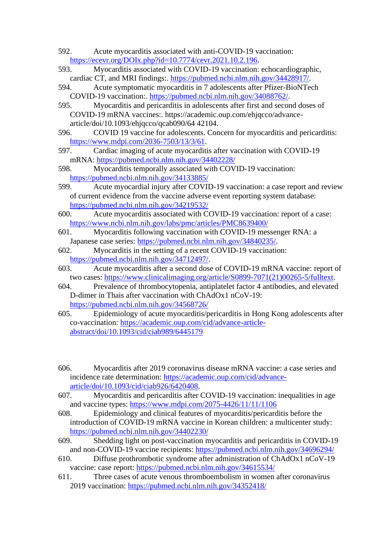- 592. Acute myocarditis associated with anti-COVID-19 vaccination: [https://ecevr.org/DOIx.php?id=10.7774/cevr.2021.10.2.196.](https://ecevr.org/DOIx.php?id=10.7774/cevr.2021.10.2.196)
- 593. Myocarditis associated with COVID-19 vaccination: echocardiographic, cardiac CT, and MRI findings:. [https://pubmed.ncbi.nlm.nih.gov/34428917/.](https://pubmed.ncbi.nlm.nih.gov/34428917/)
- 594. Acute symptomatic myocarditis in 7 adolescents after Pfizer-BioNTech COVID-19 vaccination:. [https://pubmed.ncbi.nlm.nih.gov/34088762/.](https://pubmed.ncbi.nlm.nih.gov/34088762/)
- 595. Myocarditis and pericarditis in adolescents after first and second doses of COVID-19 mRNA vaccines:. https://academic.oup.com/ehjqcco/advancearticle/doi/10.1093/ehjqcco/qcab090/64 42104.
- 596. COVID 19 vaccine for adolescents. Concern for myocarditis and pericarditis: [https://www.mdpi.com/2036-7503/13/3/61.](https://www.mdpi.com/2036-7503/13/3/61)
- 597. Cardiac imaging of acute myocarditis after vaccination with COVID-19 mRNA:<https://pubmed.ncbi.nlm.nih.gov/34402228/>
- 598. Myocarditis temporally associated with COVID-19 vaccination: <https://pubmed.ncbi.nlm.nih.gov/34133885/>
- 599. Acute myocardial injury after COVID-19 vaccination: a case report and review of current evidence from the vaccine adverse event reporting system database: <https://pubmed.ncbi.nlm.nih.gov/34219532/>
- 600. Acute myocarditis associated with COVID-19 vaccination: report of a case: <https://www.ncbi.nlm.nih.gov/labs/pmc/articles/PMC8639400/>
- 601. Myocarditis following vaccination with COVID-19 messenger RNA: a Japanese case series: [https://pubmed.ncbi.nlm.nih.gov/34840235/.](https://pubmed.ncbi.nlm.nih.gov/34840235/)
- 602. Myocarditis in the setting of a recent COVID-19 vaccination: [https://pubmed.ncbi.nlm.nih.gov/34712497/.](https://pubmed.ncbi.nlm.nih.gov/34712497/)
- 603. Acute myocarditis after a second dose of COVID-19 mRNA vaccine: report of two cases: [https://www.clinicalimaging.org/article/S0899-7071\(21\)00265-5/fulltext.](https://www.clinicalimaging.org/article/S0899-7071(21)00265-5/fulltext)
- 604. Prevalence of thrombocytopenia, antiplatelet factor 4 antibodies, and elevated D-dimer in Thais after vaccination with ChAdOx1 nCoV-19: <https://pubmed.ncbi.nlm.nih.gov/34568726/>
- 605. Epidemiology of acute myocarditis/pericarditis in Hong Kong adolescents after co-vaccination: [https://academic.oup.com/cid/advance-article](https://academic.oup.com/cid/advance-article-abstract/doi/10.1093/cid/ciab989/6445179)[abstract/doi/10.1093/cid/ciab989/6445179](https://academic.oup.com/cid/advance-article-abstract/doi/10.1093/cid/ciab989/6445179)
- 606. Myocarditis after 2019 coronavirus disease mRNA vaccine: a case series and incidence rate determination: [https://academic.oup.com/cid/advance](https://academic.oup.com/cid/advance-article/doi/10.1093/cid/ciab926/6420408)[article/doi/10.1093/cid/ciab926/6420408.](https://academic.oup.com/cid/advance-article/doi/10.1093/cid/ciab926/6420408)
- 607. Myocarditis and pericarditis after COVID-19 vaccination: inequalities in age and vaccine types:<https://www.mdpi.com/2075-4426/11/11/1106>
- 608. Epidemiology and clinical features of myocarditis/pericarditis before the introduction of COVID-19 mRNA vaccine in Korean children: a multicenter study: <https://pubmed.ncbi.nlm.nih.gov/34402230/>
- 609. Shedding light on post-vaccination myocarditis and pericarditis in COVID-19 and non-COVID-19 vaccine recipients:<https://pubmed.ncbi.nlm.nih.gov/34696294/>
- 610. Diffuse prothrombotic syndrome after administration of ChAdOx1 nCoV-19 vaccine: case report:<https://pubmed.ncbi.nlm.nih.gov/34615534/>
- 611. Three cases of acute venous thromboembolism in women after coronavirus 2019 vaccination:<https://pubmed.ncbi.nlm.nih.gov/34352418/>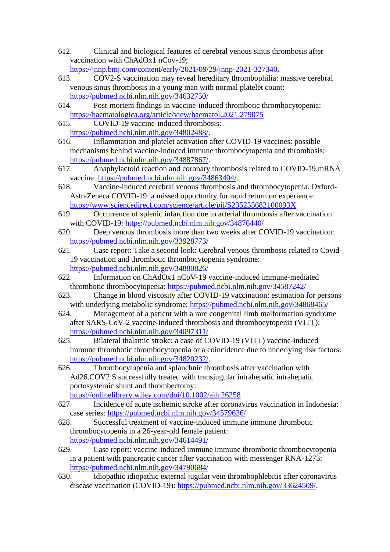- 612. Clinical and biological features of cerebral venous sinus thrombosis after vaccination with ChAdOx1 nCov-19; [https://jnnp.bmj.com/content/early/2021/09/29/jnnp-2021-327340.](https://jnnp.bmj.com/content/early/2021/09/29/jnnp-2021-327340)
- 613. COV2-S vaccination may reveal hereditary thrombophilia: massive cerebral venous sinus thrombosis in a young man with normal platelet count: <https://pubmed.ncbi.nlm.nih.gov/34632750/>
- 614. Post-mortem findings in vaccine-induced thrombotic thrombocytopenia: <https://haematologica.org/article/view/haematol.2021.279075>
- 615. COVID-19 vaccine-induced thrombosis: [https://pubmed.ncbi.nlm.nih.gov/34802488/.](https://pubmed.ncbi.nlm.nih.gov/34802488/)
- 616. Inflammation and platelet activation after COVID-19 vaccines: possible mechanisms behind vaccine-induced immune thrombocytopenia and thrombosis: [https://pubmed.ncbi.nlm.nih.gov/34887867/.](https://pubmed.ncbi.nlm.nih.gov/34887867/)
- 617. Anaphylactoid reaction and coronary thrombosis related to COVID-19 mRNA vaccine: [https://pubmed.ncbi.nlm.nih.gov/34863404/.](https://pubmed.ncbi.nlm.nih.gov/34863404/)
- 618. Vaccine-induced cerebral venous thrombosis and thrombocytopenia. Oxford-AstraZeneca COVID-19: a missed opportunity for rapid return on experience: <https://www.sciencedirect.com/science/article/pii/S235255682100093X>
- 619. Occurrence of splenic infarction due to arterial thrombosis after vaccination with COVID-19:<https://pubmed.ncbi.nlm.nih.gov/34876440/>
- 620. Deep venous thrombosis more than two weeks after COVID-19 vaccination: <https://pubmed.ncbi.nlm.nih.gov/33928773/>
- 621. Case report: Take a second look: Cerebral venous thrombosis related to Covid-19 vaccination and thrombotic thrombocytopenia syndrome: <https://pubmed.ncbi.nlm.nih.gov/34880826/>
- 622. Information on ChAdOx1 nCoV-19 vaccine-induced immune-mediated thrombotic thrombocytopenia:<https://pubmed.ncbi.nlm.nih.gov/34587242/>
- 623. Change in blood viscosity after COVID-19 vaccination: estimation for persons with underlying metabolic syndrome:<https://pubmed.ncbi.nlm.nih.gov/34868465/>
- 624. Management of a patient with a rare congenital limb malformation syndrome after SARS-CoV-2 vaccine-induced thrombosis and thrombocytopenia (VITT): <https://pubmed.ncbi.nlm.nih.gov/34097311/>
- 625. Bilateral thalamic stroke: a case of COVID-19 (VITT) vaccine-induced immune thrombotic thrombocytopenia or a coincidence due to underlying risk factors: [https://pubmed.ncbi.nlm.nih.gov/34820232/.](https://pubmed.ncbi.nlm.nih.gov/34820232/)
- 626. Thrombocytopenia and splanchnic thrombosis after vaccination with Ad26.COV2.S successfully treated with transjugular intrahepatic intrahepatic portosystemic shunt and thrombectomy:
	- <https://onlinelibrary.wiley.com/doi/10.1002/ajh.26258>
- 627. Incidence of acute ischemic stroke after coronavirus vaccination in Indonesia: case series:<https://pubmed.ncbi.nlm.nih.gov/34579636/>
- 628. Successful treatment of vaccine-induced immune immune thrombotic thrombocytopenia in a 26-year-old female patient: <https://pubmed.ncbi.nlm.nih.gov/34614491/>
- 629. Case report: vaccine-induced immune immune thrombotic thrombocytopenia in a patient with pancreatic cancer after vaccination with messenger RNA-1273: <https://pubmed.ncbi.nlm.nih.gov/34790684/>
- 630. Idiopathic idiopathic external jugular vein thrombophlebitis after coronavirus disease vaccination (COVID-19): [https://pubmed.ncbi.nlm.nih.gov/33624509/.](https://pubmed.ncbi.nlm.nih.gov/33624509/)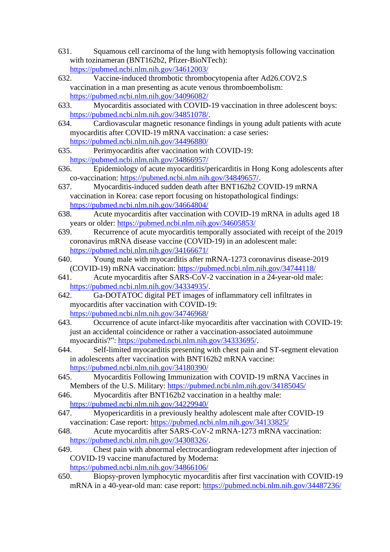- 631. Squamous cell carcinoma of the lung with hemoptysis following vaccination with tozinameran (BNT162b2, Pfizer-BioNTech): <https://pubmed.ncbi.nlm.nih.gov/34612003/>
- 632. Vaccine-induced thrombotic thrombocytopenia after Ad26.COV2.S vaccination in a man presenting as acute venous thromboembolism: <https://pubmed.ncbi.nlm.nih.gov/34096082/>
- 633. Myocarditis associated with COVID-19 vaccination in three adolescent boys: [https://pubmed.ncbi.nlm.nih.gov/34851078/.](https://pubmed.ncbi.nlm.nih.gov/34851078/)
- 634. Cardiovascular magnetic resonance findings in young adult patients with acute myocarditis after COVID-19 mRNA vaccination: a case series: <https://pubmed.ncbi.nlm.nih.gov/34496880/>
- 635. Perimyocarditis after vaccination with COVID-19: <https://pubmed.ncbi.nlm.nih.gov/34866957/>
- 636. Epidemiology of acute myocarditis/pericarditis in Hong Kong adolescents after co-vaccination: [https://pubmed.ncbi.nlm.nih.gov/34849657/.](https://pubmed.ncbi.nlm.nih.gov/34849657/)
- 637. Myocarditis-induced sudden death after BNT162b2 COVID-19 mRNA vaccination in Korea: case report focusing on histopathological findings: <https://pubmed.ncbi.nlm.nih.gov/34664804/>
- 638. Acute myocarditis after vaccination with COVID-19 mRNA in adults aged 18 years or older:<https://pubmed.ncbi.nlm.nih.gov/34605853/>
- 639. Recurrence of acute myocarditis temporally associated with receipt of the 2019 coronavirus mRNA disease vaccine (COVID-19) in an adolescent male: <https://pubmed.ncbi.nlm.nih.gov/34166671/>
- 640. Young male with myocarditis after mRNA-1273 coronavirus disease-2019 (COVID-19) mRNA vaccination:<https://pubmed.ncbi.nlm.nih.gov/34744118/>
- 641. Acute myocarditis after SARS-CoV-2 vaccination in a 24-year-old male: [https://pubmed.ncbi.nlm.nih.gov/34334935/.](https://pubmed.ncbi.nlm.nih.gov/34334935/)
- 642. Ga-DOTATOC digital PET images of inflammatory cell infiltrates in myocarditis after vaccination with COVID-19: <https://pubmed.ncbi.nlm.nih.gov/34746968/>
- 643. Occurrence of acute infarct-like myocarditis after vaccination with COVID-19: just an accidental coincidence or rather a vaccination-associated autoimmune myocarditis?": [https://pubmed.ncbi.nlm.nih.gov/34333695/.](https://pubmed.ncbi.nlm.nih.gov/34333695/)
- 644. Self-limited myocarditis presenting with chest pain and ST-segment elevation in adolescents after vaccination with BNT162b2 mRNA vaccine: <https://pubmed.ncbi.nlm.nih.gov/34180390/>
- 645. Myocarditis Following Immunization with COVID-19 mRNA Vaccines in Members of the U.S. Military:<https://pubmed.ncbi.nlm.nih.gov/34185045/>
- 646. Myocarditis after BNT162b2 vaccination in a healthy male: <https://pubmed.ncbi.nlm.nih.gov/34229940/>
- 647. Myopericarditis in a previously healthy adolescent male after COVID-19 vaccination: Case report:<https://pubmed.ncbi.nlm.nih.gov/34133825/>
- 648. Acute myocarditis after SARS-CoV-2 mRNA-1273 mRNA vaccination: [https://pubmed.ncbi.nlm.nih.gov/34308326/.](https://pubmed.ncbi.nlm.nih.gov/34308326/)
- 649. Chest pain with abnormal electrocardiogram redevelopment after injection of COVID-19 vaccine manufactured by Moderna: <https://pubmed.ncbi.nlm.nih.gov/34866106/>
- 650. Biopsy-proven lymphocytic myocarditis after first vaccination with COVID-19 mRNA in a 40-year-old man: case report:<https://pubmed.ncbi.nlm.nih.gov/34487236/>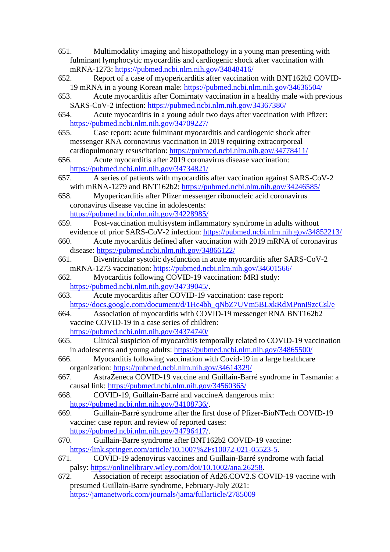- 651. Multimodality imaging and histopathology in a young man presenting with fulminant lymphocytic myocarditis and cardiogenic shock after vaccination with mRNA-1273:<https://pubmed.ncbi.nlm.nih.gov/34848416/>
- 652. Report of a case of myopericarditis after vaccination with BNT162b2 COVID-19 mRNA in a young Korean male:<https://pubmed.ncbi.nlm.nih.gov/34636504/>
- 653. Acute myocarditis after Comirnaty vaccination in a healthy male with previous SARS-CoV-2 infection:<https://pubmed.ncbi.nlm.nih.gov/34367386/>
- 654. Acute myocarditis in a young adult two days after vaccination with Pfizer: <https://pubmed.ncbi.nlm.nih.gov/34709227/>
- 655. Case report: acute fulminant myocarditis and cardiogenic shock after messenger RNA coronavirus vaccination in 2019 requiring extracorporeal cardiopulmonary resuscitation:<https://pubmed.ncbi.nlm.nih.gov/34778411/>
- 656. Acute myocarditis after 2019 coronavirus disease vaccination: <https://pubmed.ncbi.nlm.nih.gov/34734821/>
- 657. A series of patients with myocarditis after vaccination against SARS-CoV-2 with mRNA-1279 and BNT162b2:<https://pubmed.ncbi.nlm.nih.gov/34246585/>

658. Myopericarditis after Pfizer messenger ribonucleic acid coronavirus coronavirus disease vaccine in adolescents: <https://pubmed.ncbi.nlm.nih.gov/34228985/>

- 659. Post-vaccination multisystem inflammatory syndrome in adults without evidence of prior SARS-CoV-2 infection:<https://pubmed.ncbi.nlm.nih.gov/34852213/>
- 660. Acute myocarditis defined after vaccination with 2019 mRNA of coronavirus disease:<https://pubmed.ncbi.nlm.nih.gov/34866122/>
- 661. Biventricular systolic dysfunction in acute myocarditis after SARS-CoV-2 mRNA-1273 vaccination:<https://pubmed.ncbi.nlm.nih.gov/34601566/>
- 662. Myocarditis following COVID-19 vaccination: MRI study: [https://pubmed.ncbi.nlm.nih.gov/34739045/.](https://pubmed.ncbi.nlm.nih.gov/34739045/)
- 663. Acute myocarditis after COVID-19 vaccination: case report: [https://docs.google.com/document/d/1Hc4bh\\_qNbZ7UVm5BLxkRdMPnnI9zcCsl/e](https://docs.google.com/document/d/1Hc4bh_qNbZ7UVm5BLxkRdMPnnI9zcCsl/e)
- 664. Association of myocarditis with COVID-19 messenger RNA BNT162b2 vaccine COVID-19 in a case series of children: <https://pubmed.ncbi.nlm.nih.gov/34374740/>
- 665. Clinical suspicion of myocarditis temporally related to COVID-19 vaccination
- in adolescents and young adults:<https://pubmed.ncbi.nlm.nih.gov/34865500/>
- 666. Myocarditis following vaccination with Covid-19 in a large healthcare organization:<https://pubmed.ncbi.nlm.nih.gov/34614329/>
- 667. AstraZeneca COVID-19 vaccine and Guillain-Barré syndrome in Tasmania: a causal link:<https://pubmed.ncbi.nlm.nih.gov/34560365/>
- 668. COVID-19, Guillain-Barré and vaccineA dangerous mix: [https://pubmed.ncbi.nlm.nih.gov/34108736/.](https://pubmed.ncbi.nlm.nih.gov/34108736/)
- 669. Guillain-Barré syndrome after the first dose of Pfizer-BioNTech COVID-19 vaccine: case report and review of reported cases: [https://pubmed.ncbi.nlm.nih.gov/34796417/.](https://pubmed.ncbi.nlm.nih.gov/34796417/)
- 670. Guillain-Barre syndrome after BNT162b2 COVID-19 vaccine: [https://link.springer.com/article/10.1007%2Fs10072-021-05523-5.](https://link.springer.com/article/10.1007%2Fs10072-021-05523-5)
- 671. COVID-19 adenovirus vaccines and Guillain-Barré syndrome with facial palsy: [https://onlinelibrary.wiley.com/doi/10.1002/ana.26258.](https://onlinelibrary.wiley.com/doi/10.1002/ana.26258)
- 672. Association of receipt association of Ad26.COV2.S COVID-19 vaccine with presumed Guillain-Barre syndrome, February-July 2021: <https://jamanetwork.com/journals/jama/fullarticle/2785009>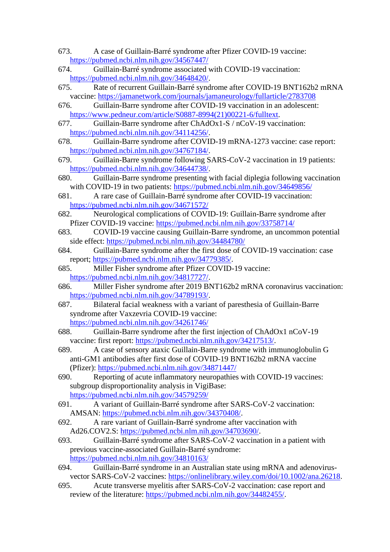- 673. A case of Guillain-Barré syndrome after Pfizer COVID-19 vaccine: <https://pubmed.ncbi.nlm.nih.gov/34567447/>
- 674. Guillain-Barré syndrome associated with COVID-19 vaccination: [https://pubmed.ncbi.nlm.nih.gov/34648420/.](https://pubmed.ncbi.nlm.nih.gov/34648420/)
- 675. Rate of recurrent Guillain-Barré syndrome after COVID-19 BNT162b2 mRNA vaccine:<https://jamanetwork.com/journals/jamaneurology/fullarticle/2783708>
- 676. Guillain-Barre syndrome after COVID-19 vaccination in an adolescent: [https://www.pedneur.com/article/S0887-8994\(21\)00221-6/fulltext.](https://www.pedneur.com/article/S0887-8994(21)00221-6/fulltext)
- 677. Guillain-Barre syndrome after ChAdOx1-S / nCoV-19 vaccination: [https://pubmed.ncbi.nlm.nih.gov/34114256/.](https://pubmed.ncbi.nlm.nih.gov/34114256/)
- 678. Guillain-Barre syndrome after COVID-19 mRNA-1273 vaccine: case report: [https://pubmed.ncbi.nlm.nih.gov/34767184/.](https://pubmed.ncbi.nlm.nih.gov/34767184/)
- 679. Guillain-Barre syndrome following SARS-CoV-2 vaccination in 19 patients: [https://pubmed.ncbi.nlm.nih.gov/34644738/.](https://pubmed.ncbi.nlm.nih.gov/34644738/)
- 680. Guillain-Barre syndrome presenting with facial diplegia following vaccination with COVID-19 in two patients:<https://pubmed.ncbi.nlm.nih.gov/34649856/>
- 681. A rare case of Guillain-Barré syndrome after COVID-19 vaccination: <https://pubmed.ncbi.nlm.nih.gov/34671572/>
- 682. Neurological complications of COVID-19: Guillain-Barre syndrome after Pfizer COVID-19 vaccine:<https://pubmed.ncbi.nlm.nih.gov/33758714/>
- 683. COVID-19 vaccine causing Guillain-Barre syndrome, an uncommon potential side effect:<https://pubmed.ncbi.nlm.nih.gov/34484780/>
- 684. Guillain-Barre syndrome after the first dose of COVID-19 vaccination: case report; [https://pubmed.ncbi.nlm.nih.gov/34779385/.](https://pubmed.ncbi.nlm.nih.gov/34779385/)
- 685. Miller Fisher syndrome after Pfizer COVID-19 vaccine: [https://pubmed.ncbi.nlm.nih.gov/34817727/.](https://pubmed.ncbi.nlm.nih.gov/34817727/)
- 686. Miller Fisher syndrome after 2019 BNT162b2 mRNA coronavirus vaccination: [https://pubmed.ncbi.nlm.nih.gov/34789193/.](https://pubmed.ncbi.nlm.nih.gov/34789193/)
- 687. Bilateral facial weakness with a variant of paresthesia of Guillain-Barre syndrome after Vaxzevria COVID-19 vaccine: <https://pubmed.ncbi.nlm.nih.gov/34261746/>
- 688. Guillain-Barre syndrome after the first injection of ChAdOx1 nCoV-19 vaccine: first report: [https://pubmed.ncbi.nlm.nih.gov/34217513/.](https://pubmed.ncbi.nlm.nih.gov/34217513/)
- 689. A case of sensory ataxic Guillain-Barre syndrome with immunoglobulin G anti-GM1 antibodies after first dose of COVID-19 BNT162b2 mRNA vaccine (Pfizer):<https://pubmed.ncbi.nlm.nih.gov/34871447/>
- 690. Reporting of acute inflammatory neuropathies with COVID-19 vaccines: subgroup disproportionality analysis in VigiBase: <https://pubmed.ncbi.nlm.nih.gov/34579259/>
- 691. A variant of Guillain-Barré syndrome after SARS-CoV-2 vaccination: AMSAN: [https://pubmed.ncbi.nlm.nih.gov/34370408/.](https://pubmed.ncbi.nlm.nih.gov/34370408/)
- 692. A rare variant of Guillain-Barré syndrome after vaccination with Ad26.COV2.S: [https://pubmed.ncbi.nlm.nih.gov/34703690/.](https://pubmed.ncbi.nlm.nih.gov/34703690/)
- 693. Guillain-Barré syndrome after SARS-CoV-2 vaccination in a patient with previous vaccine-associated Guillain-Barré syndrome: <https://pubmed.ncbi.nlm.nih.gov/34810163/>
- 694. Guillain-Barré syndrome in an Australian state using mRNA and adenovirusvector SARS-CoV-2 vaccines: [https://onlinelibrary.wiley.com/doi/10.1002/ana.26218.](https://onlinelibrary.wiley.com/doi/10.1002/ana.26218)
- 695. Acute transverse myelitis after SARS-CoV-2 vaccination: case report and review of the literature: [https://pubmed.ncbi.nlm.nih.gov/34482455/.](https://pubmed.ncbi.nlm.nih.gov/34482455/)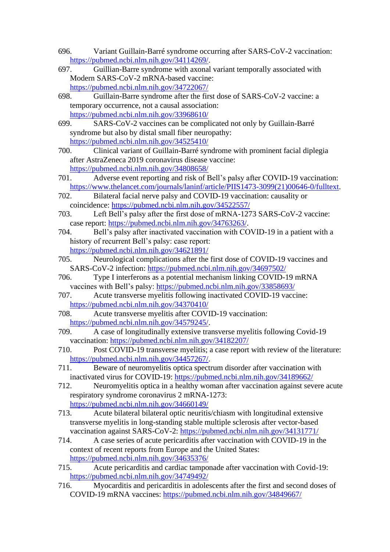- 696. Variant Guillain-Barré syndrome occurring after SARS-CoV-2 vaccination: [https://pubmed.ncbi.nlm.nih.gov/34114269/.](https://pubmed.ncbi.nlm.nih.gov/34114269/)
- 697. Guillian-Barre syndrome with axonal variant temporally associated with Modern SARS-CoV-2 mRNA-based vaccine: <https://pubmed.ncbi.nlm.nih.gov/34722067/>
- 698. Guillain-Barre syndrome after the first dose of SARS-CoV-2 vaccine: a temporary occurrence, not a causal association: <https://pubmed.ncbi.nlm.nih.gov/33968610/>
- 699. SARS-CoV-2 vaccines can be complicated not only by Guillain-Barré syndrome but also by distal small fiber neuropathy: <https://pubmed.ncbi.nlm.nih.gov/34525410/>
- 700. Clinical variant of Guillain-Barré syndrome with prominent facial diplegia after AstraZeneca 2019 coronavirus disease vaccine: <https://pubmed.ncbi.nlm.nih.gov/34808658/>
- 701. Adverse event reporting and risk of Bell's palsy after COVID-19 vaccination: [https://www.thelancet.com/journals/laninf/article/PIIS1473-3099\(21\)00646-0/fulltext.](https://www.thelancet.com/journals/laninf/article/PIIS1473-3099(21)00646-0/fulltext)
- 702. Bilateral facial nerve palsy and COVID-19 vaccination: causality or coincidence:<https://pubmed.ncbi.nlm.nih.gov/34522557/>
- 703. Left Bell's palsy after the first dose of mRNA-1273 SARS-CoV-2 vaccine: case report: [https://pubmed.ncbi.nlm.nih.gov/34763263/.](https://pubmed.ncbi.nlm.nih.gov/34763263/)
- 704. Bell's palsy after inactivated vaccination with COVID-19 in a patient with a history of recurrent Bell's palsy: case report: <https://pubmed.ncbi.nlm.nih.gov/34621891/>
- 705. Neurological complications after the first dose of COVID-19 vaccines and SARS-CoV-2 infection:<https://pubmed.ncbi.nlm.nih.gov/34697502/>
- 706. Type I interferons as a potential mechanism linking COVID-19 mRNA vaccines with Bell's palsy:<https://pubmed.ncbi.nlm.nih.gov/33858693/>
- 707. Acute transverse myelitis following inactivated COVID-19 vaccine: <https://pubmed.ncbi.nlm.nih.gov/34370410/>
- 708. Acute transverse myelitis after COVID-19 vaccination: [https://pubmed.ncbi.nlm.nih.gov/34579245/.](https://pubmed.ncbi.nlm.nih.gov/34579245/)
- 709. A case of longitudinally extensive transverse myelitis following Covid-19 vaccination:<https://pubmed.ncbi.nlm.nih.gov/34182207/>
- 710. Post COVID-19 transverse myelitis; a case report with review of the literature: [https://pubmed.ncbi.nlm.nih.gov/34457267/.](https://pubmed.ncbi.nlm.nih.gov/34457267/)
- 711. Beware of neuromyelitis optica spectrum disorder after vaccination with inactivated virus for COVID-19:<https://pubmed.ncbi.nlm.nih.gov/34189662/>
- 712. Neuromyelitis optica in a healthy woman after vaccination against severe acute respiratory syndrome coronavirus 2 mRNA-1273: <https://pubmed.ncbi.nlm.nih.gov/34660149/>
- 713. Acute bilateral bilateral optic neuritis/chiasm with longitudinal extensive transverse myelitis in long-standing stable multiple sclerosis after vector-based vaccination against SARS-CoV-2:<https://pubmed.ncbi.nlm.nih.gov/34131771/>
- 714. A case series of acute pericarditis after vaccination with COVID-19 in the context of recent reports from Europe and the United States: <https://pubmed.ncbi.nlm.nih.gov/34635376/>
- 715. Acute pericarditis and cardiac tamponade after vaccination with Covid-19: <https://pubmed.ncbi.nlm.nih.gov/34749492/>
- 716. Myocarditis and pericarditis in adolescents after the first and second doses of COVID-19 mRNA vaccines:<https://pubmed.ncbi.nlm.nih.gov/34849667/>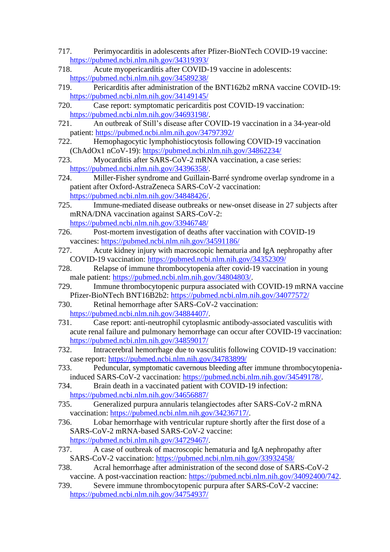- 717. Perimyocarditis in adolescents after Pfizer-BioNTech COVID-19 vaccine: <https://pubmed.ncbi.nlm.nih.gov/34319393/>
- 718. Acute myopericarditis after COVID-19 vaccine in adolescents: <https://pubmed.ncbi.nlm.nih.gov/34589238/>
- 719. Pericarditis after administration of the BNT162b2 mRNA vaccine COVID-19: <https://pubmed.ncbi.nlm.nih.gov/34149145/>
- 720. Case report: symptomatic pericarditis post COVID-19 vaccination: [https://pubmed.ncbi.nlm.nih.gov/34693198/.](https://pubmed.ncbi.nlm.nih.gov/34693198/)
- 721. An outbreak of Still's disease after COVID-19 vaccination in a 34-year-old patient:<https://pubmed.ncbi.nlm.nih.gov/34797392/>
- 722. Hemophagocytic lymphohistiocytosis following COVID-19 vaccination (ChAdOx1 nCoV-19):<https://pubmed.ncbi.nlm.nih.gov/34862234/>
- 723. Myocarditis after SARS-CoV-2 mRNA vaccination, a case series: [https://pubmed.ncbi.nlm.nih.gov/34396358/.](https://pubmed.ncbi.nlm.nih.gov/34396358/)
- 724. Miller-Fisher syndrome and Guillain-Barré syndrome overlap syndrome in a patient after Oxford-AstraZeneca SARS-CoV-2 vaccination: [https://pubmed.ncbi.nlm.nih.gov/34848426/.](https://pubmed.ncbi.nlm.nih.gov/34848426/)
- 725. Immune-mediated disease outbreaks or new-onset disease in 27 subjects after mRNA/DNA vaccination against SARS-CoV-2: <https://pubmed.ncbi.nlm.nih.gov/33946748/>
- 726. Post-mortem investigation of deaths after vaccination with COVID-19 vaccines:<https://pubmed.ncbi.nlm.nih.gov/34591186/>
- 727. Acute kidney injury with macroscopic hematuria and IgA nephropathy after COVID-19 vaccination:<https://pubmed.ncbi.nlm.nih.gov/34352309/>
- 728. Relapse of immune thrombocytopenia after covid-19 vaccination in young male patient: [https://pubmed.ncbi.nlm.nih.gov/34804803/.](https://pubmed.ncbi.nlm.nih.gov/34804803/)
- 729. Immune thrombocytopenic purpura associated with COVID-19 mRNA vaccine Pfizer-BioNTech BNT16B2b2:<https://pubmed.ncbi.nlm.nih.gov/34077572/>
- 730. Retinal hemorrhage after SARS-CoV-2 vaccination: [https://pubmed.ncbi.nlm.nih.gov/34884407/.](https://pubmed.ncbi.nlm.nih.gov/34884407/)
- 731. Case report: anti-neutrophil cytoplasmic antibody-associated vasculitis with acute renal failure and pulmonary hemorrhage can occur after COVID-19 vaccination: <https://pubmed.ncbi.nlm.nih.gov/34859017/>
- 732. Intracerebral hemorrhage due to vasculitis following COVID-19 vaccination: case report:<https://pubmed.ncbi.nlm.nih.gov/34783899/>
- 733. Peduncular, symptomatic cavernous bleeding after immune thrombocytopeniainduced SARS-CoV-2 vaccination: [https://pubmed.ncbi.nlm.nih.gov/34549178/.](https://pubmed.ncbi.nlm.nih.gov/34549178/)
- 734. Brain death in a vaccinated patient with COVID-19 infection: <https://pubmed.ncbi.nlm.nih.gov/34656887/>
- 735. Generalized purpura annularis telangiectodes after SARS-CoV-2 mRNA vaccination: [https://pubmed.ncbi.nlm.nih.gov/34236717/.](https://pubmed.ncbi.nlm.nih.gov/34236717/)
- 736. Lobar hemorrhage with ventricular rupture shortly after the first dose of a SARS-CoV-2 mRNA-based SARS-CoV-2 vaccine: [https://pubmed.ncbi.nlm.nih.gov/34729467/.](https://pubmed.ncbi.nlm.nih.gov/34729467/)
- 737. A case of outbreak of macroscopic hematuria and IgA nephropathy after SARS-CoV-2 vaccination:<https://pubmed.ncbi.nlm.nih.gov/33932458/>
- 738. Acral hemorrhage after administration of the second dose of SARS-CoV-2 vaccine. A post-vaccination reaction: [https://pubmed.ncbi.nlm.nih.gov/34092400/742.](https://pubmed.ncbi.nlm.nih.gov/34092400/742)
- 739. Severe immune thrombocytopenic purpura after SARS-CoV-2 vaccine: <https://pubmed.ncbi.nlm.nih.gov/34754937/>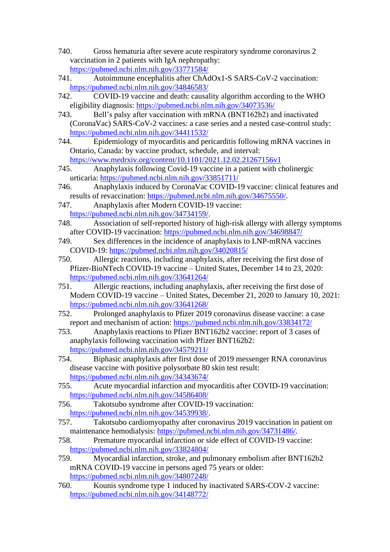- 740. Gross hematuria after severe acute respiratory syndrome coronavirus 2 vaccination in 2 patients with IgA nephropathy: <https://pubmed.ncbi.nlm.nih.gov/33771584/>
- 741. Autoimmune encephalitis after ChAdOx1-S SARS-CoV-2 vaccination: <https://pubmed.ncbi.nlm.nih.gov/34846583/>
- 742. COVID-19 vaccine and death: causality algorithm according to the WHO eligibility diagnosis:<https://pubmed.ncbi.nlm.nih.gov/34073536/>
- 743. Bell's palsy after vaccination with mRNA (BNT162b2) and inactivated (CoronaVac) SARS-CoV-2 vaccines: a case series and a nested case-control study: <https://pubmed.ncbi.nlm.nih.gov/34411532/>
- 744. Epidemiology of myocarditis and pericarditis following mRNA vaccines in Ontario, Canada: by vaccine product, schedule, and interval: <https://www.medrxiv.org/content/10.1101/2021.12.02.21267156v1>
- 745. Anaphylaxis following Covid-19 vaccine in a patient with cholinergic urticaria:<https://pubmed.ncbi.nlm.nih.gov/33851711/>
- 746. Anaphylaxis induced by CoronaVac COVID-19 vaccine: clinical features and results of revaccination: [https://pubmed.ncbi.nlm.nih.gov/34675550/.](https://pubmed.ncbi.nlm.nih.gov/34675550/)
- 747. Anaphylaxis after Modern COVID-19 vaccine: [https://pubmed.ncbi.nlm.nih.gov/34734159/.](https://pubmed.ncbi.nlm.nih.gov/34734159/)
- 748. Association of self-reported history of high-risk allergy with allergy symptoms after COVID-19 vaccination:<https://pubmed.ncbi.nlm.nih.gov/34698847/>
- 749. Sex differences in the incidence of anaphylaxis to LNP-mRNA vaccines COVID-19:<https://pubmed.ncbi.nlm.nih.gov/34020815/>
- 750. Allergic reactions, including anaphylaxis, after receiving the first dose of Pfizer-BioNTech COVID-19 vaccine – United States, December 14 to 23, 2020: <https://pubmed.ncbi.nlm.nih.gov/33641264/>
- 751. Allergic reactions, including anaphylaxis, after receiving the first dose of Modern COVID-19 vaccine – United States, December 21, 2020 to January 10, 2021: <https://pubmed.ncbi.nlm.nih.gov/33641268/>
- 752. Prolonged anaphylaxis to Pfizer 2019 coronavirus disease vaccine: a case report and mechanism of action:<https://pubmed.ncbi.nlm.nih.gov/33834172/>
- 753. Anaphylaxis reactions to Pfizer BNT162b2 vaccine: report of 3 cases of anaphylaxis following vaccination with Pfizer BNT162b2: <https://pubmed.ncbi.nlm.nih.gov/34579211/>
- 754. Biphasic anaphylaxis after first dose of 2019 messenger RNA coronavirus disease vaccine with positive polysorbate 80 skin test result: <https://pubmed.ncbi.nlm.nih.gov/34343674/>
- 755. Acute myocardial infarction and myocarditis after COVID-19 vaccination: <https://pubmed.ncbi.nlm.nih.gov/34586408/>
- 756. Takotsubo syndrome after COVID-19 vaccination: [https://pubmed.ncbi.nlm.nih.gov/34539938/.](https://pubmed.ncbi.nlm.nih.gov/34539938/)
- 757. Takotsubo cardiomyopathy after coronavirus 2019 vaccination in patient on maintenance hemodialysis: [https://pubmed.ncbi.nlm.nih.gov/34731486/.](https://pubmed.ncbi.nlm.nih.gov/34731486/)
- 758. Premature myocardial infarction or side effect of COVID-19 vaccine: <https://pubmed.ncbi.nlm.nih.gov/33824804/>
- 759. Myocardial infarction, stroke, and pulmonary embolism after BNT162b2 mRNA COVID-19 vaccine in persons aged 75 years or older: <https://pubmed.ncbi.nlm.nih.gov/34807248/>
- 760. Kounis syndrome type 1 induced by inactivated SARS-COV-2 vaccine: <https://pubmed.ncbi.nlm.nih.gov/34148772/>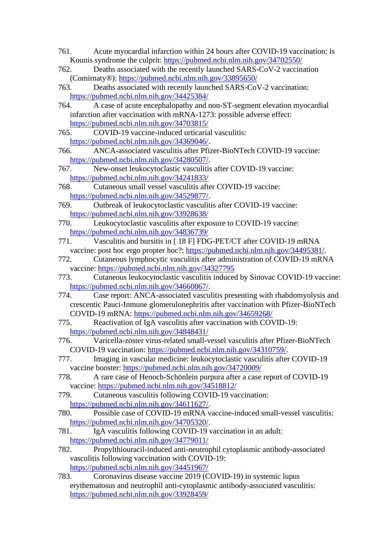- 761. Acute myocardial infarction within 24 hours after COVID-19 vaccination: is Kounis syndrome the culprit:<https://pubmed.ncbi.nlm.nih.gov/34702550/>
- 762. Deaths associated with the recently launched SARS-CoV-2 vaccination (Comirnaty®):<https://pubmed.ncbi.nlm.nih.gov/33895650/>
- 763. Deaths associated with recently launched SARS-CoV-2 vaccination: <https://pubmed.ncbi.nlm.nih.gov/34425384/>
- 764. A case of acute encephalopathy and non-ST-segment elevation myocardial infarction after vaccination with mRNA-1273: possible adverse effect: <https://pubmed.ncbi.nlm.nih.gov/34703815/>
- 765. COVID-19 vaccine-induced urticarial vasculitis: [https://pubmed.ncbi.nlm.nih.gov/34369046/.](https://pubmed.ncbi.nlm.nih.gov/34369046/)
- 766. ANCA-associated vasculitis after Pfizer-BioNTech COVID-19 vaccine: [https://pubmed.ncbi.nlm.nih.gov/34280507/.](https://pubmed.ncbi.nlm.nih.gov/34280507/)
- 767. New-onset leukocytoclastic vasculitis after COVID-19 vaccine: <https://pubmed.ncbi.nlm.nih.gov/34241833/>
- 768. Cutaneous small vessel vasculitis after COVID-19 vaccine: [https://pubmed.ncbi.nlm.nih.gov/34529877/.](https://pubmed.ncbi.nlm.nih.gov/34529877/)
- 769. Outbreak of leukocytoclastic vasculitis after COVID-19 vaccine: <https://pubmed.ncbi.nlm.nih.gov/33928638/>
- 770. Leukocytoclastic vasculitis after exposure to COVID-19 vaccine: <https://pubmed.ncbi.nlm.nih.gov/34836739/>
- 771. Vasculitis and bursitis in [ 18 F] FDG-PET/CT after COVID-19 mRNA vaccine: post hoc ergo propter hoc?; [https://pubmed.ncbi.nlm.nih.gov/34495381/.](https://pubmed.ncbi.nlm.nih.gov/34495381/)
- 772. Cutaneous lymphocytic vasculitis after administration of COVID-19 mRNA vaccine:<https://pubmed.ncbi.nlm.nih.gov/34327795>
- 773. Cutaneous leukocytoclastic vasculitis induced by Sinovac COVID-19 vaccine: [https://pubmed.ncbi.nlm.nih.gov/34660867/.](https://pubmed.ncbi.nlm.nih.gov/34660867/)
- 774. Case report: ANCA-associated vasculitis presenting with rhabdomyolysis and crescentic Pauci-Inmune glomerulonephritis after vaccination with Pfizer-BioNTech COVID-19 mRNA:<https://pubmed.ncbi.nlm.nih.gov/34659268/>
- 775. Reactivation of IgA vasculitis after vaccination with COVID-19: <https://pubmed.ncbi.nlm.nih.gov/34848431/>
- 776. Varicella-zoster virus-related small-vessel vasculitis after Pfizer-BioNTech COVID-19 vaccination: [https://pubmed.ncbi.nlm.nih.gov/34310759/.](https://pubmed.ncbi.nlm.nih.gov/34310759/)
- 777. Imaging in vascular medicine: leukocytoclastic vasculitis after COVID-19 vaccine booster:<https://pubmed.ncbi.nlm.nih.gov/34720009/>
- 778. A rare case of Henoch-Schönlein purpura after a case report of COVID-19 vaccine:<https://pubmed.ncbi.nlm.nih.gov/34518812/>
- 779. Cutaneous vasculitis following COVID-19 vaccination: [https://pubmed.ncbi.nlm.nih.gov/34611627/.](https://pubmed.ncbi.nlm.nih.gov/34611627/)
- 780. Possible case of COVID-19 mRNA vaccine-induced small-vessel vasculitis: [https://pubmed.ncbi.nlm.nih.gov/34705320/.](https://pubmed.ncbi.nlm.nih.gov/34705320/)
- 781. IgA vasculitis following COVID-19 vaccination in an adult: <https://pubmed.ncbi.nlm.nih.gov/34779011/>
- 782. Propylthiouracil-induced anti-neutrophil cytoplasmic antibody-associated vasculitis following vaccination with COVID-19: <https://pubmed.ncbi.nlm.nih.gov/34451967/>
- 783. Coronavirus disease vaccine 2019 (COVID-19) in systemic lupus erythematosus and neutrophil anti-cytoplasmic antibody-associated vasculitis: <https://pubmed.ncbi.nlm.nih.gov/33928459/>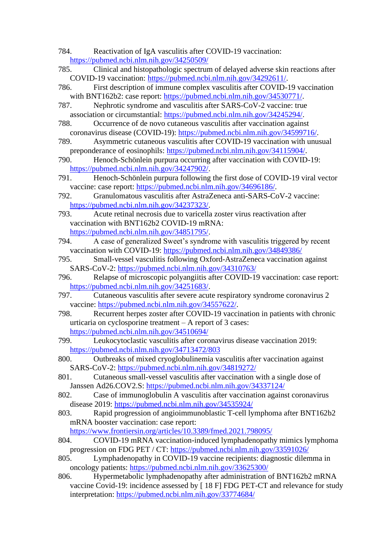- 784. Reactivation of IgA vasculitis after COVID-19 vaccination: <https://pubmed.ncbi.nlm.nih.gov/34250509/>
- 785. Clinical and histopathologic spectrum of delayed adverse skin reactions after COVID-19 vaccination: [https://pubmed.ncbi.nlm.nih.gov/34292611/.](https://pubmed.ncbi.nlm.nih.gov/34292611/)
- 786. First description of immune complex vasculitis after COVID-19 vaccination with BNT162b2: case report: [https://pubmed.ncbi.nlm.nih.gov/34530771/.](https://pubmed.ncbi.nlm.nih.gov/34530771/)
- 787. Nephrotic syndrome and vasculitis after SARS-CoV-2 vaccine: true association or circumstantial: [https://pubmed.ncbi.nlm.nih.gov/34245294/.](https://pubmed.ncbi.nlm.nih.gov/34245294/)
- 788. Occurrence of de novo cutaneous vasculitis after vaccination against coronavirus disease (COVID-19): [https://pubmed.ncbi.nlm.nih.gov/34599716/.](https://pubmed.ncbi.nlm.nih.gov/34599716/)
- 789. Asymmetric cutaneous vasculitis after COVID-19 vaccination with unusual preponderance of eosinophils: [https://pubmed.ncbi.nlm.nih.gov/34115904/.](https://pubmed.ncbi.nlm.nih.gov/34115904/)
- 790. Henoch-Schönlein purpura occurring after vaccination with COVID-19: [https://pubmed.ncbi.nlm.nih.gov/34247902/.](https://pubmed.ncbi.nlm.nih.gov/34247902/)
- 791. Henoch-Schönlein purpura following the first dose of COVID-19 viral vector vaccine: case report: [https://pubmed.ncbi.nlm.nih.gov/34696186/.](https://pubmed.ncbi.nlm.nih.gov/34696186/)
- 792. Granulomatous vasculitis after AstraZeneca anti-SARS-CoV-2 vaccine: [https://pubmed.ncbi.nlm.nih.gov/34237323/.](https://pubmed.ncbi.nlm.nih.gov/34237323/)
- 793. Acute retinal necrosis due to varicella zoster virus reactivation after vaccination with BNT162b2 COVID-19 mRNA: [https://pubmed.ncbi.nlm.nih.gov/34851795/.](https://pubmed.ncbi.nlm.nih.gov/34851795/)
- 794. A case of generalized Sweet's syndrome with vasculitis triggered by recent vaccination with COVID-19:<https://pubmed.ncbi.nlm.nih.gov/34849386/>
- 795. Small-vessel vasculitis following Oxford-AstraZeneca vaccination against SARS-CoV-2:<https://pubmed.ncbi.nlm.nih.gov/34310763/>
- 796. Relapse of microscopic polyangiitis after COVID-19 vaccination: case report: [https://pubmed.ncbi.nlm.nih.gov/34251683/.](https://pubmed.ncbi.nlm.nih.gov/34251683/)
- 797. Cutaneous vasculitis after severe acute respiratory syndrome coronavirus 2 vaccine: [https://pubmed.ncbi.nlm.nih.gov/34557622/.](https://pubmed.ncbi.nlm.nih.gov/34557622/)
- 798. Recurrent herpes zoster after COVID-19 vaccination in patients with chronic urticaria on cyclosporine treatment – A report of 3 cases: <https://pubmed.ncbi.nlm.nih.gov/34510694/>
- 799. Leukocytoclastic vasculitis after coronavirus disease vaccination 2019: <https://pubmed.ncbi.nlm.nih.gov/34713472/803>
- 800. Outbreaks of mixed cryoglobulinemia vasculitis after vaccination against SARS-CoV-2:<https://pubmed.ncbi.nlm.nih.gov/34819272/>
- 801. Cutaneous small-vessel vasculitis after vaccination with a single dose of Janssen Ad26.COV2.S:<https://pubmed.ncbi.nlm.nih.gov/34337124/>
- 802. Case of immunoglobulin A vasculitis after vaccination against coronavirus disease 2019:<https://pubmed.ncbi.nlm.nih.gov/34535924/>
- 803. Rapid progression of angioimmunoblastic T-cell lymphoma after BNT162b2 mRNA booster vaccination: case report:

<https://www.frontiersin.org/articles/10.3389/fmed.2021.798095/>

- 804. COVID-19 mRNA vaccination-induced lymphadenopathy mimics lymphoma progression on FDG PET / CT:<https://pubmed.ncbi.nlm.nih.gov/33591026/>
- 805. Lymphadenopathy in COVID-19 vaccine recipients: diagnostic dilemma in oncology patients:<https://pubmed.ncbi.nlm.nih.gov/33625300/>
- 806. Hypermetabolic lymphadenopathy after administration of BNT162b2 mRNA vaccine Covid-19: incidence assessed by [ 18 F] FDG PET-CT and relevance for study interpretation:<https://pubmed.ncbi.nlm.nih.gov/33774684/>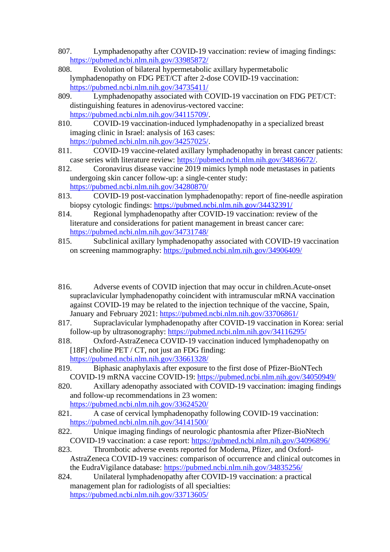- 807. Lymphadenopathy after COVID-19 vaccination: review of imaging findings: <https://pubmed.ncbi.nlm.nih.gov/33985872/>
- 808. Evolution of bilateral hypermetabolic axillary hypermetabolic lymphadenopathy on FDG PET/CT after 2-dose COVID-19 vaccination: <https://pubmed.ncbi.nlm.nih.gov/34735411/>
- 809. Lymphadenopathy associated with COVID-19 vaccination on FDG PET/CT: distinguishing features in adenovirus-vectored vaccine: [https://pubmed.ncbi.nlm.nih.gov/34115709/.](https://pubmed.ncbi.nlm.nih.gov/34115709/)
- 810. COVID-19 vaccination-induced lymphadenopathy in a specialized breast imaging clinic in Israel: analysis of 163 cases: [https://pubmed.ncbi.nlm.nih.gov/34257025/.](https://pubmed.ncbi.nlm.nih.gov/34257025/)
- 811. COVID-19 vaccine-related axillary lymphadenopathy in breast cancer patients: case series with literature review: [https://pubmed.ncbi.nlm.nih.gov/34836672/.](https://pubmed.ncbi.nlm.nih.gov/34836672/)
- 812. Coronavirus disease vaccine 2019 mimics lymph node metastases in patients undergoing skin cancer follow-up: a single-center study: <https://pubmed.ncbi.nlm.nih.gov/34280870/>
- 813. COVID-19 post-vaccination lymphadenopathy: report of fine-needle aspiration biopsy cytologic findings:<https://pubmed.ncbi.nlm.nih.gov/34432391/>
- 814. Regional lymphadenopathy after COVID-19 vaccination: review of the literature and considerations for patient management in breast cancer care: <https://pubmed.ncbi.nlm.nih.gov/34731748/>
- 815. Subclinical axillary lymphadenopathy associated with COVID-19 vaccination on screening mammography:<https://pubmed.ncbi.nlm.nih.gov/34906409/>
- 816. Adverse events of COVID injection that may occur in children.Acute-onset supraclavicular lymphadenopathy coincident with intramuscular mRNA vaccination against COVID-19 may be related to the injection technique of the vaccine, Spain, January and February 2021:<https://pubmed.ncbi.nlm.nih.gov/33706861/>
- 817. Supraclavicular lymphadenopathy after COVID-19 vaccination in Korea: serial follow-up by ultrasonography:<https://pubmed.ncbi.nlm.nih.gov/34116295/>
- 818. Oxford-AstraZeneca COVID-19 vaccination induced lymphadenopathy on [18F] choline PET / CT, not just an FDG finding: <https://pubmed.ncbi.nlm.nih.gov/33661328/>
- 819. Biphasic anaphylaxis after exposure to the first dose of Pfizer-BioNTech COVID-19 mRNA vaccine COVID-19:<https://pubmed.ncbi.nlm.nih.gov/34050949/>
- 820. Axillary adenopathy associated with COVID-19 vaccination: imaging findings and follow-up recommendations in 23 women: <https://pubmed.ncbi.nlm.nih.gov/33624520/>
- 821. A case of cervical lymphadenopathy following COVID-19 vaccination: <https://pubmed.ncbi.nlm.nih.gov/34141500/>
- 822. Unique imaging findings of neurologic phantosmia after Pfizer-BioNtech COVID-19 vaccination: a case report:<https://pubmed.ncbi.nlm.nih.gov/34096896/>
- 823. Thrombotic adverse events reported for Moderna, Pfizer, and Oxford-AstraZeneca COVID-19 vaccines: comparison of occurrence and clinical outcomes in the EudraVigilance database:<https://pubmed.ncbi.nlm.nih.gov/34835256/>
- 824. Unilateral lymphadenopathy after COVID-19 vaccination: a practical management plan for radiologists of all specialties: <https://pubmed.ncbi.nlm.nih.gov/33713605/>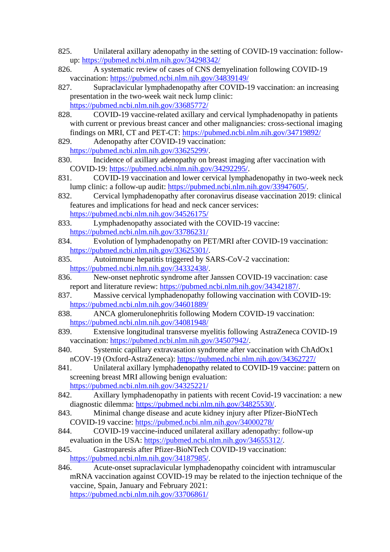- 825. Unilateral axillary adenopathy in the setting of COVID-19 vaccination: followup:<https://pubmed.ncbi.nlm.nih.gov/34298342/>
- 826. A systematic review of cases of CNS demyelination following COVID-19 vaccination:<https://pubmed.ncbi.nlm.nih.gov/34839149/>
- 827. Supraclavicular lymphadenopathy after COVID-19 vaccination: an increasing presentation in the two-week wait neck lump clinic: <https://pubmed.ncbi.nlm.nih.gov/33685772/>
- 828. COVID-19 vaccine-related axillary and cervical lymphadenopathy in patients with current or previous breast cancer and other malignancies: cross-sectional imaging findings on MRI, CT and PET-CT:<https://pubmed.ncbi.nlm.nih.gov/34719892/>
- 829. Adenopathy after COVID-19 vaccination: [https://pubmed.ncbi.nlm.nih.gov/33625299/.](https://pubmed.ncbi.nlm.nih.gov/33625299/)
- 830. Incidence of axillary adenopathy on breast imaging after vaccination with COVID-19: [https://pubmed.ncbi.nlm.nih.gov/34292295/.](https://pubmed.ncbi.nlm.nih.gov/34292295/)
- 831. COVID-19 vaccination and lower cervical lymphadenopathy in two-week neck lump clinic: a follow-up audit: [https://pubmed.ncbi.nlm.nih.gov/33947605/.](https://pubmed.ncbi.nlm.nih.gov/33947605/)
- 832. Cervical lymphadenopathy after coronavirus disease vaccination 2019: clinical features and implications for head and neck cancer services: <https://pubmed.ncbi.nlm.nih.gov/34526175/>
- 833. Lymphadenopathy associated with the COVID-19 vaccine: <https://pubmed.ncbi.nlm.nih.gov/33786231/>
- 834. Evolution of lymphadenopathy on PET/MRI after COVID-19 vaccination: [https://pubmed.ncbi.nlm.nih.gov/33625301/.](https://pubmed.ncbi.nlm.nih.gov/33625301/)
- 835. Autoimmune hepatitis triggered by SARS-CoV-2 vaccination: [https://pubmed.ncbi.nlm.nih.gov/34332438/.](https://pubmed.ncbi.nlm.nih.gov/34332438/)
- 836. New-onset nephrotic syndrome after Janssen COVID-19 vaccination: case report and literature review: [https://pubmed.ncbi.nlm.nih.gov/34342187/.](https://pubmed.ncbi.nlm.nih.gov/34342187/)
- 837. Massive cervical lymphadenopathy following vaccination with COVID-19: <https://pubmed.ncbi.nlm.nih.gov/34601889/>
- 838. ANCA glomerulonephritis following Modern COVID-19 vaccination: <https://pubmed.ncbi.nlm.nih.gov/34081948/>
- 839. Extensive longitudinal transverse myelitis following AstraZeneca COVID-19 vaccination: [https://pubmed.ncbi.nlm.nih.gov/34507942/.](https://pubmed.ncbi.nlm.nih.gov/34507942/)
- 840. Systemic capillary extravasation syndrome after vaccination with ChAdOx1 nCOV-19 (Oxford-AstraZeneca):<https://pubmed.ncbi.nlm.nih.gov/34362727/>
- 841. Unilateral axillary lymphadenopathy related to COVID-19 vaccine: pattern on screening breast MRI allowing benign evaluation: <https://pubmed.ncbi.nlm.nih.gov/34325221/>
- 842. Axillary lymphadenopathy in patients with recent Covid-19 vaccination: a new diagnostic dilemma: [https://pubmed.ncbi.nlm.nih.gov/34825530/.](https://pubmed.ncbi.nlm.nih.gov/34825530/)
- 843. Minimal change disease and acute kidney injury after Pfizer-BioNTech COVID-19 vaccine:<https://pubmed.ncbi.nlm.nih.gov/34000278/>
- 844. COVID-19 vaccine-induced unilateral axillary adenopathy: follow-up evaluation in the USA: [https://pubmed.ncbi.nlm.nih.gov/34655312/.](https://pubmed.ncbi.nlm.nih.gov/34655312/)
- 845. Gastroparesis after Pfizer-BioNTech COVID-19 vaccination: [https://pubmed.ncbi.nlm.nih.gov/34187985/.](https://pubmed.ncbi.nlm.nih.gov/34187985/)
- 846. Acute-onset supraclavicular lymphadenopathy coincident with intramuscular mRNA vaccination against COVID-19 may be related to the injection technique of the vaccine, Spain, January and February 2021: <https://pubmed.ncbi.nlm.nih.gov/33706861/>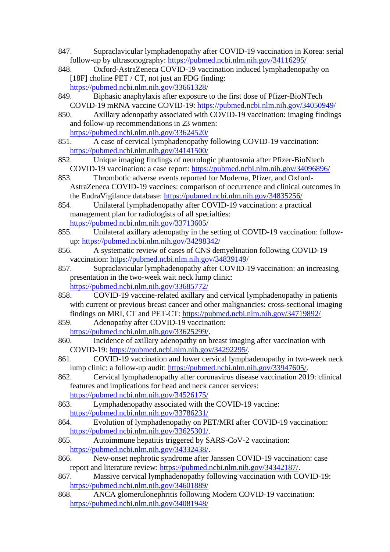- 847. Supraclavicular lymphadenopathy after COVID-19 vaccination in Korea: serial follow-up by ultrasonography:<https://pubmed.ncbi.nlm.nih.gov/34116295/>
- 848. Oxford-AstraZeneca COVID-19 vaccination induced lymphadenopathy on [18F] choline PET / CT, not just an FDG finding: <https://pubmed.ncbi.nlm.nih.gov/33661328/>
- 849. Biphasic anaphylaxis after exposure to the first dose of Pfizer-BioNTech COVID-19 mRNA vaccine COVID-19:<https://pubmed.ncbi.nlm.nih.gov/34050949/>
- 850. Axillary adenopathy associated with COVID-19 vaccination: imaging findings and follow-up recommendations in 23 women: <https://pubmed.ncbi.nlm.nih.gov/33624520/>
- 851. A case of cervical lymphadenopathy following COVID-19 vaccination: <https://pubmed.ncbi.nlm.nih.gov/34141500/>
- 852. Unique imaging findings of neurologic phantosmia after Pfizer-BioNtech COVID-19 vaccination: a case report:<https://pubmed.ncbi.nlm.nih.gov/34096896/>
- 853. Thrombotic adverse events reported for Moderna, Pfizer, and Oxford-AstraZeneca COVID-19 vaccines: comparison of occurrence and clinical outcomes in the EudraVigilance database:<https://pubmed.ncbi.nlm.nih.gov/34835256/>
- 854. Unilateral lymphadenopathy after COVID-19 vaccination: a practical management plan for radiologists of all specialties: <https://pubmed.ncbi.nlm.nih.gov/33713605/>
- 855. Unilateral axillary adenopathy in the setting of COVID-19 vaccination: followup:<https://pubmed.ncbi.nlm.nih.gov/34298342/>
- 856. A systematic review of cases of CNS demyelination following COVID-19 vaccination:<https://pubmed.ncbi.nlm.nih.gov/34839149/>
- 857. Supraclavicular lymphadenopathy after COVID-19 vaccination: an increasing presentation in the two-week wait neck lump clinic: <https://pubmed.ncbi.nlm.nih.gov/33685772/>
- 858. COVID-19 vaccine-related axillary and cervical lymphadenopathy in patients with current or previous breast cancer and other malignancies: cross-sectional imaging findings on MRI, CT and PET-CT:<https://pubmed.ncbi.nlm.nih.gov/34719892/>
- 859. Adenopathy after COVID-19 vaccination: [https://pubmed.ncbi.nlm.nih.gov/33625299/.](https://pubmed.ncbi.nlm.nih.gov/33625299/)
- 860. Incidence of axillary adenopathy on breast imaging after vaccination with COVID-19: [https://pubmed.ncbi.nlm.nih.gov/34292295/.](https://pubmed.ncbi.nlm.nih.gov/34292295/)
- 861. COVID-19 vaccination and lower cervical lymphadenopathy in two-week neck lump clinic: a follow-up audit: [https://pubmed.ncbi.nlm.nih.gov/33947605/.](https://pubmed.ncbi.nlm.nih.gov/33947605/)
- 862. Cervical lymphadenopathy after coronavirus disease vaccination 2019: clinical features and implications for head and neck cancer services: <https://pubmed.ncbi.nlm.nih.gov/34526175/>
- 863. Lymphadenopathy associated with the COVID-19 vaccine: <https://pubmed.ncbi.nlm.nih.gov/33786231/>
- 864. Evolution of lymphadenopathy on PET/MRI after COVID-19 vaccination: [https://pubmed.ncbi.nlm.nih.gov/33625301/.](https://pubmed.ncbi.nlm.nih.gov/33625301/)
- 865. Autoimmune hepatitis triggered by SARS-CoV-2 vaccination: [https://pubmed.ncbi.nlm.nih.gov/34332438/.](https://pubmed.ncbi.nlm.nih.gov/34332438/)
- 866. New-onset nephrotic syndrome after Janssen COVID-19 vaccination: case report and literature review: [https://pubmed.ncbi.nlm.nih.gov/34342187/.](https://pubmed.ncbi.nlm.nih.gov/34342187/)
- 867. Massive cervical lymphadenopathy following vaccination with COVID-19: <https://pubmed.ncbi.nlm.nih.gov/34601889/>
- 868. ANCA glomerulonephritis following Modern COVID-19 vaccination: <https://pubmed.ncbi.nlm.nih.gov/34081948/>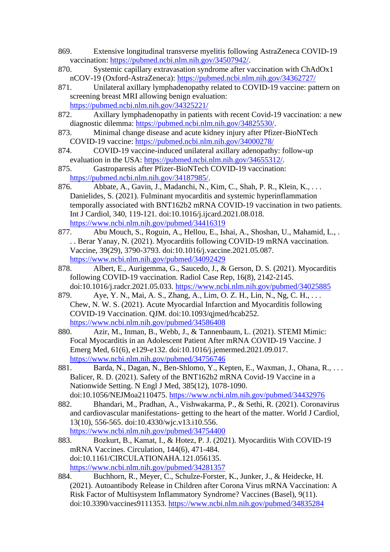- 869. Extensive longitudinal transverse myelitis following AstraZeneca COVID-19 vaccination: [https://pubmed.ncbi.nlm.nih.gov/34507942/.](https://pubmed.ncbi.nlm.nih.gov/34507942/)
- 870. Systemic capillary extravasation syndrome after vaccination with ChAdOx1 nCOV-19 (Oxford-AstraZeneca):<https://pubmed.ncbi.nlm.nih.gov/34362727/>
- 871. Unilateral axillary lymphadenopathy related to COVID-19 vaccine: pattern on screening breast MRI allowing benign evaluation: <https://pubmed.ncbi.nlm.nih.gov/34325221/>
- 872. Axillary lymphadenopathy in patients with recent Covid-19 vaccination: a new diagnostic dilemma: [https://pubmed.ncbi.nlm.nih.gov/34825530/.](https://pubmed.ncbi.nlm.nih.gov/34825530/)
- 873. Minimal change disease and acute kidney injury after Pfizer-BioNTech COVID-19 vaccine:<https://pubmed.ncbi.nlm.nih.gov/34000278/>
- 874. COVID-19 vaccine-induced unilateral axillary adenopathy: follow-up evaluation in the USA: [https://pubmed.ncbi.nlm.nih.gov/34655312/.](https://pubmed.ncbi.nlm.nih.gov/34655312/)
- 875. Gastroparesis after Pfizer-BioNTech COVID-19 vaccination: [https://pubmed.ncbi.nlm.nih.gov/34187985/.](https://pubmed.ncbi.nlm.nih.gov/34187985/)
- 876. Abbate, A., Gavin, J., Madanchi, N., Kim, C., Shah, P. R., Klein, K., ... Danielides, S. (2021). Fulminant myocarditis and systemic hyperinflammation temporally associated with BNT162b2 mRNA COVID-19 vaccination in two patients. Int J Cardiol, 340, 119-121. doi:10.1016/j.ijcard.2021.08.018. <https://www.ncbi.nlm.nih.gov/pubmed/34416319>
- 877. Abu Mouch, S., Roguin, A., Hellou, E., Ishai, A., Shoshan, U., Mahamid, L., . . . Berar Yanay, N. (2021). Myocarditis following COVID-19 mRNA vaccination. Vaccine, 39(29), 3790-3793. doi:10.1016/j.vaccine.2021.05.087. <https://www.ncbi.nlm.nih.gov/pubmed/34092429>
- 878. Albert, E., Aurigemma, G., Saucedo, J., & Gerson, D. S. (2021). Myocarditis following COVID-19 vaccination. Radiol Case Rep, 16(8), 2142-2145. doi:10.1016/j.radcr.2021.05.033.<https://www.ncbi.nlm.nih.gov/pubmed/34025885>
- 879. Aye, Y. N., Mai, A. S., Zhang, A., Lim, O. Z. H., Lin, N., Ng, C. H., . . . Chew, N. W. S. (2021). Acute Myocardial Infarction and Myocarditis following COVID-19 Vaccination. QJM. doi:10.1093/qjmed/hcab252. <https://www.ncbi.nlm.nih.gov/pubmed/34586408>
- 880. Azir, M., Inman, B., Webb, J., & Tannenbaum, L. (2021). STEMI Mimic: Focal Myocarditis in an Adolescent Patient After mRNA COVID-19 Vaccine. J Emerg Med, 61(6), e129-e132. doi:10.1016/j.jemermed.2021.09.017. <https://www.ncbi.nlm.nih.gov/pubmed/34756746>
- 881. Barda, N., Dagan, N., Ben-Shlomo, Y., Kepten, E., Waxman, J., Ohana, R., ... Balicer, R. D. (2021). Safety of the BNT162b2 mRNA Covid-19 Vaccine in a Nationwide Setting. N Engl J Med, 385(12), 1078-1090. doi:10.1056/NEJMoa2110475.<https://www.ncbi.nlm.nih.gov/pubmed/34432976>
- 882. Bhandari, M., Pradhan, A., Vishwakarma, P., & Sethi, R. (2021). Coronavirus and cardiovascular manifestations- getting to the heart of the matter. World J Cardiol, 13(10), 556-565. doi:10.4330/wjc.v13.i10.556. <https://www.ncbi.nlm.nih.gov/pubmed/34754400>
- 883. Bozkurt, B., Kamat, I., & Hotez, P. J. (2021). Myocarditis With COVID-19 mRNA Vaccines. Circulation, 144(6), 471-484. doi:10.1161/CIRCULATIONAHA.121.056135. <https://www.ncbi.nlm.nih.gov/pubmed/34281357>
- 884. Buchhorn, R., Meyer, C., Schulze-Forster, K., Junker, J., & Heidecke, H. (2021). Autoantibody Release in Children after Corona Virus mRNA Vaccination: A Risk Factor of Multisystem Inflammatory Syndrome? Vaccines (Basel), 9(11). doi:10.3390/vaccines9111353.<https://www.ncbi.nlm.nih.gov/pubmed/34835284>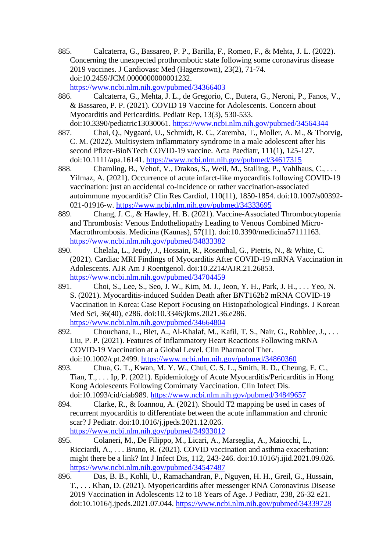- 885. Calcaterra, G., Bassareo, P. P., Barilla, F., Romeo, F., & Mehta, J. L. (2022). Concerning the unexpected prothrombotic state following some coronavirus disease 2019 vaccines. J Cardiovasc Med (Hagerstown), 23(2), 71-74. doi:10.2459/JCM.0000000000001232. <https://www.ncbi.nlm.nih.gov/pubmed/34366403>
- 886. Calcaterra, G., Mehta, J. L., de Gregorio, C., Butera, G., Neroni, P., Fanos, V., & Bassareo, P. P. (2021). COVID 19 Vaccine for Adolescents. Concern about Myocarditis and Pericarditis. Pediatr Rep, 13(3), 530-533. doi:10.3390/pediatric13030061.<https://www.ncbi.nlm.nih.gov/pubmed/34564344>
- 887. Chai, Q., Nygaard, U., Schmidt, R. C., Zaremba, T., Moller, A. M., & Thorvig, C. M. (2022). Multisystem inflammatory syndrome in a male adolescent after his second Pfizer-BioNTech COVID-19 vaccine. Acta Paediatr, 111(1), 125-127. doi:10.1111/apa.16141.<https://www.ncbi.nlm.nih.gov/pubmed/34617315>
- 888. Chamling, B., Vehof, V., Drakos, S., Weil, M., Stalling, P., Vahlhaus, C., . . . Yilmaz, A. (2021). Occurrence of acute infarct-like myocarditis following COVID-19 vaccination: just an accidental co-incidence or rather vaccination-associated autoimmune myocarditis? Clin Res Cardiol, 110(11), 1850-1854. doi:10.1007/s00392- 021-01916-w.<https://www.ncbi.nlm.nih.gov/pubmed/34333695>
- 889. Chang, J. C., & Hawley, H. B. (2021). Vaccine-Associated Thrombocytopenia and Thrombosis: Venous Endotheliopathy Leading to Venous Combined Micro-Macrothrombosis. Medicina (Kaunas), 57(11). doi:10.3390/medicina57111163. <https://www.ncbi.nlm.nih.gov/pubmed/34833382>
- 890. Chelala, L., Jeudy, J., Hossain, R., Rosenthal, G., Pietris, N., & White, C. (2021). Cardiac MRI Findings of Myocarditis After COVID-19 mRNA Vaccination in Adolescents. AJR Am J Roentgenol. doi:10.2214/AJR.21.26853. <https://www.ncbi.nlm.nih.gov/pubmed/34704459>
- 891. Choi, S., Lee, S., Seo, J. W., Kim, M. J., Jeon, Y. H., Park, J. H., . . . Yeo, N. S. (2021). Myocarditis-induced Sudden Death after BNT162b2 mRNA COVID-19 Vaccination in Korea: Case Report Focusing on Histopathological Findings. J Korean Med Sci, 36(40), e286. doi:10.3346/jkms.2021.36.e286. <https://www.ncbi.nlm.nih.gov/pubmed/34664804>
- 892. Chouchana, L., Blet, A., Al-Khalaf, M., Kafil, T. S., Nair, G., Robblee, J., ... Liu, P. P. (2021). Features of Inflammatory Heart Reactions Following mRNA COVID-19 Vaccination at a Global Level. Clin Pharmacol Ther. doi:10.1002/cpt.2499.<https://www.ncbi.nlm.nih.gov/pubmed/34860360>
- 893. Chua, G. T., Kwan, M. Y. W., Chui, C. S. L., Smith, R. D., Cheung, E. C., Tian, T., . . . Ip, P. (2021). Epidemiology of Acute Myocarditis/Pericarditis in Hong Kong Adolescents Following Comirnaty Vaccination. Clin Infect Dis. doi:10.1093/cid/ciab989.<https://www.ncbi.nlm.nih.gov/pubmed/34849657>
- 894. Clarke, R., & Ioannou, A. (2021). Should T2 mapping be used in cases of recurrent myocarditis to differentiate between the acute inflammation and chronic scar? J Pediatr. doi:10.1016/j.jpeds.2021.12.026. <https://www.ncbi.nlm.nih.gov/pubmed/34933012>
- 895. Colaneri, M., De Filippo, M., Licari, A., Marseglia, A., Maiocchi, L., Ricciardi, A., . . . Bruno, R. (2021). COVID vaccination and asthma exacerbation: might there be a link? Int J Infect Dis, 112, 243-246. doi:10.1016/j.ijid.2021.09.026. <https://www.ncbi.nlm.nih.gov/pubmed/34547487>
- 896. Das, B. B., Kohli, U., Ramachandran, P., Nguyen, H. H., Greil, G., Hussain, T., . . . Khan, D. (2021). Myopericarditis after messenger RNA Coronavirus Disease 2019 Vaccination in Adolescents 12 to 18 Years of Age. J Pediatr, 238, 26-32 e21. doi:10.1016/j.jpeds.2021.07.044.<https://www.ncbi.nlm.nih.gov/pubmed/34339728>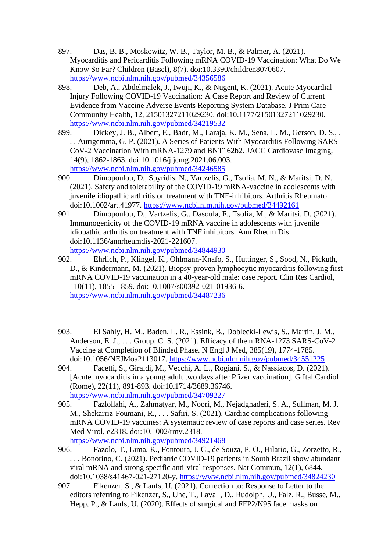- 897. Das, B. B., Moskowitz, W. B., Taylor, M. B., & Palmer, A. (2021). Myocarditis and Pericarditis Following mRNA COVID-19 Vaccination: What Do We Know So Far? Children (Basel), 8(7). doi:10.3390/children8070607. <https://www.ncbi.nlm.nih.gov/pubmed/34356586>
- 898. Deb, A., Abdelmalek, J., Iwuji, K., & Nugent, K. (2021). Acute Myocardial Injury Following COVID-19 Vaccination: A Case Report and Review of Current Evidence from Vaccine Adverse Events Reporting System Database. J Prim Care Community Health, 12, 21501327211029230. doi:10.1177/21501327211029230. <https://www.ncbi.nlm.nih.gov/pubmed/34219532>
- 899. Dickey, J. B., Albert, E., Badr, M., Laraja, K. M., Sena, L. M., Gerson, D. S., . . . Aurigemma, G. P. (2021). A Series of Patients With Myocarditis Following SARS-CoV-2 Vaccination With mRNA-1279 and BNT162b2. JACC Cardiovasc Imaging, 14(9), 1862-1863. doi:10.1016/j.jcmg.2021.06.003. <https://www.ncbi.nlm.nih.gov/pubmed/34246585>
- 900. Dimopoulou, D., Spyridis, N., Vartzelis, G., Tsolia, M. N., & Maritsi, D. N. (2021). Safety and tolerability of the COVID-19 mRNA-vaccine in adolescents with juvenile idiopathic arthritis on treatment with TNF-inhibitors. Arthritis Rheumatol. doi:10.1002/art.41977.<https://www.ncbi.nlm.nih.gov/pubmed/34492161>
- 901. Dimopoulou, D., Vartzelis, G., Dasoula, F., Tsolia, M., & Maritsi, D. (2021). Immunogenicity of the COVID-19 mRNA vaccine in adolescents with juvenile idiopathic arthritis on treatment with TNF inhibitors. Ann Rheum Dis. doi:10.1136/annrheumdis-2021-221607. <https://www.ncbi.nlm.nih.gov/pubmed/34844930>
- 902. Ehrlich, P., Klingel, K., Ohlmann-Knafo, S., Huttinger, S., Sood, N., Pickuth, D., & Kindermann, M. (2021). Biopsy-proven lymphocytic myocarditis following first mRNA COVID-19 vaccination in a 40-year-old male: case report. Clin Res Cardiol, 110(11), 1855-1859. doi:10.1007/s00392-021-01936-6. <https://www.ncbi.nlm.nih.gov/pubmed/34487236>
- 903. El Sahly, H. M., Baden, L. R., Essink, B., Doblecki-Lewis, S., Martin, J. M., Anderson, E. J., . . . Group, C. S. (2021). Efficacy of the mRNA-1273 SARS-CoV-2 Vaccine at Completion of Blinded Phase. N Engl J Med, 385(19), 1774-1785. doi:10.1056/NEJMoa2113017.<https://www.ncbi.nlm.nih.gov/pubmed/34551225>
- 904. Facetti, S., Giraldi, M., Vecchi, A. L., Rogiani, S., & Nassiacos, D. (2021). [Acute myocarditis in a young adult two days after Pfizer vaccination]. G Ital Cardiol (Rome), 22(11), 891-893. doi:10.1714/3689.36746. <https://www.ncbi.nlm.nih.gov/pubmed/34709227>
- 905. Fazlollahi, A., Zahmatyar, M., Noori, M., Nejadghaderi, S. A., Sullman, M. J. M., Shekarriz-Foumani, R., . . . Safiri, S. (2021). Cardiac complications following mRNA COVID-19 vaccines: A systematic review of case reports and case series. Rev Med Virol, e2318. doi:10.1002/rmv.2318. <https://www.ncbi.nlm.nih.gov/pubmed/34921468>
- 906. Fazolo, T., Lima, K., Fontoura, J. C., de Souza, P. O., Hilario, G., Zorzetto, R., . . . Bonorino, C. (2021). Pediatric COVID-19 patients in South Brazil show abundant viral mRNA and strong specific anti-viral responses. Nat Commun, 12(1), 6844. doi:10.1038/s41467-021-27120-y.<https://www.ncbi.nlm.nih.gov/pubmed/34824230>
- 907. Fikenzer, S., & Laufs, U. (2021). Correction to: Response to Letter to the editors referring to Fikenzer, S., Uhe, T., Lavall, D., Rudolph, U., Falz, R., Busse, M., Hepp, P., & Laufs, U. (2020). Effects of surgical and FFP2/N95 face masks on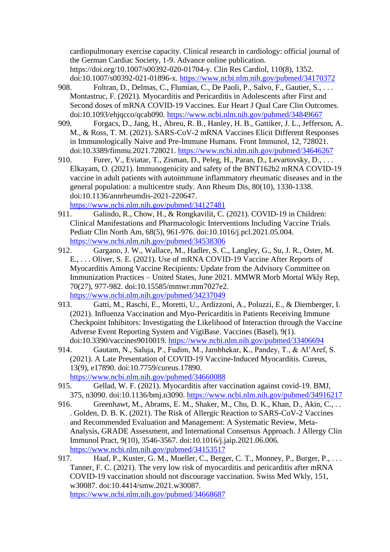cardiopulmonary exercise capacity. Clinical research in cardiology: official journal of the German Cardiac Society, 1-9. Advance online publication. https://doi.org/10.1007/s00392-020-01704-y. Clin Res Cardiol, 110(8), 1352. doi:10.1007/s00392-021-01896-x.<https://www.ncbi.nlm.nih.gov/pubmed/34170372>

- 908. Foltran, D., Delmas, C., Flumian, C., De Paoli, P., Salvo, F., Gautier, S., . . . Montastruc, F. (2021). Myocarditis and Pericarditis in Adolescents after First and Second doses of mRNA COVID-19 Vaccines. Eur Heart J Qual Care Clin Outcomes. doi:10.1093/ehjqcco/qcab090.<https://www.ncbi.nlm.nih.gov/pubmed/34849667>
- 909. Forgacs, D., Jang, H., Abreu, R. B., Hanley, H. B., Gattiker, J. L., Jefferson, A. M., & Ross, T. M. (2021). SARS-CoV-2 mRNA Vaccines Elicit Different Responses in Immunologically Naive and Pre-Immune Humans. Front Immunol, 12, 728021. doi:10.3389/fimmu.2021.728021.<https://www.ncbi.nlm.nih.gov/pubmed/34646267>
- 910. Furer, V., Eviatar, T., Zisman, D., Peleg, H., Paran, D., Levartovsky, D., . . . Elkayam, O. (2021). Immunogenicity and safety of the BNT162b2 mRNA COVID-19 vaccine in adult patients with autoimmune inflammatory rheumatic diseases and in the general population: a multicentre study. Ann Rheum Dis, 80(10), 1330-1338. doi:10.1136/annrheumdis-2021-220647.

<https://www.ncbi.nlm.nih.gov/pubmed/34127481> 911. Galindo, R., Chow, H., & Rongkavilit, C. (2021). COVID-19 in Children:

- Clinical Manifestations and Pharmacologic Interventions Including Vaccine Trials. Pediatr Clin North Am, 68(5), 961-976. doi:10.1016/j.pcl.2021.05.004. <https://www.ncbi.nlm.nih.gov/pubmed/34538306>
- 912. Gargano, J. W., Wallace, M., Hadler, S. C., Langley, G., Su, J. R., Oster, M. E., . . . Oliver, S. E. (2021). Use of mRNA COVID-19 Vaccine After Reports of Myocarditis Among Vaccine Recipients: Update from the Advisory Committee on Immunization Practices – United States, June 2021. MMWR Morb Mortal Wkly Rep, 70(27), 977-982. doi:10.15585/mmwr.mm7027e2. <https://www.ncbi.nlm.nih.gov/pubmed/34237049>
- 913. Gatti, M., Raschi, E., Moretti, U., Ardizzoni, A., Poluzzi, E., & Diemberger, I. (2021). Influenza Vaccination and Myo-Pericarditis in Patients Receiving Immune Checkpoint Inhibitors: Investigating the Likelihood of Interaction through the Vaccine Adverse Event Reporting System and VigiBase. Vaccines (Basel), 9(1). doi:10.3390/vaccines9010019.<https://www.ncbi.nlm.nih.gov/pubmed/33406694>
- 914. Gautam, N., Saluja, P., Fudim, M., Jambhekar, K., Pandey, T., & Al'Aref, S. (2021). A Late Presentation of COVID-19 Vaccine-Induced Myocarditis. Cureus, 13(9), e17890. doi:10.7759/cureus.17890. <https://www.ncbi.nlm.nih.gov/pubmed/34660088>
- 915. Gellad, W. F. (2021). Myocarditis after vaccination against covid-19. BMJ, 375, n3090. doi:10.1136/bmj.n3090.<https://www.ncbi.nlm.nih.gov/pubmed/34916217>
- 916. Greenhawt, M., Abrams, E. M., Shaker, M., Chu, D. K., Khan, D., Akin, C., .. . Golden, D. B. K. (2021). The Risk of Allergic Reaction to SARS-CoV-2 Vaccines and Recommended Evaluation and Management: A Systematic Review, Meta-Analysis, GRADE Assessment, and International Consensus Approach. J Allergy Clin Immunol Pract, 9(10), 3546-3567. doi:10.1016/j.jaip.2021.06.006. <https://www.ncbi.nlm.nih.gov/pubmed/34153517>

917. Haaf, P., Kuster, G. M., Mueller, C., Berger, C. T., Monney, P., Burger, P., ... Tanner, F. C. (2021). The very low risk of myocarditis and pericarditis after mRNA COVID-19 vaccination should not discourage vaccination. Swiss Med Wkly, 151, w30087. doi:10.4414/smw.2021.w30087. <https://www.ncbi.nlm.nih.gov/pubmed/34668687>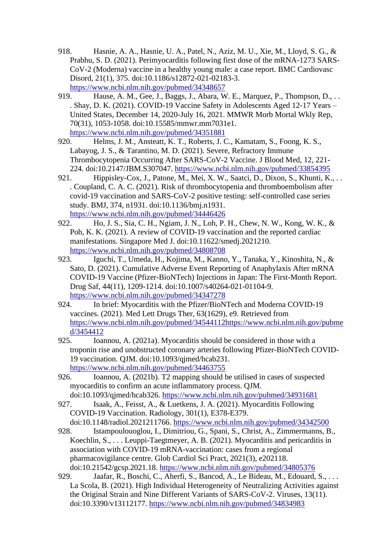- 918. Hasnie, A. A., Hasnie, U. A., Patel, N., Aziz, M. U., Xie, M., Lloyd, S. G., & Prabhu, S. D. (2021). Perimyocarditis following first dose of the mRNA-1273 SARS-CoV-2 (Moderna) vaccine in a healthy young male: a case report. BMC Cardiovasc Disord, 21(1), 375. doi:10.1186/s12872-021-02183-3. <https://www.ncbi.nlm.nih.gov/pubmed/34348657>
- 919. Hause, A. M., Gee, J., Baggs, J., Abara, W. E., Marquez, P., Thompson, D., . . . Shay, D. K. (2021). COVID-19 Vaccine Safety in Adolescents Aged 12-17 Years – United States, December 14, 2020-July 16, 2021. MMWR Morb Mortal Wkly Rep, 70(31), 1053-1058. doi:10.15585/mmwr.mm7031e1. <https://www.ncbi.nlm.nih.gov/pubmed/34351881>
- 920. Helms, J. M., Ansteatt, K. T., Roberts, J. C., Kamatam, S., Foong, K. S., Labayog, J. S., & Tarantino, M. D. (2021). Severe, Refractory Immune Thrombocytopenia Occurring After SARS-CoV-2 Vaccine. J Blood Med, 12, 221- 224. doi:10.2147/JBM.S307047.<https://www.ncbi.nlm.nih.gov/pubmed/33854395>
- 921. Hippisley-Cox, J., Patone, M., Mei, X. W., Saatci, D., Dixon, S., Khunti, K., . . . Coupland, C. A. C. (2021). Risk of thrombocytopenia and thromboembolism after covid-19 vaccination and SARS-CoV-2 positive testing: self-controlled case series study. BMJ, 374, n1931. doi:10.1136/bmj.n1931. <https://www.ncbi.nlm.nih.gov/pubmed/34446426>
- 922. Ho, J. S., Sia, C. H., Ngiam, J. N., Loh, P. H., Chew, N. W., Kong, W. K., & Poh, K. K. (2021). A review of COVID-19 vaccination and the reported cardiac manifestations. Singapore Med J. doi:10.11622/smedj.2021210. <https://www.ncbi.nlm.nih.gov/pubmed/34808708>
- 923. Iguchi, T., Umeda, H., Kojima, M., Kanno, Y., Tanaka, Y., Kinoshita, N., & Sato, D. (2021). Cumulative Adverse Event Reporting of Anaphylaxis After mRNA COVID-19 Vaccine (Pfizer-BioNTech) Injections in Japan: The First-Month Report. Drug Saf, 44(11), 1209-1214. doi:10.1007/s40264-021-01104-9. <https://www.ncbi.nlm.nih.gov/pubmed/34347278>
- 924. In brief: Myocarditis with the Pfizer/BioNTech and Moderna COVID-19 vaccines. (2021). Med Lett Drugs Ther, 63(1629), e9. Retrieved from [https://www.ncbi.nlm.nih.gov/pubmed/34544112https://www.ncbi.nlm.nih.gov/pubme](https://www.ncbi.nlm.nih.gov/pubmed/34544112https:/www.ncbi.nlm.nih.gov/pubmed/3454412) [d/3454412](https://www.ncbi.nlm.nih.gov/pubmed/34544112https:/www.ncbi.nlm.nih.gov/pubmed/3454412)
- 925. Ioannou, A. (2021a). Myocarditis should be considered in those with a troponin rise and unobstructed coronary arteries following Pfizer-BioNTech COVID-19 vaccination. QJM. doi:10.1093/qjmed/hcab231. <https://www.ncbi.nlm.nih.gov/pubmed/34463755>
- 926. Ioannou, A. (2021b). T2 mapping should be utilised in cases of suspected myocarditis to confirm an acute inflammatory process. QJM. doi:10.1093/qjmed/hcab326.<https://www.ncbi.nlm.nih.gov/pubmed/34931681>
- 927. Isaak, A., Feisst, A., & Luetkens, J. A. (2021). Myocarditis Following COVID-19 Vaccination. Radiology, 301(1), E378-E379. doi:10.1148/radiol.2021211766.<https://www.ncbi.nlm.nih.gov/pubmed/34342500>
- 928. Istampoulouoglou, I., Dimitriou, G., Spani, S., Christ, A., Zimmermanns, B., Koechlin, S., . . . Leuppi-Taegtmeyer, A. B. (2021). Myocarditis and pericarditis in association with COVID-19 mRNA-vaccination: cases from a regional pharmacovigilance centre. Glob Cardiol Sci Pract, 2021(3), e202118. doi:10.21542/gcsp.2021.18.<https://www.ncbi.nlm.nih.gov/pubmed/34805376>
- 929. Jaafar, R., Boschi, C., Aherfi, S., Bancod, A., Le Bideau, M., Edouard, S., . . . La Scola, B. (2021). High Individual Heterogeneity of Neutralizing Activities against the Original Strain and Nine Different Variants of SARS-CoV-2. Viruses, 13(11). doi:10.3390/v13112177.<https://www.ncbi.nlm.nih.gov/pubmed/34834983>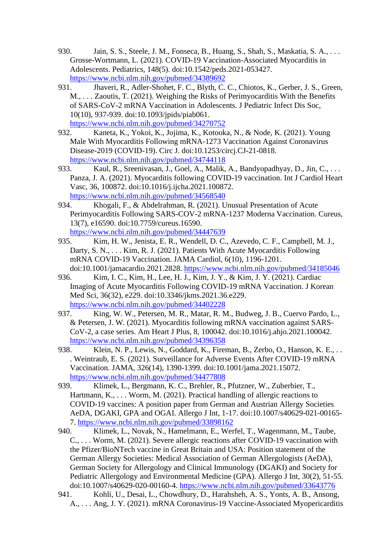- 930. Jain, S. S., Steele, J. M., Fonseca, B., Huang, S., Shah, S., Maskatia, S. A., . . . Grosse-Wortmann, L. (2021). COVID-19 Vaccination-Associated Myocarditis in Adolescents. Pediatrics, 148(5). doi:10.1542/peds.2021-053427. <https://www.ncbi.nlm.nih.gov/pubmed/34389692>
- 931. Jhaveri, R., Adler-Shohet, F. C., Blyth, C. C., Chiotos, K., Gerber, J. S., Green, M., . . . Zaoutis, T. (2021). Weighing the Risks of Perimyocarditis With the Benefits of SARS-CoV-2 mRNA Vaccination in Adolescents. J Pediatric Infect Dis Soc, 10(10), 937-939. doi:10.1093/jpids/piab061. <https://www.ncbi.nlm.nih.gov/pubmed/34270752>
- 932. Kaneta, K., Yokoi, K., Jojima, K., Kotooka, N., & Node, K. (2021). Young Male With Myocarditis Following mRNA-1273 Vaccination Against Coronavirus Disease-2019 (COVID-19). Circ J. doi:10.1253/circj.CJ-21-0818. <https://www.ncbi.nlm.nih.gov/pubmed/34744118>
- 933. Kaul, R., Sreenivasan, J., Goel, A., Malik, A., Bandyopadhyay, D., Jin, C., . . . Panza, J. A. (2021). Myocarditis following COVID-19 vaccination. Int J Cardiol Heart Vasc, 36, 100872. doi:10.1016/j.ijcha.2021.100872. <https://www.ncbi.nlm.nih.gov/pubmed/34568540>
- 934. Khogali, F., & Abdelrahman, R. (2021). Unusual Presentation of Acute Perimyocarditis Following SARS-COV-2 mRNA-1237 Moderna Vaccination. Cureus, 13(7), e16590. doi:10.7759/cureus.16590. <https://www.ncbi.nlm.nih.gov/pubmed/34447639>
- 935. Kim, H. W., Jenista, E. R., Wendell, D. C., Azevedo, C. F., Campbell, M. J., Darty, S. N., . . . Kim, R. J. (2021). Patients With Acute Myocarditis Following mRNA COVID-19 Vaccination. JAMA Cardiol, 6(10), 1196-1201. doi:10.1001/jamacardio.2021.2828.<https://www.ncbi.nlm.nih.gov/pubmed/34185046>
- 936. Kim, I. C., Kim, H., Lee, H. J., Kim, J. Y., & Kim, J. Y. (2021). Cardiac Imaging of Acute Myocarditis Following COVID-19 mRNA Vaccination. J Korean Med Sci, 36(32), e229. doi:10.3346/jkms.2021.36.e229. <https://www.ncbi.nlm.nih.gov/pubmed/34402228>
- 937. King, W. W., Petersen, M. R., Matar, R. M., Budweg, J. B., Cuervo Pardo, L., & Petersen, J. W. (2021). Myocarditis following mRNA vaccination against SARS-CoV-2, a case series. Am Heart J Plus, 8, 100042. doi:10.1016/j.ahjo.2021.100042. <https://www.ncbi.nlm.nih.gov/pubmed/34396358>
- 938. Klein, N. P., Lewis, N., Goddard, K., Fireman, B., Zerbo, O., Hanson, K. E., .. . Weintraub, E. S. (2021). Surveillance for Adverse Events After COVID-19 mRNA Vaccination. JAMA, 326(14), 1390-1399. doi:10.1001/jama.2021.15072. <https://www.ncbi.nlm.nih.gov/pubmed/34477808>
- 939. Klimek, L., Bergmann, K. C., Brehler, R., Pfutzner, W., Zuberbier, T., Hartmann, K., ... Worm, M. (2021). Practical handling of allergic reactions to COVID-19 vaccines: A position paper from German and Austrian Allergy Societies AeDA, DGAKI, GPA and OGAI. Allergo J Int, 1-17. doi:10.1007/s40629-021-00165- 7.<https://www.ncbi.nlm.nih.gov/pubmed/33898162>
- 940. Klimek, L., Novak, N., Hamelmann, E., Werfel, T., Wagenmann, M., Taube, C., . . . Worm, M. (2021). Severe allergic reactions after COVID-19 vaccination with the Pfizer/BioNTech vaccine in Great Britain and USA: Position statement of the German Allergy Societies: Medical Association of German Allergologists (AeDA), German Society for Allergology and Clinical Immunology (DGAKI) and Society for Pediatric Allergology and Environmental Medicine (GPA). Allergo J Int, 30(2), 51-55. doi:10.1007/s40629-020-00160-4.<https://www.ncbi.nlm.nih.gov/pubmed/33643776>
- 941. Kohli, U., Desai, L., Chowdhury, D., Harahsheh, A. S., Yonts, A. B., Ansong, A., . . . Ang, J. Y. (2021). mRNA Coronavirus-19 Vaccine-Associated Myopericarditis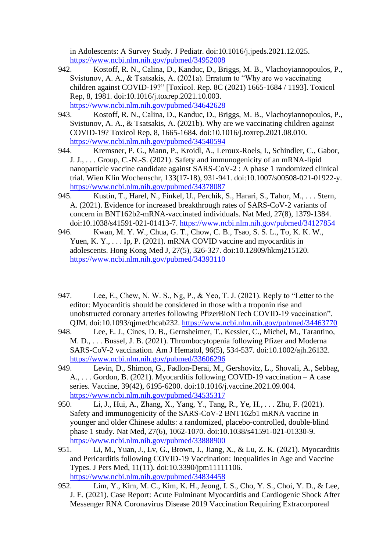in Adolescents: A Survey Study. J Pediatr. doi:10.1016/j.jpeds.2021.12.025. <https://www.ncbi.nlm.nih.gov/pubmed/34952008>

- 942. Kostoff, R. N., Calina, D., Kanduc, D., Briggs, M. B., Vlachoyiannopoulos, P., Svistunov, A. A., & Tsatsakis, A. (2021a). Erratum to "Why are we vaccinating children against COVID-19?" [Toxicol. Rep. 8C (2021) 1665-1684 / 1193]. Toxicol Rep, 8, 1981. doi:10.1016/j.toxrep.2021.10.003. <https://www.ncbi.nlm.nih.gov/pubmed/34642628>
- 943. Kostoff, R. N., Calina, D., Kanduc, D., Briggs, M. B., Vlachoyiannopoulos, P., Svistunov, A. A., & Tsatsakis, A. (2021b). Why are we vaccinating children against COVID-19? Toxicol Rep, 8, 1665-1684. doi:10.1016/j.toxrep.2021.08.010. <https://www.ncbi.nlm.nih.gov/pubmed/34540594>
- 944. Kremsner, P. G., Mann, P., Kroidl, A., Leroux-Roels, I., Schindler, C., Gabor, J. J., . . . Group, C.-N.-S. (2021). Safety and immunogenicity of an mRNA-lipid nanoparticle vaccine candidate against SARS-CoV-2 : A phase 1 randomized clinical trial. Wien Klin Wochenschr, 133(17-18), 931-941. doi:10.1007/s00508-021-01922-y. <https://www.ncbi.nlm.nih.gov/pubmed/34378087>
- 945. Kustin, T., Harel, N., Finkel, U., Perchik, S., Harari, S., Tahor, M., . . . Stern, A. (2021). Evidence for increased breakthrough rates of SARS-CoV-2 variants of concern in BNT162b2-mRNA-vaccinated individuals. Nat Med, 27(8), 1379-1384. doi:10.1038/s41591-021-01413-7.<https://www.ncbi.nlm.nih.gov/pubmed/34127854>
- 946. Kwan, M. Y. W., Chua, G. T., Chow, C. B., Tsao, S. S. L., To, K. K. W., Yuen, K. Y., . . . Ip, P. (2021). mRNA COVID vaccine and myocarditis in adolescents. Hong Kong Med J, 27(5), 326-327. doi:10.12809/hkmj215120. <https://www.ncbi.nlm.nih.gov/pubmed/34393110>
- 947. Lee, E., Chew, N. W. S., Ng, P., & Yeo, T. J. (2021). Reply to "Letter to the editor: Myocarditis should be considered in those with a troponin rise and unobstructed coronary arteries following PfizerBioNTech COVID-19 vaccination". QJM. doi:10.1093/qjmed/hcab232.<https://www.ncbi.nlm.nih.gov/pubmed/34463770>
- 948. Lee, E. J., Cines, D. B., Gernsheimer, T., Kessler, C., Michel, M., Tarantino, M. D., . . . Bussel, J. B. (2021). Thrombocytopenia following Pfizer and Moderna SARS-CoV-2 vaccination. Am J Hematol, 96(5), 534-537. doi:10.1002/ajh.26132. <https://www.ncbi.nlm.nih.gov/pubmed/33606296>
- 949. Levin, D., Shimon, G., Fadlon-Derai, M., Gershovitz, L., Shovali, A., Sebbag, A., . . . Gordon, B. (2021). Myocarditis following COVID-19 vaccination – A case series. Vaccine, 39(42), 6195-6200. doi:10.1016/j.vaccine.2021.09.004. <https://www.ncbi.nlm.nih.gov/pubmed/34535317>
- 950. Li, J., Hui, A., Zhang, X., Yang, Y., Tang, R., Ye, H., . . . Zhu, F. (2021). Safety and immunogenicity of the SARS-CoV-2 BNT162b1 mRNA vaccine in younger and older Chinese adults: a randomized, placebo-controlled, double-blind phase 1 study. Nat Med, 27(6), 1062-1070. doi:10.1038/s41591-021-01330-9. <https://www.ncbi.nlm.nih.gov/pubmed/33888900>
- 951. Li, M., Yuan, J., Lv, G., Brown, J., Jiang, X., & Lu, Z. K. (2021). Myocarditis and Pericarditis following COVID-19 Vaccination: Inequalities in Age and Vaccine Types. J Pers Med, 11(11). doi:10.3390/jpm11111106. <https://www.ncbi.nlm.nih.gov/pubmed/34834458>
- 952. Lim, Y., Kim, M. C., Kim, K. H., Jeong, I. S., Cho, Y. S., Choi, Y. D., & Lee, J. E. (2021). Case Report: Acute Fulminant Myocarditis and Cardiogenic Shock After Messenger RNA Coronavirus Disease 2019 Vaccination Requiring Extracorporeal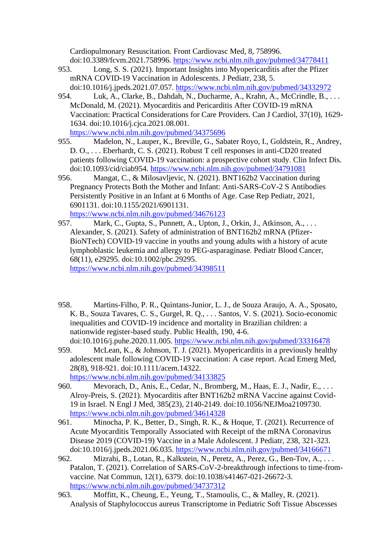Cardiopulmonary Resuscitation. Front Cardiovasc Med, 8, 758996. doi:10.3389/fcvm.2021.758996.<https://www.ncbi.nlm.nih.gov/pubmed/34778411>

- 953. Long, S. S. (2021). Important Insights into Myopericarditis after the Pfizer mRNA COVID-19 Vaccination in Adolescents. J Pediatr, 238, 5. doi:10.1016/j.jpeds.2021.07.057.<https://www.ncbi.nlm.nih.gov/pubmed/34332972>
- 954. Luk, A., Clarke, B., Dahdah, N., Ducharme, A., Krahn, A., McCrindle, B., . . . McDonald, M. (2021). Myocarditis and Pericarditis After COVID-19 mRNA Vaccination: Practical Considerations for Care Providers. Can J Cardiol, 37(10), 1629- 1634. doi:10.1016/j.cjca.2021.08.001. <https://www.ncbi.nlm.nih.gov/pubmed/34375696>
- 955. Madelon, N., Lauper, K., Breville, G., Sabater Royo, I., Goldstein, R., Andrey, D. O., . . . Eberhardt, C. S. (2021). Robust T cell responses in anti-CD20 treated patients following COVID-19 vaccination: a prospective cohort study. Clin Infect Dis. doi:10.1093/cid/ciab954.<https://www.ncbi.nlm.nih.gov/pubmed/34791081>
- 956. Mangat, C., & Milosavljevic, N. (2021). BNT162b2 Vaccination during Pregnancy Protects Both the Mother and Infant: Anti-SARS-CoV-2 S Antibodies Persistently Positive in an Infant at 6 Months of Age. Case Rep Pediatr, 2021, 6901131. doi:10.1155/2021/6901131.

<https://www.ncbi.nlm.nih.gov/pubmed/34676123>

- 957. Mark, C., Gupta, S., Punnett, A., Upton, J., Orkin, J., Atkinson, A., . . . Alexander, S. (2021). Safety of administration of BNT162b2 mRNA (Pfizer-BioNTech) COVID-19 vaccine in youths and young adults with a history of acute lymphoblastic leukemia and allergy to PEG-asparaginase. Pediatr Blood Cancer, 68(11), e29295. doi:10.1002/pbc.29295. <https://www.ncbi.nlm.nih.gov/pubmed/34398511>
- 958. Martins-Filho, P. R., Quintans-Junior, L. J., de Souza Araujo, A. A., Sposato, K. B., Souza Tavares, C. S., Gurgel, R. Q., . . . Santos, V. S. (2021). Socio-economic inequalities and COVID-19 incidence and mortality in Brazilian children: a nationwide register-based study. Public Health, 190, 4-6. doi:10.1016/j.puhe.2020.11.005.<https://www.ncbi.nlm.nih.gov/pubmed/33316478>
- 959. McLean, K., & Johnson, T. J. (2021). Myopericarditis in a previously healthy adolescent male following COVID-19 vaccination: A case report. Acad Emerg Med, 28(8), 918-921. doi:10.1111/acem.14322.

<https://www.ncbi.nlm.nih.gov/pubmed/34133825>

- 960. Mevorach, D., Anis, E., Cedar, N., Bromberg, M., Haas, E. J., Nadir, E., . . . Alroy-Preis, S. (2021). Myocarditis after BNT162b2 mRNA Vaccine against Covid-19 in Israel. N Engl J Med, 385(23), 2140-2149. doi:10.1056/NEJMoa2109730. <https://www.ncbi.nlm.nih.gov/pubmed/34614328>
- 961. Minocha, P. K., Better, D., Singh, R. K., & Hoque, T. (2021). Recurrence of Acute Myocarditis Temporally Associated with Receipt of the mRNA Coronavirus Disease 2019 (COVID-19) Vaccine in a Male Adolescent. J Pediatr, 238, 321-323. doi:10.1016/j.jpeds.2021.06.035.<https://www.ncbi.nlm.nih.gov/pubmed/34166671>
- 962. Mizrahi, B., Lotan, R., Kalkstein, N., Peretz, A., Perez, G., Ben-Tov, A., . . . Patalon, T. (2021). Correlation of SARS-CoV-2-breakthrough infections to time-fromvaccine. Nat Commun, 12(1), 6379. doi:10.1038/s41467-021-26672-3. <https://www.ncbi.nlm.nih.gov/pubmed/34737312>
- 963. Moffitt, K., Cheung, E., Yeung, T., Stamoulis, C., & Malley, R. (2021). Analysis of Staphylococcus aureus Transcriptome in Pediatric Soft Tissue Abscesses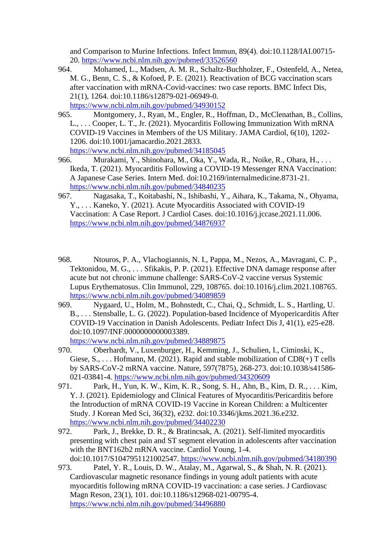and Comparison to Murine Infections. Infect Immun, 89(4). doi:10.1128/IAI.00715- 20.<https://www.ncbi.nlm.nih.gov/pubmed/33526560>

- 964. Mohamed, L., Madsen, A. M. R., Schaltz-Buchholzer, F., Ostenfeld, A., Netea, M. G., Benn, C. S., & Kofoed, P. E. (2021). Reactivation of BCG vaccination scars after vaccination with mRNA-Covid-vaccines: two case reports. BMC Infect Dis, 21(1), 1264. doi:10.1186/s12879-021-06949-0. <https://www.ncbi.nlm.nih.gov/pubmed/34930152>
- 965. Montgomery, J., Ryan, M., Engler, R., Hoffman, D., McClenathan, B., Collins, L., . . . Cooper, L. T., Jr. (2021). Myocarditis Following Immunization With mRNA COVID-19 Vaccines in Members of the US Military. JAMA Cardiol, 6(10), 1202- 1206. doi:10.1001/jamacardio.2021.2833. <https://www.ncbi.nlm.nih.gov/pubmed/34185045>
- 966. Murakami, Y., Shinohara, M., Oka, Y., Wada, R., Noike, R., Ohara, H., ... Ikeda, T. (2021). Myocarditis Following a COVID-19 Messenger RNA Vaccination: A Japanese Case Series. Intern Med. doi:10.2169/internalmedicine.8731-21. <https://www.ncbi.nlm.nih.gov/pubmed/34840235>
- 967. Nagasaka, T., Koitabashi, N., Ishibashi, Y., Aihara, K., Takama, N., Ohyama, Y., . . . Kaneko, Y. (2021). Acute Myocarditis Associated with COVID-19 Vaccination: A Case Report. J Cardiol Cases. doi:10.1016/j.jccase.2021.11.006. <https://www.ncbi.nlm.nih.gov/pubmed/34876937>
- 968. Ntouros, P. A., Vlachogiannis, N. I., Pappa, M., Nezos, A., Mavragani, C. P., Tektonidou, M. G., . . . Sfikakis, P. P. (2021). Effective DNA damage response after acute but not chronic immune challenge: SARS-CoV-2 vaccine versus Systemic Lupus Erythematosus. Clin Immunol, 229, 108765. doi:10.1016/j.clim.2021.108765. <https://www.ncbi.nlm.nih.gov/pubmed/34089859>
- 969. Nygaard, U., Holm, M., Bohnstedt, C., Chai, Q., Schmidt, L. S., Hartling, U. B., . . . Stensballe, L. G. (2022). Population-based Incidence of Myopericarditis After COVID-19 Vaccination in Danish Adolescents. Pediatr Infect Dis J, 41(1), e25-e28. doi:10.1097/INF.0000000000003389. <https://www.ncbi.nlm.nih.gov/pubmed/34889875>
- 970. Oberhardt, V., Luxenburger, H., Kemming, J., Schulien, I., Ciminski, K., Giese, S., . . . Hofmann, M. (2021). Rapid and stable mobilization of CD8(+) T cells by SARS-CoV-2 mRNA vaccine. Nature, 597(7875), 268-273. doi:10.1038/s41586- 021-03841-4.<https://www.ncbi.nlm.nih.gov/pubmed/34320609>
- 971. Park, H., Yun, K. W., Kim, K. R., Song, S. H., Ahn, B., Kim, D. R., . . . Kim, Y. J. (2021). Epidemiology and Clinical Features of Myocarditis/Pericarditis before the Introduction of mRNA COVID-19 Vaccine in Korean Children: a Multicenter Study. J Korean Med Sci, 36(32), e232. doi:10.3346/jkms.2021.36.e232. <https://www.ncbi.nlm.nih.gov/pubmed/34402230>
- 972. Park, J., Brekke, D. R., & Bratincsak, A. (2021). Self-limited myocarditis presenting with chest pain and ST segment elevation in adolescents after vaccination with the BNT162b2 mRNA vaccine. Cardiol Young, 1-4. doi:10.1017/S1047951121002547.<https://www.ncbi.nlm.nih.gov/pubmed/34180390>
- 973. Patel, Y. R., Louis, D. W., Atalay, M., Agarwal, S., & Shah, N. R. (2021). Cardiovascular magnetic resonance findings in young adult patients with acute myocarditis following mRNA COVID-19 vaccination: a case series. J Cardiovasc Magn Reson, 23(1), 101. doi:10.1186/s12968-021-00795-4. <https://www.ncbi.nlm.nih.gov/pubmed/34496880>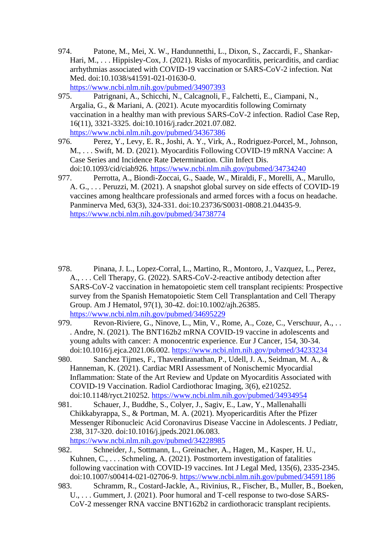- 974. Patone, M., Mei, X. W., Handunnetthi, L., Dixon, S., Zaccardi, F., Shankar-Hari, M., . . . Hippisley-Cox, J. (2021). Risks of myocarditis, pericarditis, and cardiac arrhythmias associated with COVID-19 vaccination or SARS-CoV-2 infection. Nat Med. doi:10.1038/s41591-021-01630-0. <https://www.ncbi.nlm.nih.gov/pubmed/34907393>
- 975. Patrignani, A., Schicchi, N., Calcagnoli, F., Falchetti, E., Ciampani, N., Argalia, G., & Mariani, A. (2021). Acute myocarditis following Comirnaty vaccination in a healthy man with previous SARS-CoV-2 infection. Radiol Case Rep, 16(11), 3321-3325. doi:10.1016/j.radcr.2021.07.082. <https://www.ncbi.nlm.nih.gov/pubmed/34367386><br>976 Perez. Y., Levy. E. R., Joshi, A. Y., Virk.
- Perez, Y., Levy, E. R., Joshi, A. Y., Virk, A., Rodriguez-Porcel, M., Johnson, M., . . . Swift, M. D. (2021). Myocarditis Following COVID-19 mRNA Vaccine: A Case Series and Incidence Rate Determination. Clin Infect Dis. doi:10.1093/cid/ciab926.<https://www.ncbi.nlm.nih.gov/pubmed/34734240>
- 977. Perrotta, A., Biondi-Zoccai, G., Saade, W., Miraldi, F., Morelli, A., Marullo, A. G., . . . Peruzzi, M. (2021). A snapshot global survey on side effects of COVID-19 vaccines among healthcare professionals and armed forces with a focus on headache. Panminerva Med, 63(3), 324-331. doi:10.23736/S0031-0808.21.04435-9. <https://www.ncbi.nlm.nih.gov/pubmed/34738774>
- 978. Pinana, J. L., Lopez-Corral, L., Martino, R., Montoro, J., Vazquez, L., Perez, A., . . . Cell Therapy, G. (2022). SARS-CoV-2-reactive antibody detection after SARS-CoV-2 vaccination in hematopoietic stem cell transplant recipients: Prospective survey from the Spanish Hematopoietic Stem Cell Transplantation and Cell Therapy Group. Am J Hematol, 97(1), 30-42. doi:10.1002/ajh.26385. <https://www.ncbi.nlm.nih.gov/pubmed/34695229>
- 979. Revon-Riviere, G., Ninove, L., Min, V., Rome, A., Coze, C., Verschuur, A., . . . Andre, N. (2021). The BNT162b2 mRNA COVID-19 vaccine in adolescents and young adults with cancer: A monocentric experience. Eur J Cancer, 154, 30-34. doi:10.1016/j.ejca.2021.06.002.<https://www.ncbi.nlm.nih.gov/pubmed/34233234>
- 980. Sanchez Tijmes, F., Thavendiranathan, P., Udell, J. A., Seidman, M. A., & Hanneman, K. (2021). Cardiac MRI Assessment of Nonischemic Myocardial Inflammation: State of the Art Review and Update on Myocarditis Associated with COVID-19 Vaccination. Radiol Cardiothorac Imaging, 3(6), e210252. doi:10.1148/ryct.210252.<https://www.ncbi.nlm.nih.gov/pubmed/34934954>
- 981. Schauer, J., Buddhe, S., Colyer, J., Sagiv, E., Law, Y., Mallenahalli Chikkabyrappa, S., & Portman, M. A. (2021). Myopericarditis After the Pfizer Messenger Ribonucleic Acid Coronavirus Disease Vaccine in Adolescents. J Pediatr, 238, 317-320. doi:10.1016/j.jpeds.2021.06.083. <https://www.ncbi.nlm.nih.gov/pubmed/34228985>
- 982. Schneider, J., Sottmann, L., Greinacher, A., Hagen, M., Kasper, H. U., Kuhnen, C., . . . Schmeling, A. (2021). Postmortem investigation of fatalities following vaccination with COVID-19 vaccines. Int J Legal Med, 135(6), 2335-2345. doi:10.1007/s00414-021-02706-9.<https://www.ncbi.nlm.nih.gov/pubmed/34591186>
- 983. Schramm, R., Costard-Jackle, A., Rivinius, R., Fischer, B., Muller, B., Boeken, U., . . . Gummert, J. (2021). Poor humoral and T-cell response to two-dose SARS-CoV-2 messenger RNA vaccine BNT162b2 in cardiothoracic transplant recipients.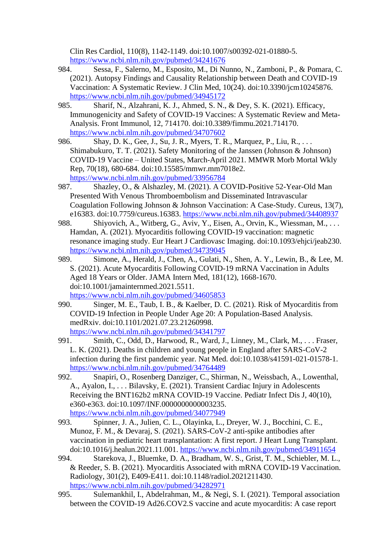Clin Res Cardiol, 110(8), 1142-1149. doi:10.1007/s00392-021-01880-5. <https://www.ncbi.nlm.nih.gov/pubmed/34241676>

- 984. Sessa, F., Salerno, M., Esposito, M., Di Nunno, N., Zamboni, P., & Pomara, C. (2021). Autopsy Findings and Causality Relationship between Death and COVID-19 Vaccination: A Systematic Review. J Clin Med, 10(24). doi:10.3390/jcm10245876. <https://www.ncbi.nlm.nih.gov/pubmed/34945172>
- 985. Sharif, N., Alzahrani, K. J., Ahmed, S. N., & Dey, S. K. (2021). Efficacy, Immunogenicity and Safety of COVID-19 Vaccines: A Systematic Review and Meta-Analysis. Front Immunol, 12, 714170. doi:10.3389/fimmu.2021.714170. <https://www.ncbi.nlm.nih.gov/pubmed/34707602>
- 986. Shay, D. K., Gee, J., Su, J. R., Myers, T. R., Marquez, P., Liu, R., ... Shimabukuro, T. T. (2021). Safety Monitoring of the Janssen (Johnson & Johnson) COVID-19 Vaccine – United States, March-April 2021. MMWR Morb Mortal Wkly Rep, 70(18), 680-684. doi:10.15585/mmwr.mm7018e2. <https://www.ncbi.nlm.nih.gov/pubmed/33956784>
- 987. Shazley, O., & Alshazley, M. (2021). A COVID-Positive 52-Year-Old Man Presented With Venous Thromboembolism and Disseminated Intravascular Coagulation Following Johnson & Johnson Vaccination: A Case-Study. Cureus, 13(7), e16383. doi:10.7759/cureus.16383.<https://www.ncbi.nlm.nih.gov/pubmed/34408937>
- 988. Shiyovich, A., Witberg, G., Aviv, Y., Eisen, A., Orvin, K., Wiessman, M., ... Hamdan, A. (2021). Myocarditis following COVID-19 vaccination: magnetic resonance imaging study. Eur Heart J Cardiovasc Imaging. doi:10.1093/ehjci/jeab230. <https://www.ncbi.nlm.nih.gov/pubmed/34739045>
- 989. Simone, A., Herald, J., Chen, A., Gulati, N., Shen, A. Y., Lewin, B., & Lee, M. S. (2021). Acute Myocarditis Following COVID-19 mRNA Vaccination in Adults Aged 18 Years or Older. JAMA Intern Med, 181(12), 1668-1670. doi:10.1001/jamainternmed.2021.5511. <https://www.ncbi.nlm.nih.gov/pubmed/34605853>
- 990. Singer, M. E., Taub, I. B., & Kaelber, D. C. (2021). Risk of Myocarditis from COVID-19 Infection in People Under Age 20: A Population-Based Analysis. medRxiv. doi:10.1101/2021.07.23.21260998. <https://www.ncbi.nlm.nih.gov/pubmed/34341797>
- 991. Smith, C., Odd, D., Harwood, R., Ward, J., Linney, M., Clark, M., . . . Fraser, L. K. (2021). Deaths in children and young people in England after SARS-CoV-2 infection during the first pandemic year. Nat Med. doi:10.1038/s41591-021-01578-1. <https://www.ncbi.nlm.nih.gov/pubmed/34764489>
- 992. Snapiri, O., Rosenberg Danziger, C., Shirman, N., Weissbach, A., Lowenthal, A., Ayalon, I., . . . Bilavsky, E. (2021). Transient Cardiac Injury in Adolescents Receiving the BNT162b2 mRNA COVID-19 Vaccine. Pediatr Infect Dis J, 40(10), e360-e363. doi:10.1097/INF.0000000000003235. <https://www.ncbi.nlm.nih.gov/pubmed/34077949>
- 993. Spinner, J. A., Julien, C. L., Olayinka, L., Dreyer, W. J., Bocchini, C. E., Munoz, F. M., & Devaraj, S. (2021). SARS-CoV-2 anti-spike antibodies after vaccination in pediatric heart transplantation: A first report. J Heart Lung Transplant. doi:10.1016/j.healun.2021.11.001.<https://www.ncbi.nlm.nih.gov/pubmed/34911654>
- 994. Starekova, J., Bluemke, D. A., Bradham, W. S., Grist, T. M., Schiebler, M. L., & Reeder, S. B. (2021). Myocarditis Associated with mRNA COVID-19 Vaccination. Radiology, 301(2), E409-E411. doi:10.1148/radiol.2021211430. <https://www.ncbi.nlm.nih.gov/pubmed/34282971>
- 995. Sulemankhil, I., Abdelrahman, M., & Negi, S. I. (2021). Temporal association between the COVID-19 Ad26.COV2.S vaccine and acute myocarditis: A case report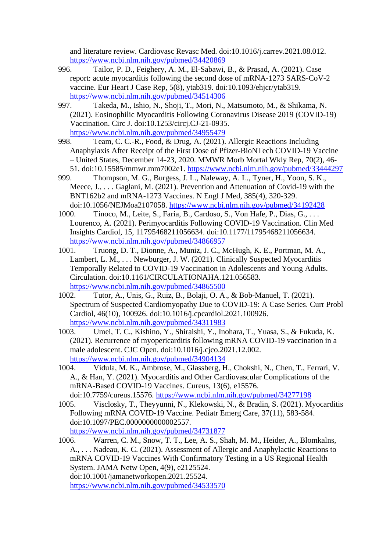and literature review. Cardiovasc Revasc Med. doi:10.1016/j.carrev.2021.08.012. <https://www.ncbi.nlm.nih.gov/pubmed/34420869>

- 996. Tailor, P. D., Feighery, A. M., El-Sabawi, B., & Prasad, A. (2021). Case report: acute myocarditis following the second dose of mRNA-1273 SARS-CoV-2 vaccine. Eur Heart J Case Rep, 5(8), ytab319. doi:10.1093/ehjcr/ytab319. <https://www.ncbi.nlm.nih.gov/pubmed/34514306>
- 997. Takeda, M., Ishio, N., Shoji, T., Mori, N., Matsumoto, M., & Shikama, N. (2021). Eosinophilic Myocarditis Following Coronavirus Disease 2019 (COVID-19) Vaccination. Circ J. doi:10.1253/circj.CJ-21-0935. <https://www.ncbi.nlm.nih.gov/pubmed/34955479>
- 998. Team, C. C.-R., Food, & Drug, A. (2021). Allergic Reactions Including Anaphylaxis After Receipt of the First Dose of Pfizer-BioNTech COVID-19 Vaccine – United States, December 14-23, 2020. MMWR Morb Mortal Wkly Rep, 70(2), 46- 51. doi:10.15585/mmwr.mm7002e1.<https://www.ncbi.nlm.nih.gov/pubmed/33444297>
- 999. Thompson, M. G., Burgess, J. L., Naleway, A. L., Tyner, H., Yoon, S. K., Meece, J., . . . Gaglani, M. (2021). Prevention and Attenuation of Covid-19 with the BNT162b2 and mRNA-1273 Vaccines. N Engl J Med, 385(4), 320-329. doi:10.1056/NEJMoa2107058.<https://www.ncbi.nlm.nih.gov/pubmed/34192428>
- 1000. Tinoco, M., Leite, S., Faria, B., Cardoso, S., Von Hafe, P., Dias, G., . . . Lourenco, A. (2021). Perimyocarditis Following COVID-19 Vaccination. Clin Med Insights Cardiol, 15, 11795468211056634. doi:10.1177/11795468211056634. <https://www.ncbi.nlm.nih.gov/pubmed/34866957>
- 1001. Truong, D. T., Dionne, A., Muniz, J. C., McHugh, K. E., Portman, M. A., Lambert, L. M., . . . Newburger, J. W. (2021). Clinically Suspected Myocarditis Temporally Related to COVID-19 Vaccination in Adolescents and Young Adults. Circulation. doi:10.1161/CIRCULATIONAHA.121.056583. <https://www.ncbi.nlm.nih.gov/pubmed/34865500>
- 1002. Tutor, A., Unis, G., Ruiz, B., Bolaji, O. A., & Bob-Manuel, T. (2021). Spectrum of Suspected Cardiomyopathy Due to COVID-19: A Case Series. Curr Probl Cardiol, 46(10), 100926. doi:10.1016/j.cpcardiol.2021.100926. <https://www.ncbi.nlm.nih.gov/pubmed/34311983>
- 1003. Umei, T. C., Kishino, Y., Shiraishi, Y., Inohara, T., Yuasa, S., & Fukuda, K. (2021). Recurrence of myopericarditis following mRNA COVID-19 vaccination in a male adolescent. CJC Open. doi:10.1016/j.cjco.2021.12.002. <https://www.ncbi.nlm.nih.gov/pubmed/34904134>
- 1004. Vidula, M. K., Ambrose, M., Glassberg, H., Chokshi, N., Chen, T., Ferrari, V. A., & Han, Y. (2021). Myocarditis and Other Cardiovascular Complications of the mRNA-Based COVID-19 Vaccines. Cureus, 13(6), e15576. doi:10.7759/cureus.15576.<https://www.ncbi.nlm.nih.gov/pubmed/34277198>
- 1005. Visclosky, T., Theyyunni, N., Klekowski, N., & Bradin, S. (2021). Myocarditis Following mRNA COVID-19 Vaccine. Pediatr Emerg Care, 37(11), 583-584. doi:10.1097/PEC.0000000000002557. <https://www.ncbi.nlm.nih.gov/pubmed/34731877>

1006. Warren, C. M., Snow, T. T., Lee, A. S., Shah, M. M., Heider, A., Blomkalns, A., . . . Nadeau, K. C. (2021). Assessment of Allergic and Anaphylactic Reactions to mRNA COVID-19 Vaccines With Confirmatory Testing in a US Regional Health System. JAMA Netw Open, 4(9), e2125524. doi:10.1001/jamanetworkopen.2021.25524. <https://www.ncbi.nlm.nih.gov/pubmed/34533570>